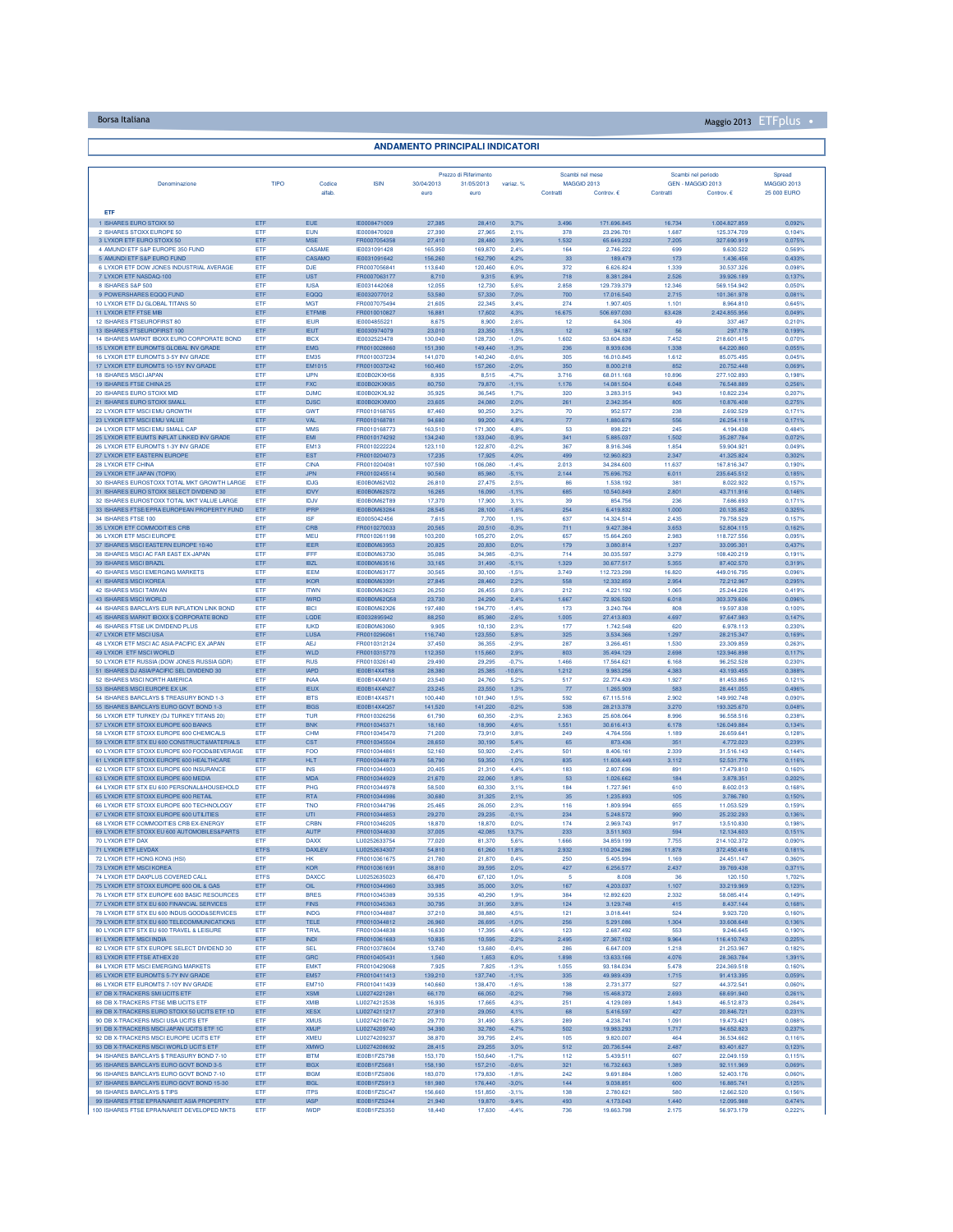## Borsa Italiana Maggio 2013 ETFplus •

| <b>ANDAMENTO PRINCIPALI INDICATORI</b>                                                    |                    |                              |                                     |                    |                                     |                    |                                       |                           |                                         |                              |                              |
|-------------------------------------------------------------------------------------------|--------------------|------------------------------|-------------------------------------|--------------------|-------------------------------------|--------------------|---------------------------------------|---------------------------|-----------------------------------------|------------------------------|------------------------------|
|                                                                                           |                    |                              |                                     |                    |                                     |                    |                                       |                           |                                         |                              |                              |
| Denominazione                                                                             | TIPO               | Codice                       | <b>ISIN</b>                         | 30/04/2013         | Prezzo di Riferimento<br>31/05/2013 | variaz. %          | Scambi nel mese<br><b>MAGGIO 2013</b> |                           | Scambi nel periodo<br>GEN - MAGGIO 2013 |                              | Spread<br><b>MAGGIO 2013</b> |
|                                                                                           |                    | alfab.                       |                                     | euro               | euro                                |                    | Contratti                             | Controv. €                | Contratti                               | Controv. €                   | 25 000 EURO                  |
| ETF                                                                                       |                    |                              |                                     |                    |                                     |                    |                                       |                           |                                         |                              |                              |
| 1 ISHARES EURO STOXX 50<br>2 ISHARES STOXX EUROPE 50                                      | ETF<br>ETF         | <b>EUE</b><br>EUN            | IE0008471009<br><b>IF0008470928</b> | 27,385<br>27,390   | 28,410<br>27,965                    | 3,7%               | 3.496<br>378                          | 171.696.845<br>23,296,701 | 16.734<br>1.687                         | 1.004.827.859<br>125.374.709 | 0,092%<br>0.104%             |
| 3 LYXOR ETF EURO STOXX 50                                                                 | ETF                | <b>MSE</b>                   | FR0007054358                        | 27,410             | 28,480                              | 2.1%<br>3.9%       | 1.532                                 | 65.649.232                | 7,205                                   | 327.690.919                  | 0,075%                       |
| 4 AMUNDI ETF S&P EUROPE 350 FUND<br>5 AMUNDI ETF S&P EURO FUND                            | ETF<br>ETF         | CASAME<br>CASAMO             | IE0031091428<br>IE0031091642        | 165,950<br>156,260 | 169,870<br>162,790                  | 2.4%<br>4.2%       | 164<br>33                             | 2.746.222<br>189.479      | 699<br>173                              | 9.630.522<br>1.436.456       | 0,569%<br>0,433%             |
| 6 LYXOR ETF DOW JONES INDUSTRIAL AVERAGE                                                  | ETF                | <b>DJE</b>                   | FR000705684                         | 113,640            | 120,460                             | 6.0%               | 372                                   | 6.626.824                 | 1.339                                   | 30.537.326                   | 0,098%                       |
| 7 LYXOR ETF NASDAQ-100<br>8 ISHARES S&P 500                                               | ETF<br><b>ETF</b>  | <b>UST</b><br><b>IUSA</b>    | FR0007063177<br>IE0031442068        | 8,710<br>12.055    | 9,315<br>12,730                     | 6,9%<br>5.6%       | 718<br>2.858                          | 8.381.284<br>129.739.379  | 2.526<br>12,346                         | 39.926.189<br>569.154.942    | 0,137%<br>0.050%             |
| 9 POWERSHARES FOOD FUND                                                                   | ETF                | EQQQ                         | IE0032077012                        | 53,580             | 57,330                              | 7.0%               | 700                                   | 17.016.540                | 2.715                                   | 101.361.978                  | 0.081%                       |
| 10 LYXOR ETF DJ GLOBAL TITANS 50<br>11 LYXOR ETF FTSE MIB                                 | ETF<br>ETF         | <b>MGT</b><br><b>ETFMIB</b>  | FR0007075494<br>FR0010010827        | 21,605<br>16,881   | 22,345<br>17,602                    | 3.4%<br>4,3%       | 274<br>16.675                         | 1.907.405<br>506.697.030  | 1.101<br>63.428                         | 8.964.810<br>2.424.855.956   | 0.645%<br>0,049%             |
| 12 ISHARES FTSEUROFIRST 80                                                                | ETF                | <b>IEUR</b>                  | IE0004855221                        | 8,675              | 8,900                               | 2.6%               | 12                                    | 64.306                    | 49                                      | 337.467                      | 0,210%                       |
| 13 ISHARES FTSEUROFIRST 100<br>14 ISHARES MARKIT IBOXX EURO CORPORATE BOND                | ETF<br>ETF         | <b>IEUT</b><br><b>IBCX</b>   | IE0030974079<br>IE0032523478        | 23,010<br>130,040  | 23,350<br>128,730                   | 1,5%<br>$-1.0%$    | 12<br>1.602                           | 94.187<br>53,604,838      | 56<br>7.452                             | 297.178<br>218.601.415       | 0,199%<br>0.070%             |
| 15 LYXOR ETF EUROMTS GLOBAL INV GRADE                                                     | ETF<br>ETF         | <b>EMG</b><br><b>EM35</b>    | FR0010028860                        | 151,390<br>141,070 | 149,440                             | $-1,3%$<br>$-0.6%$ | 236<br>305                            | 8.939.636                 | 1,338<br>1,612                          | 64,220,860                   | 0,055%                       |
| 16 LYXOR ETF EUROMTS 3-5Y INV GRADE<br>17 LYXOR ETF EUROMTS 10-15Y INV GRADE              | ETF                | EM1015                       | FR0010037234<br>FR0010037242        | 160,460            | 140,240<br>157,260                  | $-2,0%$            | 350                                   | 16.010.845<br>8.000.218   | 852                                     | 85.075.495<br>20.752.448     | 0,045%<br>0,069%             |
| 18 ISHARES MSCI JAPAN<br>19 ISHARES FTSE CHINA 25                                         | ETF<br>ETF         | <b>IJPN</b><br><b>FXC</b>    | IE00B02KXH5<br>IE00B02KXK85         | 8,935<br>80,750    | 8,515<br>79,870                     | $-4,7%$<br>$-1,1%$ | 3.716<br>1.176                        | 68.011.168<br>14.081.504  | 10.896<br>6.048                         | 277.102.893<br>76.548.889    | 0,198%<br>0.256%             |
| 20 ISHARES EURO STOXX MID                                                                 | ETF                | D.IMC                        | IE00B02KXL92                        | 35,925             | 36.545                              | 1.7%               | 320                                   | 3.283.315                 | 943                                     | 10.822.234                   | 0.207%                       |
| 21 ISHARES EURO STOXX SMALL<br>22 LYXOR ETF MSCI EMU GROWTH                               | ETF<br>ETF         | <b>DJSC</b><br>GWT           | IE00B02KXM00<br>FR0010168765        | 23,605<br>87,460   | 24,080<br>90,250                    | 2.0%<br>3.2%       | 261<br>70                             | 2.342.354<br>952.577      | 805<br>238                              | 10.876.408<br>2.692.529      | 0.275%<br>0,171%             |
| 23 LYXOR ETF MSCI EMU VALUE                                                               | ETF                | <b>VAL</b>                   | FR0010168781                        | 94,680             | 99,200                              | 4,8%               | 77                                    | 1.880.679                 | 556                                     | 26.254.118                   | 0,171%                       |
| 24 LYXOR ETF MSCI EMU SMALL CAF<br>25 LYXOR ETF EUMTS INFLAT LINKED INV GRADE             | ETF<br>ETF         | <b>MMS</b><br>EMI            | FR0010168773<br>FR0010174292        | 163,510<br>134,240 | 171,300<br>133,040                  | 4,8%<br>$-0.9%$    | 53<br>341                             | 898.22<br>5.885.037       | 245<br>1.502                            | 4.194.438<br>35.287.784      | 0.484%<br>0.072%             |
| 26 LYXOR ETF EUROMTS 1-3Y INV GRADE                                                       | ETF                | <b>EM13</b>                  | FR0010222224                        | 123,110            | 122,870                             | $-0.2%$            | 367                                   | 8.916.346                 | 1.854                                   | 59.904.921                   | 0.049%                       |
| 27 LYXOR ETF EASTERN EUROPE<br><b>28 LYXOR ETF CHINA</b>                                  | ETF<br>ETF         | <b>EST</b><br>CINA           | FR0010204073<br>FR0010204081        | 17,235<br>107,590  | 17,925<br>106,080                   | 4.0%<br>$-1.4%$    | 499<br>2.013                          | 12.960.823<br>34.284.600  | 2.347<br>11,637                         | 41.325.824<br>167,816,347    | 0.302%<br>0.190%             |
| 29 LYXOR ETF JAPAN (TOPIX)                                                                | ETF                | JPN                          | FR0010245514                        | 90.560             | 85,980                              | $-5.1%$            | 2.144                                 | 75.696.752                | 6.011                                   | 235.645.512                  | 0,185%                       |
| 30 ISHARES EUROSTOXX TOTAL MKT GROWTH LARGE<br>31 ISHARES EURO STOXX SELECT DIVIDEND 30   | ETF<br>ETF         | <b>IDJG</b><br>IDVY          | IE00B0M62V02<br>IE00B0M62S72        | 26,810<br>16.265   | 27,475<br>16,090                    | 2,5%<br>$-1.1%$    | 86<br>685                             | 1.538.192<br>10.540.849   | 381<br>2.801                            | 8.022.922<br>43.711.916      | 0.157%<br>0.146%             |
| 32 ISHARES EUROSTOXX TOTAL MKT VALUELARGE<br>33 ISHARES FTSE/EPRA EUROPEAN PROPERTY FUND  | <b>FTF</b>         | ID.N<br><b>IPRP</b>          | IE00B0M62T89<br><b>IE00B0M63284</b> | 17,370<br>28.545   | 17,900<br>28,100                    | 3.1%               | 39<br>254                             | 854,756                   | 236<br>1.000                            | 7,686,693                    | 0.171%                       |
| 34 ISHARES FTSE 100                                                                       | ETF<br>ETF         | <b>ISF</b>                   | IE0005042456                        | 7.615              | 7.700                               | $-1.6%$<br>1.1%    | 637                                   | 6.419.832<br>14.324.514   | 2.435                                   | 20.135.852<br>79.758.529     | 0.325%<br>0.157%             |
| 35 LYXOR ETF COMMODITIES CRB<br>36 LYXOR ETF MSCI EUROPE                                  | ETF<br>ETF         | CRB<br>MEU                   | FR0010270033<br>FR0010261198        | 20,565<br>103,200  | 20,510                              | $-0,3%$<br>2.0%    | 711<br>657                            | 9.427.384<br>15,664,260   | 3.653<br>2.983                          | 52.804.115<br>118,727,556    | 0,162%<br>0.095%             |
| 37 ISHARES MSCI EASTERN EUROPE 10/40                                                      | ETF                | <b>IEER</b>                  | IE00B0M63953                        | 20,825             | 105,270<br>20,830                   | 0.0%               | 179                                   | 3.080.814                 | 1.237                                   | 33.095.301                   | 0.437%                       |
| 38 ISHARES MSCI AC FAR EAST EX-JAPAN                                                      | ETF                | IFFF<br><b>IBZL</b>          | <b>IE00B0M63730</b><br>IE00B0M63516 | 35,085             | 34,985                              | $-0.3%$            | 714<br>1.329                          | 30.035.597                | 3.279<br>5.355                          | 108.420.219                  | 0.191%                       |
| 39 ISHARES MSCI BRAZIL<br>40 ISHARES MSCLEMERGING MARKETS                                 | ETF<br>ETF         | <b>IEEM</b>                  | IE00B0M63177                        | 33,165<br>30.565   | 31,490<br>30,100                    | $-5,1%$<br>$-1.5%$ | 3.749                                 | 30.677.517<br>112.723.298 | 16,820                                  | 87.402.570<br>449.016.795    | 0,319%<br>0.096%             |
| 41 ISHARES MSCI KOREA<br><b>42 ISHARES MSCI TAIWAN</b>                                    | ETF<br>ETF         | <b>IKOR</b><br><b>ITWN</b>   | IE00B0M63391<br><b>IE00B0M63623</b> | 27,845<br>26.250   | 28,460<br>26,455                    | 2,2%<br>0.8%       | 558<br>212                            | 12.332.859<br>4.221.192   | 2.954<br>1.065                          | 72.212.967<br>25.244.226     | 0,295%<br>0.419%             |
| 43 ISHARES MSCI WORLD                                                                     | ETF                | <b>IWRD</b>                  | IE00B0M62Q58                        | 23,730             | 24,290                              | 2,4%               | 1.667                                 | 72.926.520                | 6.018                                   | 303.379.606                  | 0.096%                       |
| 44 ISHARES BARCLAYS EUR INFLATION LINK BOND<br>45 ISHARES MARKIT IBOXX \$ CORPORATE BOND  | ETF<br>ETF         | <b>IBCI</b><br><b>LODE</b>   | IE00B0M62X26<br>IE0032895942        | 197,480<br>88.250  | 194,770<br>85,980                   | $-1.4%$<br>$-2.6%$ | 173<br>1.005                          | 3.240.764<br>27.413.803   | 808<br>4.697                            | 19.597.838<br>97.647.983     | 0.100%<br>0.147%             |
| 46 ISHARES FTSE UK DIVIDEND PLUS                                                          | ETF                | <b>IUKD</b>                  | <b>IE00B0M63060</b>                 | 9.905              | 10.130                              | 2.3%               | 177                                   | 1.742.548                 | 620                                     | 6.978.113                    | 0.230%                       |
| 47 LYXOR ETF MSCI USA<br>48 LYXOR ETF MSCI AC ASIA-PACIFIC EX JAPAN                       | ETF<br>ETF         | LUSA<br><b>AEJ</b>           | FR0010296061<br>FR0010312124        | 116,740<br>37,450  | 123,550<br>36,355                   | 5.8%<br>$-2.9%$    | 325<br>287                            | 3.534.366<br>3.266.451    | 1.297<br>1,530                          | 28.215.347<br>23,309,859     | 0,169%<br>0.263%             |
| 49 LYXOR ETF MSCI WORLD                                                                   | ETF                | WLD                          | FR0010315770                        | 112,350            | 115,660                             | 2,9%               | 803                                   | 35.494.129                | 2.698                                   | 123.946.898                  | 0,117%                       |
| 50 LYXOR ETF RUSSIA (DOW JONES RUSSIA GDR)<br>51 ISHARES DJ ASIA/PACIFIC SEL DIVIDEND 30  | ETF<br>ETF         | <b>RUS</b><br><b>IAPD</b>    | FR0010326140<br>IE00B14X4T88        | 29,490<br>28,380   | 29,295<br>25,385                    | $-0.7%$<br>10,6%   | 1.466<br>1.212                        | 17.564.621<br>9.983.256   | 6.168<br>4.383                          | 96.252.528<br>43.193.455     | 0.230%<br>0.388%             |
| 52 ISHARES MSCI NORTH AMERICA                                                             | ETF                | <b>INAA</b>                  | IE00B14X4M10                        | 23,540             | 24,760                              | 5.2%               | 517                                   | 22.774.439                | 1.927                                   | 81,453,865                   | 0.121%                       |
| 53 ISHARES MSCI EUROPE EX UK<br>54 ISHARES BARCLAYS \$ TREASURY BOND 1-3                  | ETF<br>ETF         | <b>IEUX</b><br><b>IBTS</b>   | IE00B14X4N27<br>IE00B14X4S71        | 23.245<br>100,440  | 23,550<br>101,940                   | 1.3%<br>1.5%       | 77<br>592                             | 1.265.909<br>67.115.516   | 583<br>2.902                            | 28.441.055<br>149.992.748    | 0.496%<br>0.090%             |
| 55 ISHARES BARCLAYS EURO GOVT BOND 1-3<br>56 LYXOR ETF TURKEY (DJ TURKEY TITANS 20)       | ETF<br>ETF         | IBGS<br>TUR                  | IE00B14X4Q57<br>FR001032625         | 141,520<br>61,790  | 141,220<br>60,350                   | $-0.2%$<br>$-2,39$ | 538<br>2.363                          | 28.213.378<br>25.608.064  | 3.270<br>8.996                          | 193.325.670<br>96,558,516    | 0.048%<br>0.238%             |
| 57 LYXOR ETF STOXX EUROPE 600 BANKS                                                       | ETF                | <b>BNK</b>                   | FR0010345371                        | 18,160             | 18,990                              | 4.6%               | 1.551                                 | 30.616.413                | 6.178                                   | 126.049.884                  | 0.134%                       |
| 58 LYXOR ETF STOXX EUROPE 600 CHEMICALS<br>59 LYXOR FTE STX ELL600 CONSTRUCT&MATERIALS    | ETF<br>ETF         | <b>CHM</b><br>CST            | FR0010345470<br>FR0010345504        | 71,200<br>28,650   | 73,910<br>30,190                    | 3.8%<br>5.4%       | 249<br>65                             | 4.764.556<br>873,436      | 1.189<br>351                            | 26.659.641<br>4 772 023      | 0.128%<br>0.239%             |
| 60 LYXOR ETF STOXX EUROPE 600 FOOD&BEVERAGE                                               | ETF                | <b>FOO</b>                   | FR0010344861                        | 52,160             | 50,920                              | $-2.4%$            | 501                                   | 8.406.161                 | 2.339                                   | 31.516.143                   | 0.144%                       |
| 61 LYXOR ETF STOXX EUROPE 600 HEALTHCARE<br>62 LYXOR ETF STOXX EUROPE 600 INSURANCE       | ETF<br>ETF         | <b>HLT</b><br><b>INS</b>     | FR0010344879<br>FR0010344903        | 58,790<br>20,405   | 59,350<br>21,310                    | 1,0%<br>4.4%       | 835<br>183                            | 11.608.449<br>2.807.696   | 3.112<br>891                            | 52.531.776<br>17.479.810     | 0,116%<br>0.160%             |
| 63 LYXOR ETF STOXX EUROPE 600 MEDIA                                                       | ETF                | <b>MDA</b>                   | FR0010344929                        | 21,670             | 22,060                              | 1,8%               | 53                                    | 1.026.662                 | 184                                     | 3.878.351                    | 0,202%                       |
| 64 LYXOR ETF STX EU 600 PERSONAL&HOUSEHOLD<br>65 LYXOR ETF STOXX EUROPE 600 RETAIL        | <b>FTF</b><br>ETF  | PHG<br><b>RTA</b>            | FR0010344978<br>FR0010344986        | 58,500<br>30,680   | 60,330<br>31,325                    | 3.1%<br>2,1%       | 184<br>35                             | 1.727.961<br>1.235.893    | 610<br>105                              | 8,602.013<br>3.786.780       | 0.168%<br>0.150%             |
| 66 LYXOR ETF STOXX EUROPE 600 TECHNOLOGY                                                  | ETF                | <b>TNO</b>                   | FR0010344796                        | 25.465             | 26,050                              | 2.3%               | 116                                   | 1.809.994                 | 655                                     | 11.053.529                   | 0,159%                       |
| 67 LYXOR ETF STOXX EUROPE 600 UTILITIES<br>68 LYXOR ETF COMMODITIES CRB EX-ENERGY         | ETF<br>ETF         | UTI<br>CRBN                  | FR0010344853<br>FR0010346205        | 29.270<br>18,870   | 29.235<br>18,870                    | $-0.1%$<br>0.0%    | 234<br>174                            | 5.248.572<br>2.969.743    | 990<br>917                              | 25.232.293<br>13,510,830     | 0,136%<br>0.198%             |
| 69 LYXOR ETF STOXX EU 600 AUTOMOBILES&PARTS                                               | ETF                | <b>AUTP</b>                  | FR0010344630                        | 37.005             | 42,085                              | 13,7%              | 233                                   | 3.511.903<br>34.859.199   | 594                                     | 12.134.603                   | 0,151%                       |
| 70 LYXOR ETF DAX<br>71 LYXOR ETF LEVDAX                                                   | ETF<br><b>ETFS</b> | <b>DAXX</b><br><b>DAXLEV</b> | LU0252633754<br>1110252634307       | 77,020<br>54,810   | 81,370<br>61,260                    | 5.6%<br>11,8%      | 1.666<br>2.932                        | 110 204 286               | 7.755<br>11,878                         | 214.102.372<br>372.450.416   | 0.090%<br>0.181%             |
| 72 LYXOR ETF HONG KONG (HSI)<br>73 LYXOR ETF MSCI KOREA                                   | ETF<br>ETF         | <b>HK</b><br>KOR             | FR0010361675<br>FR0010361691        | 21,780<br>38,810   | 21,870<br>39,595                    | 0,4%<br>2,0%       | 250<br>427                            | 5.405.994<br>6.256.577    | 1.169<br>2.437                          | 24.451.147<br>39.769.438     | 0,360%<br>0,371%             |
| 74 LYXOR ETF DAXPLUS COVERED CALL                                                         | <b>ETFS</b>        | <b>DAXCC</b>                 | LU0252635023                        | 66,470             | 67,120                              | 1.0%               | 5                                     | 8.008                     | 36                                      | 120.150                      | 1,702%                       |
| 75 LYXOR ETF STOXX EUROPE 600 OIL & GAS<br>76 LYXOR ETF STX EUROPE 600 BASIC RESOURCES    | ETF<br>ETF         | OL.<br><b>BRES</b>           | FR0010344960<br>FR0010345389        | 33,985<br>39.535   | 35,000<br>40,290                    | 3.0%<br>1.9%       | 167<br>384                            | 4.203.037<br>12.892.620   | 1.107<br>2.332                          | 33.219.969<br>58.085.414     | 0.123%<br>0.149%             |
| 77 LYXOR ETF STX EU 600 FINANCIAL SERVICES                                                | ETF                | <b>FINS</b>                  | FR0010345363                        | 30.795             | 31,950                              | 3,8%               | 124                                   | 3.129.748                 | 415                                     | 8 437 144                    | 0.168%                       |
| 78 LYXOR ETF STX EU 600 INDUS GOOD&SERVICES<br>79 LYXOR ETF STX EU 600 TELECOMMUNICATIONS | ETF<br>ETF         | <b>INDG</b><br>TELE          | FR0010344887<br>FR0010344812        | 37,210<br>26,960   | 38,880<br>26,695                    | 4.5%<br>$-1.0%$    | 121<br>256                            | 3.018.441<br>5.291.086    | 524<br>1.304                            | 9.923.720<br>33.608.648      | 0.160%<br>0,136%             |
| 80 LYXOR ETF STX EU 600 TRAVEL & LEISURE                                                  | ETF                | <b>TRVL</b>                  | FR0010344838                        | 16,630             | 17,395                              | 4.6%               | 123                                   | 2.687.492                 | 553                                     | 9.246.645                    | 0.190%                       |
| 81 LYXOR ETF MSCI INDIA<br>82 LYXOR ETF STX EUROPE SELECT DIVIDEND 30                     | ETF<br>ETF         | <b>INDI</b><br>SEI           | FR0010361683<br>FR0010378604        | 10,835<br>13,740   | 10,595<br>13,680                    | $-2,2%$<br>$-0.4%$ | 2.495<br>286                          | 27.367.102<br>6.647.009   | 9.964<br>1,218                          | 116.410.743<br>21.253.967    | 0,225%<br>0.182%             |
| 83 I YXOR FTF FTSF ATHEX 20                                                               | ETF                | <b>GRC</b>                   | FR0010405431                        | 1.560              | 1.653                               | 6.0%               | 1.898                                 | 13,633,166                | 4.076                                   | 28.363.784                   | 1,391%                       |
| 84 LYXOR ETF MSCI EMERGING MARKETS<br>85 LYXOR ETF EUROMTS 5-7Y INV GRADE                 | ETF<br>ETF         | <b>EMKT</b><br><b>EM57</b>   | FR0010429068<br>FR0010411413        | 7.925<br>139,210   | 7,825<br>137,740                    | $-1.3%$<br>$-1,1%$ | 1.055<br>335                          | 93.184.034<br>49.989.439  | 5.478<br>1.715                          | 224 369 518<br>91.413.395    | 0.160%<br>0,059%             |
| 86 LYXOR ETF EUROMTS 7-10Y INV GRADE                                                      | ETF                | <b>EM710</b>                 | FR0010411439                        | 140,660            | 138,470                             | $-1.6%$            | 138                                   | 2.731.377                 | 527                                     | 44.372.541                   | 0.060%                       |
| 87 DB X-TRACKERS SMI UCITS ETF<br>88 DB X-TRACKERS FTSE MIB UCITS ETF                     | ETF<br>ETF         | <b>XSMI</b><br><b>XMIR</b>   | LU0274221281<br>LU0274212538        | 66,170<br>16,935   | 66,050<br>17,665                    | $-0.2%$<br>4,3%    | 798<br>251                            | 15.468.372<br>4.129.089   | 2.693<br>1.843                          | 68.691.940<br>46.512.873     | 0,261%<br>0.264%             |
| 89 DB X-TRACKERS EURO STOXX 50 UCITS ETF 1D<br>90 DB X-TRACKERS MSCI USA UCITS ETF        | ETF                | <b>XESX</b><br><b>XMUS</b>   | LU0274211217                        | 27,910<br>29,770   | 29,050                              | 4,1%               | 68                                    | 5.416.597                 | 427                                     | 20.846.721                   | 0,231%                       |
| 91 DB X-TRACKERS MSCI JAPAN UCITS ETF 1C                                                  | ETF<br>ETF         | XMJP                         | LU0274210672<br>LU0274209740        | 34,390             | 31,490<br>32,780                    | 5.8%<br>$-4,7%$    | 289<br>502                            | 4.238.741<br>19.983.293   | 1.091<br>1.717                          | 19,473,421<br>94.652.823     | 0.088%<br>0,237%             |
| 92 DB X-TRACKERS MSCI EUROPE UCITS ETF<br>93 DB X-TRACKERS MSCI WORLD UCITS ETF           | ETF<br>ETF         | <b>XMEU</b><br><b>XMWO</b>   | LU0274209237<br>LU0274208692        | 38,870<br>28,415   | 39,795<br>29,255                    | 2,4%<br>3.0%       | 105<br>512                            | 9.820.007<br>20.736.544   | 464<br>2.487                            | 36.534.662<br>83.401.627     | 0,116%<br>0.123%             |
| 94 ISHARES BARCLAYS \$ TREASURY BOND 7-10                                                 | ETF                | <b>IBTM</b>                  | IE00B1FZS798                        | 153,170            | 150,640                             | $-1,7%$            | 112                                   | 5.439.511                 | 607                                     | 22.049.159                   | 0.115%                       |
| 95 ISHARES BARCLAYS EURO GOVT BOND 3-5<br>96 ISHARES BARCLAYS EURO GOVT BOND 7-10         | ETF<br>ETF         | <b>IBGX</b><br><b>IBGM</b>   | IE00B1FZS681<br><b>IE00B1FZS806</b> | 158,190<br>183,070 | 157,210<br>179,830                  | $-0.6%$<br>$-1.8%$ | 321<br>242                            | 16.732.663<br>9.691.884   | 1.389<br>1.080                          | 92.111.969<br>52.403.176     | 0.069%<br>0.060%             |
| 97 ISHARES BARCLAYS EURO GOVT BOND 15-30                                                  | ETF                | $\mathsf{IBGL}{}$            | IE00B1FZS913                        | 181,980            | 176,440                             | $-3,0%$            | 144                                   | 9.038.851                 | 600                                     | 16.885.741                   | 0,125%                       |
| 98 ISHARES BARCLAYS \$ TIPS<br>99 ISHARES FTSE EPRANAREIT ASIA PROPERTY                   | ETF<br>ETF         | <b>ITPS</b><br><b>IASP</b>   | IE00B1FZSC47<br>IE00B1FZS244        | 156,660<br>21,940  | 151,850<br>19,870                   | $-3,1%$<br>$-9,4%$ | 138<br>493                            | 2.780.621<br>4.173.043    | 580<br>1.440                            | 12.662.520<br>12.095.988     | 0,156%<br>0,474%             |
| 100 ISHARES FTSE EPRANAREIT DEVELOPED MKTS                                                | ETF                | <b>IWDP</b>                  | <b>IE00B1FZS350</b>                 | 18,440             | 17,630                              | $-4.4%$            | 736                                   | 19.663.798                | 2.175                                   | 56.973.179                   | 0,222%                       |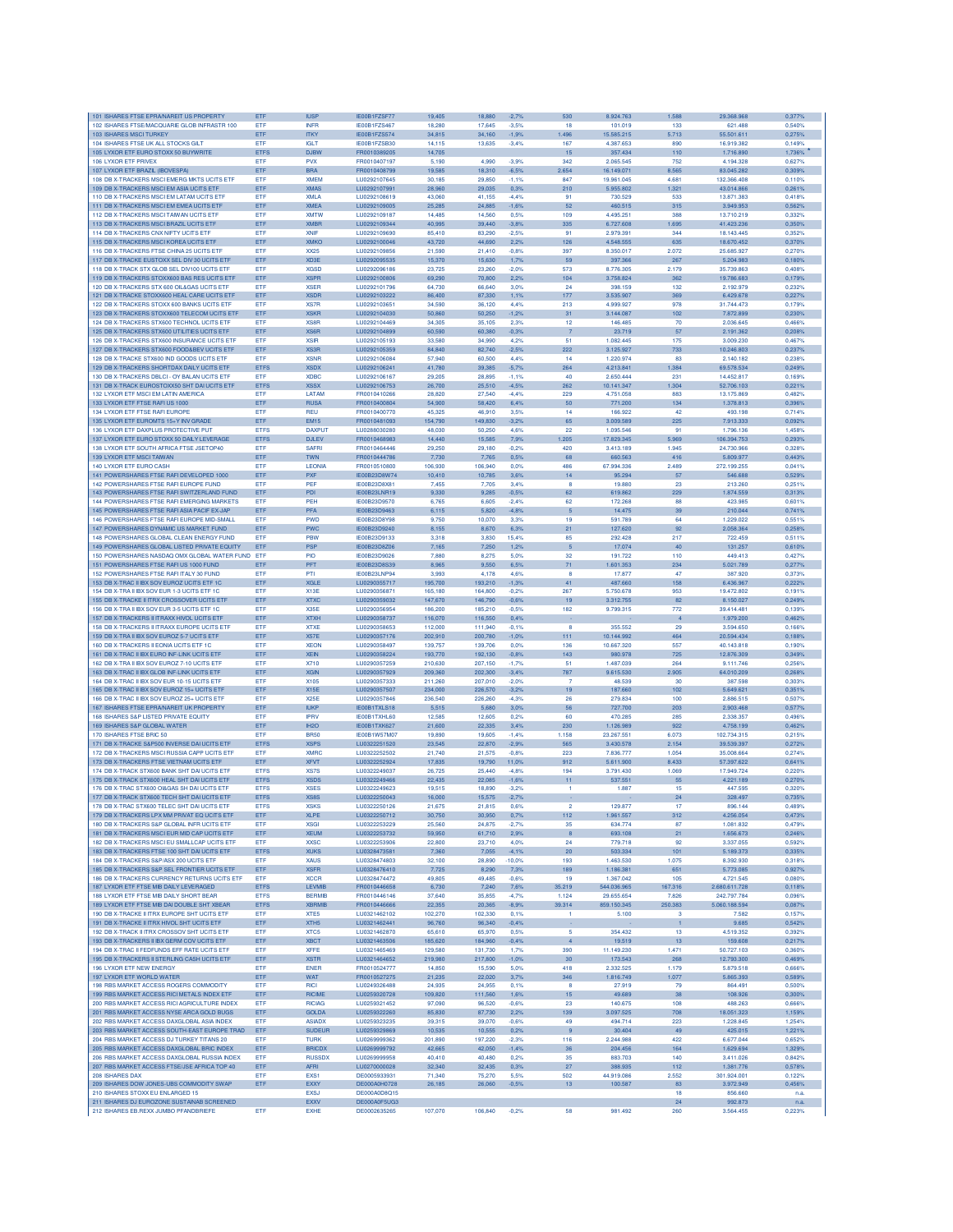| 101 ISHARES FTSE EPRANAREIT US PROPERTY                                                      | ETF                        | <b>IUSP</b>                           | IE00B1FZSF77                   | 19,405             | 18,880             | $-2,7%$            | 530                 | 8.924.763                | 1.588          | 29.368.968                 | 0,377%           |
|----------------------------------------------------------------------------------------------|----------------------------|---------------------------------------|--------------------------------|--------------------|--------------------|--------------------|---------------------|--------------------------|----------------|----------------------------|------------------|
| 102 ISHARES FTSE/MACQUARIE GLOB INFRASTR 100                                                 | ETF                        | <b>INFR</b>                           | <b>IE00B1FZS467</b>            | 18,280             | 17,645             | $-3.5%$            | 18                  | 101.019                  | 133            | 621.488                    | 0.540%           |
| 103 ISHARES MSCI TURKEY<br>104 ISHARES FTSE UK ALL STOCKS GILT                               | ETF<br>ETF                 | <b>ITKY</b><br><b>IGLT</b>            | IE00B1FZS574<br>IE00B1FZSB30   | 34,815<br>14.115   | 34,160<br>13,635   | $-1,9%$<br>$-3.4%$ | 1.496<br>167        | 15.585.215<br>4.387.653  | 5.713<br>890   | 55.501.611<br>16.919.382   | 0,275%<br>0.149% |
| 105 LYXOR ETF EURO STOXX 50 BUYWRITE                                                         | <b>ETFS</b>                | <b>DJBW</b>                           | FR0010389205                   | 14,705             |                    |                    | 15                  | 357.434                  | 110            | 1.716.890                  | 1,736%           |
| 106 LYXOR ETF PRIVEX                                                                         | ETF                        | PVX                                   | FR0010407197                   | 5,190              | 4,990              | $-3.9%$            | 342                 | 2.065.545                | 752            | 4.194.328                  | 0.627%           |
| 107 LYXOR ETF BRAZIL (IBOVESPA)                                                              | ETF                        | <b>BRA</b>                            | FR0010408799                   | 19,585             | 18,310             | $-6.5%$            | 2.654               | 16.149.071               | 8.565          | 83.045.282                 | 0,309%           |
| 108 DB X-TRACKERS MSCI EMERG MKTS UCITS ETF                                                  | ETF                        | <b>XMFM</b>                           | LU0292107645                   | 30.185             | 29,850             | $-1,1%$            | 847                 | 19.961.045               | 4.681          | 132.366.408                | 0.110%           |
| 109 DB X-TRACKERS MSCI EM ASIA UCITS ETF<br>110 DB X-TRACKERS MSCI EM LATAM UCITS ETF        | ETF<br><b>ETF</b>          | <b>XMAS</b><br><b>XMLA</b>            | LU0292107991<br>LU0292108619   | 28,960<br>43,060   | 29.035<br>41.155   | 0.3%<br>$-4.4%$    | 210<br>91           | 5.955.802<br>730,529     | 1.321<br>533   | 43.014.866<br>13,871,383   | 0.261%<br>0.418% |
| 111 DB X-TRACKERS MSCI EM EMEA UCITS ETF                                                     | ETF                        | <b>XMEA</b>                           | LU0292109005                   | 25,285             | 24,885             | $-1,6%$            | 52                  | 460.515                  | 315            | 3.949.953                  | 0.562%           |
| 112 DB X-TRACKERS MSCI TAIWAN UCITS ETF                                                      | ETF                        | <b>XMTW</b>                           | LU0292109187                   | 14,485             | 14,560             | 0.5%               | 109                 | 4.495.251                | 388            | 13.710.219                 | 0.332%           |
| 113 DB X-TRACKERS MSCI BRAZIL UCITS ETF                                                      | ETF                        | <b>XMBR</b>                           | LU0292109344                   | 40,995             | 39,440             | $-3.8%$            | 335                 | 6.727.608                | 1.695          | 41.423.236                 | 0,350%           |
| 114 DB X-TRACKERS CNX NIFTY UCITS ETF                                                        | ETF                        | <b>XNIF</b>                           | LU0292109690                   | 85,410             | 83,290             | $-2.5%$            | 91                  | 2.979.39                 | 344            | 18.143.445                 | 0,352%           |
| 115 DB X-TRACKERS MSCI KOREA UCITS ETF                                                       | ETF                        | <b>XMKO</b>                           | LU0292100046                   | 43,720             | 44,690             | 2.2%               | 126                 | 4.548.555                | 635            | 18.670.452                 | 0,370%           |
| 116 DB X-TRACKERS FTSE CHINA 25 UCITS ETF<br>117 DB X-TRACKE EUSTOXX SEL DIV 30 UCITS ETF    | ETF<br>ETF                 | <b>XX25</b><br>XD <sub>3</sub> E      | LU0292109856<br>LU0292095535   | 21,590<br>15,370   | 21,410<br>15,630   | $-0.8%$<br>1.7%    | 397<br>59           | 8.350.017<br>397,366     | 2.072<br>267   | 25,685.927<br>5.204.983    | 0.270%<br>0.180% |
| 118 DB X-TRACK STX GLOB SEL DIV100 UCITS ETF                                                 | ETF                        | <b>XGSD</b>                           | LU0292096186                   | 23.725             | 23,260             | $-2.0%$            | 573                 | 8.776.305                | 2.179          | 35.739.863                 | 0.408%           |
| 119 DB X-TRACKERS STOXX600 BAS RES UCITS ETF                                                 | ETF                        | <b>XSPR</b>                           | LU0292100806                   | 69,290             | 70,800             | 2.2%               | 104                 | 3.758.824                | 362            | 19.786.683                 | 0,179%           |
| 120 DB X-TRACKERS STX 600 OIL&GAS UCITS ETF                                                  | ETF                        | <b>XSER</b>                           | LU0292101796                   | 64,730             | 66,640             | 3.0%               | 24                  | 398.159                  | 132            | 2.192.979                  | 0.232%           |
| 121 DB X-TRACKE STOXX600 HEAL CARE UCITS ETF                                                 | ETF                        | <b>XSDR</b>                           | LU0292103222                   | 86,400             | 87.330             | 1,1%               | 177                 | 3.535.907                | 369            | 6.429.678                  | 0,227%           |
| 122 DB X-TRACKERS STOXX 600 BANKS UCITS ETF                                                  | <b>ETF</b>                 | <b>XS7R</b>                           | LU0292103651                   | 34,590             | 36.120             | 4.4%               | 213                 | 4.999.927                | 978            | 31.744.473                 | 0.179%           |
| 123 DB X-TRACKERS STOXX600 TELECOM UCITS ETP<br>124 DB X-TRACKERS STX600 TECHNOL UCITS ETF   | ETF<br>ETF                 | <b>XSKR</b><br>XS8R                   | 1110292104030<br>LU0292104469  | 50.860<br>34,305   | 50,250<br>35,105   | $-1.2%$<br>2.3%    | 31<br>12            | 3.144.087<br>146.485     | 102<br>70      | 7.872.899<br>2.036.645     | 0.230%<br>0.466% |
| 125 DB X-TRACKERS STX600 UTILITIES UCITS ETF                                                 | ETF                        | XS6R                                  | LU0292104899                   | 60,590             | 60,380             | $-0.3%$            | $\overline{7}$      | 23.719                   | 57             | 2.191.362                  | 0,208%           |
| 126 DB X-TRACKERS STX600 INSURANCE UCITS ETF                                                 | ETF                        | <b>XSIR</b>                           | LU0292105193                   | 33,580             | 34,990             | 4,2%               | 51                  | 1.082.445                | 175            | 3.009.230                  | 0,467%           |
| 127 DB X-TRACKERS STX600 FOOD&BEV UCITS ETF                                                  | ETF                        | XS3R                                  | LU0292105359                   | 84,840             | 82,740             | $-2,5%$            | 222                 | 3.125.927                | 733            | 10.246.803                 | 0,237%           |
| 128 DB X-TRACKE STX600 IND GOODS UCITS ETF                                                   | ETF                        | <b>XSNR</b>                           | LU0292106084                   | 57,940             | 60,500             | 4.4%               | 14                  | 1.220.974                | 83             | 2.140.182                  | 0.238%           |
| 129 DB X-TRACKERS SHORTDAX DAILY UCITS ETF                                                   | <b>ETFS</b>                | <b>XSDX</b>                           | LU0292106241                   | 41,780             | 39.385             | $-5.7%$            | 264                 | 4.213.841                | 1.384          | 69.578.534                 | 0.249%           |
| 130 DB X-TRACKERS DBLCI - OY BALAN UCITS ETF                                                 | ETF                        | <b>XDBC</b>                           | LU0292106167                   | 29,205             | 28,895             | $-1,1%$            | 40                  | 2.650.444                | 231            | 14.452.817                 | 0.169%           |
| 131 DB X-TRACK EUROSTOXX50 SHT DAI UCITS ETF<br>132 LYXOR ETF MSCI EM LATIN AMERICA          | <b>ETFS</b><br>ETF         | <b>XSSX</b><br>LATAM                  | LU0292106753<br>FR0010410266   | 26,700<br>28,820   | 25,510<br>27,540   | $-4.5%$<br>$-4.4%$ | 262<br>229          | 10.141.347<br>4.751.058  | 1.304<br>883   | 52.706.103<br>13.175.869   | 0,221%<br>0,4829 |
| 133 LYXOR ETF FTSE RAFI US 1000                                                              | ETF                        | <b>RUSA</b>                           | FR0010400804                   | 54,900             | 58,420             | 6.4%               | 50                  | 771.200                  | 134            | 1.378.813                  | 0,396%           |
| 134 LYXOR ETF FTSE RAFI EUROPE                                                               | ETF                        | <b>RFU</b>                            | FR0010400770                   | 45.325             | 46.910             | 3.5%               | 14                  | 166,922                  | 42             | 493.198                    | 0.714%           |
| 135 LYXOR ETF EUROMTS 15+Y INV GRADE                                                         | ETF                        | <b>EM15</b>                           | FR0010481093                   | 154.790            | 149,830            | 3.2%               | 65                  | 3.009.589                | 225            | 7.913.333                  | 0.092%           |
| 136 LYXOR ETF DAXPLUS PROTECTIVE PUT                                                         | <b>ETFS</b>                | <b>DAXPUT</b>                         | LU0288030280                   | 48,030             | 50,250             | 4.6%               | 22                  | 1.095.546                | 91             | 1.796.136                  | 1,458%           |
| 137 LYXOR ETF EURO STOXX 50 DAILY LEVERAGE                                                   | <b>ETFS</b>                | <b>DJLEV</b>                          | FR0010468983                   | 14,440             | 15,585             | 7,9%               | 1.205               | 17.829.345               | 5.969          | 106.394.753                | 0,293%           |
| 138 LYXOR ETF SOUTH AFRICA FTSE JSETOP40<br>139 LYXOR ETF MSCI TAIWAN                        | ETF                        | <b>SAFRI</b>                          | FR0010464446                   | 29,250             | 29,180             | $-0.2%$            | 420                 | 3.413.189                | 1.945          | 24.730.966                 | 0,328%           |
| 140 LYXOR ETF EURO CASH                                                                      | ETF<br>ETF                 | <b>TWN</b><br><b>LEONIA</b>           | FR0010444786<br>FR0010510800   | 7,730<br>106,930   | 7,765<br>106,940   | 0.5%<br>0.0%       | 68<br>486           | 660.563<br>67.994.336    | 416<br>2.489   | 5.809.977<br>272.199.255   | 0,443%<br>0.041% |
| 141 POWERSHARES FTSE RAFI DEVELOPED 1000                                                     | ETF                        | <b>PXF</b>                            | IE00B23D8W74                   | 10,410             | 10,785             | 3.6%               | 14                  | 95.294                   | 57             | 546,688                    | 0.529%           |
| 142 POWERSHARES FTSE RAFI EUROPE FUND                                                        | ETF                        | PEF                                   | IE00B23D8X81                   | 7.455              | 7.705              | 3.4%               | 8                   | 19,880                   | 23             | 213,260                    | 0.251%           |
| 143 POWERSHARES FTSE RAFI SWITZERLAND FUND                                                   | ETF                        | PDI                                   | IE00B23LNR19                   | 9.330              | 9,285              | $-0.5%$            | 62                  | 619,862                  | 229            | .874.559                   | 0,313%           |
| 144 POWERSHARES FTSE RAFI EMERGING MARKETS                                                   | ETF                        | PEH                                   | IE00B23D9570                   | 6,765              | 6,605              | $-2,4%$            | 62                  | 172.268                  | 88             | 423.985                    | 0,601%           |
| 145 POWERSHARES FTSE RAFI ASIA PACIF EX-JAP                                                  | ETF                        | PFA                                   | IE00B23D9463                   | 6,115              | 5,820              | 4.8%               | 5                   | 14.475                   | 39             | 210.044                    | 0,741%           |
| 146 POWERSHARES FTSE RAFI EUROPE MID-SMALL<br>147 POWERSHARES DYNAMIC US MARKET FUND         | <b>FTF</b><br>ETF          | <b>PWD</b><br><b>PWC</b>              | IE00B23D8Y98<br>IE00B23D9240   | 9.750<br>8.155     | 10.070<br>8.670    | 3.3%<br>6.3%       | 19<br>21            | 591 789<br>127,620       | 64<br>92       | 1.229.022<br>2.058.364     | 0.551%<br>0.258% |
| 148 POWERSHARES GLOBAL CLEAN ENERGY FUND                                                     | <b>ETF</b>                 | <b>PBW</b>                            | IE00B23D9133                   | 3,318              | 3.830              | 15.4%              | 85                  | 292.428                  | 217            | 722.459                    | 0.511%           |
| 149 POWERSHARES GLOBAL LISTED PRIVATE EQUITY                                                 | ETF                        | <b>PSP</b>                            | IE00B23D8Z06                   | 7,165              | 7,250              | 1,2%               | 5                   | 17.074                   | 40             | 131.257                    | 0,610%           |
| 150 POWERSHARES NASDAQ OMX GLOBAL WATER FUND ETF                                             |                            | PIO                                   | IE00B23D9026                   | 7,880              | 8,275              | 5.0%               | 32                  | 191.722                  | 110            | 449.413                    | 0,427%           |
| 151 POWERSHARES FTSE RAFIUS 1000 FUND                                                        | ETF                        | PFT                                   | IE00B23D8S39                   | 8,965              | 9,550              | 6,5%               | 71                  | 1.601.353                | 234            | 5.021.789                  | 0,277%           |
| 152 POWERSHARES FTSE RAFI ITALY 30 FUND                                                      | ETF                        | PTI                                   | IE00B23LNP94                   | 3,993              | 4,178              | 4.6%               | 8                   | 17.877                   | 47             | 387.920                    | 0.373%           |
| 153 DB X-TRAC II IBX SOV EUROZ UCITS ETF 1C                                                  | ETF                        | <b>XGLE</b>                           | LU0290355717                   | 195,700            | 193,210            | $-1,3%$            | 41                  | 487.660                  | 158            | 6.436.967                  | 0,222%           |
| 154 DB X-TRA II IBX SOV EUR 1-3 UCITS ETF 1C<br>155 DB X-TRACKE II ITRX CROSSOVER UCITS ETF  | ETF<br>ETF                 | X13E<br><b>XTXC</b>                   | LU0290356871<br>LU0290359032   | 165.180<br>147,670 | 164,800<br>146,790 | $-0.2%$<br>$-0,6%$ | 267<br>19           | 5.750.678<br>3.312.755   | 953<br>82      | 19.472.802<br>8.150.027    | 0.191%<br>0,249% |
| 156 DB X-TRA II IBX SOV EUR 3-5 UCITS ETF 1C                                                 | ETF                        | X35E                                  | LU0290356954                   | 186,200            | 185,210            | $-0.5%$            | 182                 | 9.799.315                | 772            | 39.414.481                 | 0.139%           |
| 157 DB X-TRACKERS II ITRAXX HIVOL UCITS ETF                                                  | ETF                        | <b>XTXH</b>                           | LU0290358737                   | 116,070            | 116,550            | 0.4%               |                     |                          | $\overline{4}$ | 1.979.200                  | 0,462%           |
| 158 DB X-TRACKERS II ITRAXX EUROPE UCITS ETF                                                 | ETF                        | <b>XTXE</b>                           | LU0290358653                   | 112,000            | 111,940            | $-0.1%$            | $\mathbf{R}$        | 355 552                  | 29             | 3.594.650                  | 0.166%           |
| 159 DB X-TRA II IBX SOV EUROZ 5-7 UCITS ETF                                                  | ETF                        | <b>X57E</b>                           | LU0290357176                   | 202,910            | 200,780            | $-1.0%$            | 111                 | 10.144.992               | 464            | 20.594.434                 | 0.188%           |
| 160 DB X-TRACKERS II EONIA UCITS ETF 1C                                                      | <b>ETF</b>                 | <b>XEON</b>                           | LU0290358497                   | 139,757            | 139,706            | 0.0%               | 136                 | 10.667.320               | 557            | 40.143.818                 | 0.190%           |
| 161 DB X-TRAC II IBX EURO INF-LINK UCITS ETF<br>162 DB X-TRA II IBX SOV EUROZ 7-10 UCITS ETF | ETF<br>ETF                 | <b>XEIN</b><br>X710                   | LU0290358224<br>LU0290357259   | 193,770<br>210,630 | 192,130<br>207,150 | $-0.8%$<br>$-1,7%$ | 143<br>51           | 980.978<br>1.487.039     | 725<br>264     | 12.876.309<br>9.111.746    | 0,349%<br>0.256% |
| 163 DB X-TRAC II IBX GLOB INF-LINK UCITS ETF                                                 | ETF                        | <b>XGIN</b>                           | LU0290357929                   | 209,360            | 202,300            | $-3.4%$            | 787                 | 9.615.530                | 2.905          | 64.010.209                 | 0,268%           |
| 164 DB X-TRAC II IBX SOV EUR 10-15 UCITS ETF                                                 | ETF                        | X105                                  | LU0290357333                   | 211,260            | 207,010            | $-2.0%$            | 7                   | 48.539                   | 30             | 387.598                    | 0,303%           |
| 165 DB X-TRAC II IBX SOV EUROZ 15+ UCITS ETF                                                 | ETF                        | X15E                                  | LU0290357507                   | 234,000            | 226,570            | $-3.2%$            | 19                  | 187.660                  | 102            | 5.649.621                  | 0,351%           |
| 166 DB X-TRAC II IBX SOV EUROZ 25+ UCITS ETF                                                 | ETF                        | <b>X25E</b>                           | LU0290357846                   | 236,540            | 226,260            | $-4.3%$            | 26                  | 279.834                  | 100            | 2.886.515                  | 0.507%           |
| 167 ISHARES FTSE EPRANAREIT UK PROPERTY                                                      | ETF                        | <b>IUKP</b>                           | IE00B1TXLS18                   | 5.515              | 5,680              | 3.0%               | 56                  | 727,700                  | 203            | 2.903.468                  | 0.577%           |
| 168 ISHARES S&P LISTED PRIVATE EQUITY                                                        | ETF                        | <b>IPRV</b>                           | IE00B1TXHL60                   | 12,585             | 12,605             | 0.2%               | 60                  | 470.285                  | 285            | 2.338.357                  | 0.496%           |
| 169 ISHARES S&P GLOBAL WATER<br>170 ISHARES FTSE BRIC 50                                     | ETF<br>ETF                 | IH <sub>2</sub> O<br>BR <sub>50</sub> | IE00B1TXK627<br>IE00B1W57M07   | 21,600<br>19,890   | 22,335<br>19,605   | 3.4%<br>$-1,4%$    | 230<br>1.158        | 1.126.989<br>23.267.55   | 922<br>6.073   | 4.758.199<br>102.734.315   | 0,462%<br>0,215% |
| 171 DB X-TRACKE S&P500 INVERSE DAI UCITS ETF                                                 | ETFS                       | <b>XSPS</b>                           | LU0322251520                   | 23.545             | 22,870             | $-2.9%$            | 565                 | 3.430.578                | 2.154          | 39.539.397                 | 0,272%           |
| 172 DR X-TRACKERS MSCLRUSSIA CAPP LICITS ETF                                                 | <b>ETF</b>                 | <b>XMRC</b>                           | 1110322252502                  | 21.740             | 21.575             | $-0.8%$            | 223                 | 7.836.777                | 1.054          | 35,008,664                 | 0.274%           |
| 173 DB X-TRACKERS FTSE VIETNAM UCITS ETF                                                     | <b>ETF</b>                 | <b>XFVT</b>                           | LU0322252924                   | 17,835             | 19.790             | 11.0%              | 912                 | 5.611.900                | 8.433          | 57.397.622                 | 0.641%           |
| 174 DB X-TRACK STX600 BANK SHT DAI UCITS ETF                                                 | <b>ETFS</b>                | XS7S                                  | LU0322249037                   | 26,725             | 25,440             | $-4.8%$            | 194                 | 3.791.430                |                |                            |                  |
| 175 DB X-TRACK STX600 HEAL SHT DAI UCITS ETF                                                 | <b>ETFS</b>                | <b>XSDS</b>                           | LU0322249466                   | 22,435             | 22,085             | $-1,6%$            |                     |                          | 1.069          | 17.949.724                 | 0.220%           |
| 176 DB X-TRAC STX600 OI&GAS SH DAI UCITS ETF                                                 | <b>ETFS</b><br><b>ETFS</b> | <b>XSES</b>                           | LU0322249623                   | 19,515             |                    |                    | 11                  | 537.551                  | 55             | 4.221.189                  | 0,270%           |
| 177 DB X-TRACK STX600 TECH SHT DAI UCITS ETF<br>178 DB X-TRAC STX600 TELEC SHT DAI UCITS ETF |                            |                                       |                                |                    | 18,890             | $-3.2%$            |                     | 1.887                    | 15             | 447.595                    | 0.320%           |
| 179 DB X-TRACKERS LPX MM PRIVAT FO LICITS ETF                                                |                            | XS8S                                  | LU0322250043                   | 16,000             | 15,575             | $-2,7%$            |                     |                          | 24             | 328.497                    | 0,735%           |
|                                                                                              | <b>ETFS</b><br>ETF         | XSKS<br><b>XLPE</b>                   | LU0322250126<br>LU0322250712   | 21,675<br>30,750   | 21,815<br>30,950   | 0,6%<br>0,7%       | 2<br>112            | 129.877<br>1.961.557     | 17<br>312      | 896.144<br>4.256.054       | 0,489%<br>0,473% |
| 180 DB X-TRACKERS S&P GLOBAL INFR UCITS ETF                                                  | ETF                        | <b>XSGI</b>                           | LU0322253229                   | 25,560             | 24,875             | $-2,7%$            | 35                  | 634.774                  | 87             | 1.081.832                  | 0,479%           |
| 181 DB X-TRACKERS MSCI EUR MID CAP UCITS ETF                                                 | ETF                        | <b>XEUM</b>                           | LU0322253732                   | 59,950             | 61,710             | 2,9%               | $\boldsymbol{8}$    | 693.108                  | 21             | 1.656.673                  | 0,246%           |
| 182 DB X-TRACKERS MSCI EU SMALLCAP UCITS ETF                                                 | ETF                        | <b>XXSC</b>                           | LU0322253906                   | 22,800             | 23,710             | 4.0%               | 24                  | 779.718                  | 92             | 3.337.055                  | 0,592%           |
| 183 DB X-TRACKERS FTSE 100 SHT DAI UCITS ETF                                                 | ETFS                       | <b>XUKS</b>                           | LU0328473581                   | 7,360              | 7,055              | $-4.1%$            | 20                  | 503.334                  | 101            | 5.189.373                  | 0,335%           |
| 184 DB X-TRACKERS S&P/ASX 200 UCITS ETF                                                      | ETF                        | <b>XAUS</b>                           | 1110328474803<br>1110328476410 | 32,100             | 28,890             | $-10.0%$           | 193                 | 1.463.530                | 1.075          | 8.392.930                  | 0.318%           |
| 185 DB X-TRACKERS S&P SEL FRONTIER UCITS ETF<br>186 DB X-TRACKERS CURRENCY RETURNS UCITS ETF | ETF<br>ETF                 | <b>XSFR</b>                           | LU0328474472                   | 7,725              | 8.290              | 7.3%<br>$-0.6%$    | 189                 | 1.186.381                | 651<br>105     | 5.773.085                  | 0.927%<br>0.080% |
| 187 LYXOR ETF FTSE MIB DAILY LEVERAGED                                                       | <b>ETFS</b>                | <b>XCCR</b><br>LEVMIB                 | FR0010446658                   | 49,805<br>6,730    | 49,485<br>7,240    | 7,6%               | 19<br>35.219        | 1.367.042<br>544.036.965 | 167.316        | 4.721.545<br>2.680.611.728 | 0,118%           |
| 188 LYXOR ETF FTSE MIB DAILY SHORT BEAR                                                      | <b>ETFS</b>                | <b>BERMIB</b>                         | FR0010446146                   | 37,640             | 35,855             | $-4,7%$            | 1.124               | 29.655.654               | 7.826          | 242.797.784                | 0,096%           |
| 189 LYXOR ETF FTSE MIB DAI DOUBLE SHT XBEAR                                                  | <b>ETFS</b>                | <b>XBRMIB</b>                         | FR0010446666                   | 22,355             | 20,365             | $-8,9%$            | 39.314              | 859.150.345              | 250.383        | 5.060.188.594              | 0,087%           |
| 190 DB X-TRACKE II ITRX FUROPE SHT UCITS ETE                                                 | ETF                        | XTE5                                  | 1110321462102                  | 102,270            | 102.330            | 0,1%               | $\overline{1}$      | 5.100                    | 3              | 7.582                      | 0.157%           |
| 191 DB X-TRACKE II ITRX HIVOL SHT UCITS ETF                                                  | ETF                        | XTH <sub>5</sub>                      | LU0321462441                   | 96,760             | 96.340             | $-0.4%$            |                     |                          | $\mathbf{1}$   | 9.685                      | 0.542%           |
| 192 DB X-TRACK II ITRX CROSSOV SHT UCITS ETF                                                 | ETF                        | XTC5                                  | LU0321462870                   | 65,610             | 65,970             | 0.5%               | 5<br>$\overline{4}$ | 354,432                  | 13             | 4.519.352                  | 0.392%           |
| 193 DB X-TRACKERS II IBX GERM COV UCITS ETF<br>194 DB X-TRAC II FEDFUNDS EFF RATE UCITS ETF  | ETF<br>ETF                 | <b>XBCT</b><br><b>XFFE</b>            | LU0321463506<br>LU0321465469   | 185,620<br>129,580 | 184,960<br>131,730 | $-0.4%$<br>1,7%    | 390                 | 19.519<br>11.149.230     | 13<br>1.471    | 159.608<br>50.727.103      | 0,217%<br>0,360% |
| 195 DB X-TRACKERS II STERLING CASH UCITS ETF                                                 | ETF                        | <b>XSTR</b>                           | LU0321464652                   | 219,980            | 217,800            | $-1.0%$            | 30                  | 173.543                  | 268            | 12.793.300                 | 0,469%           |
| 196 I YXOR FTF NEW ENFRGY                                                                    | ETF                        | <b>ENER</b>                           | FR0010524777                   | 14.850             | 15.590             | 5.0%               | 418                 | 2.332.525                | 1.179          | 5.879.518                  | 0.666%           |
| 197 LYXOR ETF WORLD WATER                                                                    | ETF                        | <b>WAT</b>                            | FR0010527275                   | 21.235             | 22.020             | 3.7%               | 346                 | 1.816.749                | 1.077          | 5.865.393                  | 0.589%           |
| 198 RBS MARKET ACCESS ROGERS COMMODITY                                                       | ETF                        | <b>RICI</b>                           | LU0249326488                   | 24.935             | 24.955             | 0.1%               | <b>R</b>            | 27.919                   | 79             | 864,491                    | 0.500%           |
| 199 RBS MARKET ACCESS RICI METALS INDEX ETF                                                  | ETF                        | RICIME                                | LU0259320728                   | 109,820            | 111,560            | 1,6%               | 15                  | 49.689                   | 38             | 108.926                    | 0,300%           |
| 200 RBS MARKET ACCESS RICI AGRICULTURE INDEX                                                 | ETF                        | <b>RICIAG</b>                         | LU0259321452                   | 97,090             | 96,520             | $-0.6%$            | 23                  | 140.675                  | 108            | 488.263                    | 0,666%           |
| 201 RBS MARKET ACCESS NYSE ARCA GOLD BUGS<br>202 RBS MARKET ACCESS DAXGLOBAL ASIA INDEX      | ETF<br><b>FTF</b>          | <b>GOLDA</b><br><b>ASIADX</b>         | LU0259322260<br>1110259323235  | 85,830<br>39,315   | 87,730<br>39,070   | 2,2%<br>$-0.6%$    | 139<br>49           | 3.097.525<br>494.714     | 708<br>223     | 18.051.323<br>1,228,845    | 1,159%<br>1.254% |
| 203 RBS MARKET ACCESS SOUTH-EAST EUROPE TRAD                                                 | ETF                        | <b>SUDEUF</b>                         | LU0259329869                   | 10,535             | 10,555             | 0,2%               | $\overline{9}$      | 30.404                   | 49             | 425.015                    | 1,221%           |
| 204 RBS MARKET ACCESS DJ TURKEY TITANS 20                                                    | ETF                        | <b>TURK</b>                           | LU0269999362                   | 201.890            | 197.220            | $-2.3%$            | 116                 | 2.244.988                | 422            | 6,677,044                  | 0.652%           |
| 205 RBS MARKET ACCESS DAXGLOBAL BRIC INDEX                                                   | ETF                        | <b>BRICDX</b>                         | LU0269999792                   | 42,665             | 42,050             | $-1,4%$            | 36                  | 204.456                  | 164            | 1.629.694                  | 1,329%           |
| 206 RBS MARKET ACCESS DAXGLOBAL RUSSIA INDEX                                                 | ETF                        | <b>RUSSDX</b>                         | LU0269999958                   | 40,410             | 40,480             | 0,2%               | 35                  | 883.703                  | 140            | 3.411.026                  | 0.842%           |
| 207 RBS MARKET ACCESS FTSE/JSE AFRICA TOP 40<br>208 ISHARES DAX                              | ETF                        | <b>AFRI</b><br>EXS1                   | LU0270000028                   | 32,340             | 32,435             | 0,3%<br>5.5%       | 27                  | 388.935                  | 112<br>2.552   | 1.381.776                  | 0,578%           |
| 209 ISHARES DOW JONES-UBS COMMODITY SWAP                                                     | ETF<br>ETF                 | EXXY                                  | DE0005933931<br>DE000A0H0728   | 71,340             | 75,270             | $-0.5%$            | 502                 | 44.919.086<br>100.587    | 83             | 301.924.001<br>3.972.949   | 0,122%<br>0,456% |
| 210 ISHARES STOXX EU ENLARGED 15                                                             |                            | <b>EXSJ</b>                           | DE000A0D8Q15                   | 26,185             | 26,060             |                    | $13\,$              |                          | 18             | 856,660                    | n.a.             |
| 211 ISHARES DJ EUROZONE SUSTAINAB SCREENED<br>212 ISHARES EB.REXX JUMBO PFANDBRIEFE          | ETF                        | EXXV<br><b>EXHE</b>                   | DE000A0F5UG3<br>DE0002635265   | 107,070            | 106,840            | $-0,2%$            | 58                  | 981.492                  | 24<br>260      | 992.873<br>3.564.455       | n.a.<br>0,223%   |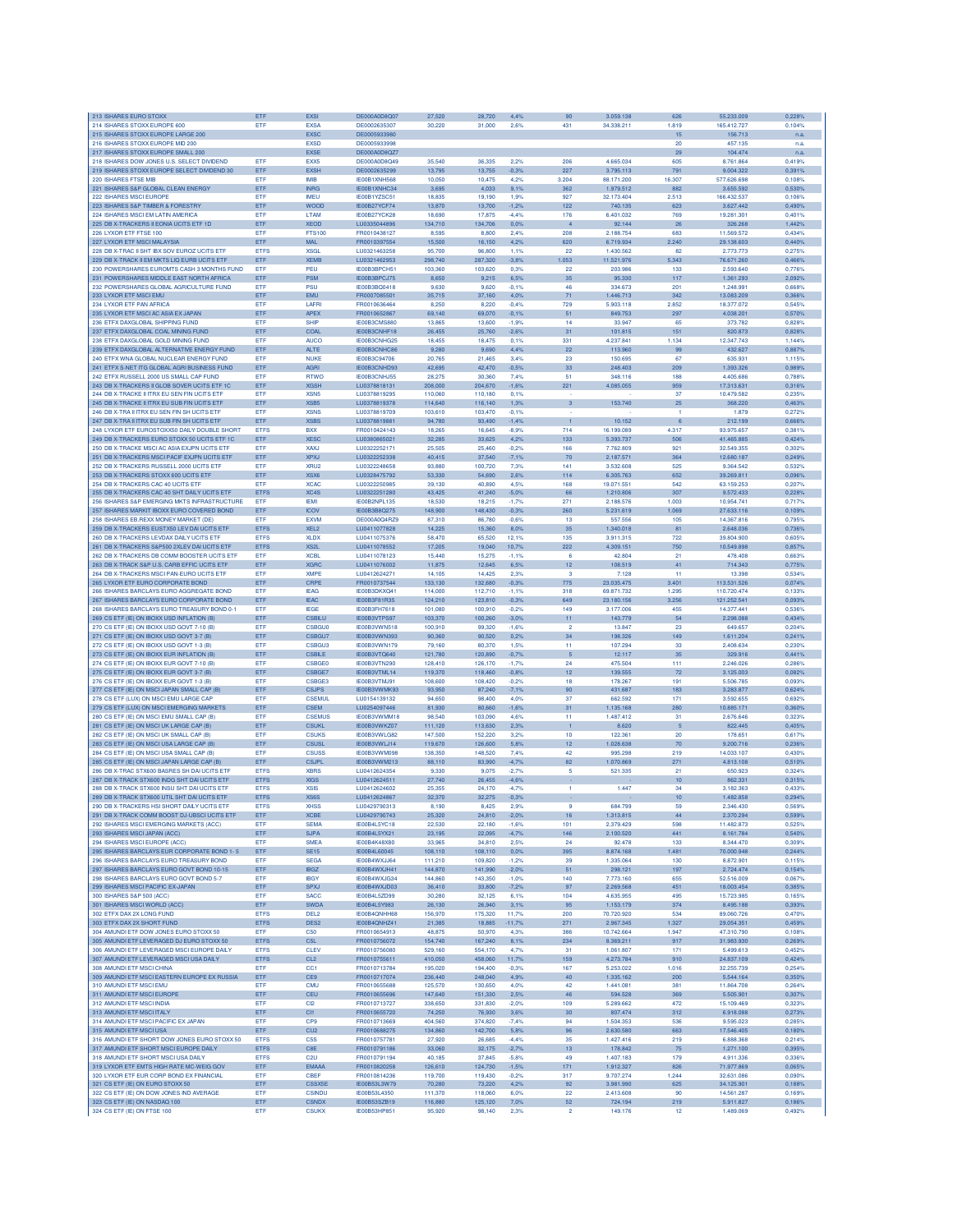| 213 ISHARES EURO STOXX                                                                       | ETF                        | <b>EXSI</b>                         | DE000A0D8Q07                  | 27,520             | 28,720             | 4,4%               | 90                   | 3.059.138                | 626                       | 55.233.009                 | 0,228%           |
|----------------------------------------------------------------------------------------------|----------------------------|-------------------------------------|-------------------------------|--------------------|--------------------|--------------------|----------------------|--------------------------|---------------------------|----------------------------|------------------|
| 214 ISHARES STOXX EUROPE 600<br>215 ISHARES STOXX EUROPE LARGE 200                           | ETF                        | <b>EXSA</b><br><b>EXSC</b>          | DE0002635307<br>DE0005933980  | 30,220             | 31,000             | 2.6%               | 431                  | 34.338.211               | 1.819<br>$15\phantom{.0}$ | 165.412.727<br>156.713     | 0,104%<br>n.a.   |
| 216 ISHARES STOXX EUROPE MID 200                                                             |                            | <b>EXSD</b>                         | DE0005933998                  |                    |                    |                    |                      |                          | 20                        | 457.135                    | n.a.             |
| 217 ISHARES STOXX EUROPE SMALL 200                                                           |                            | <b>EXSE</b>                         | DE000A0D8QZ7                  |                    |                    |                    |                      |                          | 29                        | 104.474                    | n.a.             |
| 218 ISHARES DOW JONES U.S. SELECT DIVIDEND<br>219 ISHARES STOXX EUROPE SELECT DIVIDEND 30    | ETF<br>ETF                 | EXX5<br><b>EXSH</b>                 | DE000A0D8Q49<br>DE0002635299  | 35.540<br>13,795   | 36,335<br>13,755   | 2.2%<br>$-0.3%$    | 206<br>227           | 4.665.034<br>3.795.113   | 605<br>791                | 8.761.864<br>9.004.322     | 0.419%<br>0,391% |
| 220 ISHARES FTSE MIB                                                                         | <b>FTF</b>                 | <b>IMR</b>                          | <b>IE00B1XNH568</b>           | 10.050             | 10,475             | 4.2%               | 3.204                | 88.171.200               | 16,307                    | 577.626.698                | 0.108%           |
| 221 ISHARES S&P GLOBAL CLEAN ENERGY                                                          | ETF                        | <b>INRG</b>                         | IE00B1XNHC34                  | 3.695              | 4.033              | 9.1%               | 362                  | 1.979.512                | 882                       | 3 655 592                  | 0.530%           |
| 222 ISHARES MSCI EUROPE<br>223 ISHARES S&P TIMBER & FORESTRY                                 | <b>ETF</b><br>ETF          | <b>IMEU</b><br><b>WOOD</b>          | IE00B1YZSC51<br>IE00B27YCF74  | 18,835<br>13,870   | 19,190<br>13,700   | 1.9%<br>$-1,2%$    | 927<br>122           | 32.173.404<br>740.135    | 2.513<br>623              | 166,432,537<br>3.627.442   | 0.106%<br>0,490% |
| 224 ISHARES MSCI EM LATIN AMERICA                                                            | ETF                        | LTAM                                | IE00B27YCK28                  | 18,690             | 17,875             | $-4.4%$            | 176                  | 6.401.032                | 769                       | 19.281.301                 | 0.401%           |
| 225 DB X-TRACKERS II EONIA UCITS ETF 1D                                                      | ETF                        | <b>XEOD</b>                         | LU0335044896                  | 134,710            | 134,706            | 0.0%               |                      | 92.144                   | 26                        | 326.268                    | 1,442%           |
| 226 LYXOR ETF FTSE 100                                                                       | ETF                        | <b>FTS100</b>                       | FR0010438127                  | 8,595              | 8,800              | 2,4%               | 208                  | 2.188.754                | 683                       | 11.569.572                 | 0,434%           |
| 227 LYXOR ETF MSCI MALAYSIA<br>228 DB X-TRAC II SHT IBX SOV EUROZ UCITS ETF                  | ETF<br><b>ETFS</b>         | <b>MAL</b><br><b>XSGL</b>           | FR0010397554<br>LU0321463258  | 15,500<br>95,700   | 16,150<br>96,800   | 4,2%<br>1.1%       | 620<br>22            | 6.719.934<br>1,430,562   | 2.240<br>82               | 29.138.603<br>2.773.773    | 0,440%<br>0.275% |
| 229 DB X-TRACK II EM MKTS LIQ EURB UCITS ETF                                                 | ETF                        | <b>XEMB</b>                         | LU0321462953                  | 298,740            | 287.320            | $-3.8%$            | 1.053                | 11.521.976               | 5.343                     | 76.671.260                 | 0.466%           |
| 230 POWERSHARES EUROMTS CASH 3 MONTHS FUND                                                   | ETF                        | PEU                                 | IE00B3BPCH51                  | 103,360            | 103,620            | 0.3%               | 22                   | 203,986                  | 133                       | 2.593.640                  | 0,776%           |
| 231 POWERSHARES MIDDLE EAST NORTH AFRICA<br>232 POWERSHARES GLOBAL AGRICULTURE FUND          | ETF<br>ETF                 | <b>PSM</b><br><b>PSU</b>            | IE00B3BPCJ75<br>IE00B3BQ0418  | 8,650<br>9.63      | 9,215<br>9,620     | 6.5%<br>$-0.1%$    | 35<br>46             | 95.330<br>334.673        | 117<br>201                | 1.361.293<br>1.248.99      | 2,092%<br>0.668% |
| 233 LYXOR ETF MSCI EMU                                                                       | ETF                        | <b>EMU</b>                          | FR0007085501                  | 35,715             | 37,160             | 4.0%               | 71                   | 1.446.713                | 342                       | 13.083.209                 | 0,366%           |
| 234 I YXOR FTF PAN AFRICA                                                                    | ETF                        | LAFRI                               | FR0010636464                  | 8.250              | 8.220              | $-0.4%$            | 729                  | 5,903.118                | 2.852                     | 18.377.072                 | 0.545%           |
| 235 LYXOR ETF MSCI AC ASIA EX JAPAN                                                          | ETF                        | <b>APEX</b>                         | FR0010652867                  | 69.140             | 69,070             | $-0.1%$            | 51                   | 849.753                  | 297                       | 4.038.201                  | 0.570%           |
| 236 ETFX DAXGLOBAL SHIPPING FUND<br>237 ETFX DAXGLOBAL COAL MINING FUND                      | ETF<br>ETF                 | <b>SHIP</b><br>COAL                 | IE00B3CMS880<br>IE00B3CNHF18  | 13,865<br>26,455   | 13,600<br>25,760   | $-1.9%$<br>$-2,6%$ | 14<br>31             | 33,947<br>101.815        | 65<br>151                 | 373,782<br>820.873         | 0.828%<br>0,828% |
| 238 ETFX DAXGLOBAL GOLD MINING FUND                                                          | ETF                        | <b>AUCO</b>                         | IE00B3CNHG25                  | 18,455             | 18,475             | 0.1%               | 331                  | 4.237.841                | 1.134                     | 12.347.743                 | 1,144%           |
| 239 ETFX DAXGLOBAL ALTERNATIVE ENERGY FUND                                                   | ETF                        | ALTE                                | IE00B3CNHC86                  | 9,280              | 9,690              | 4,4%               | 22                   | 113.960                  | 99                        | 432.627                    | 0,887%           |
| 240 ETFX WNA GLOBAL NUCLEAR ENERGY FUND                                                      | ETF                        | <b>NUKE</b>                         | IE00B3C94706                  | 20,765             | 21,465             | 3.4%               | 23                   | 150.695                  | 67                        | 635.931                    | 1,115%           |
| 241 ETFX S-NET ITG GLOBAL AGRI BUSINESS FUND<br>242 ETFX RUSSELL 2000 US SMALL CAP FUND      | ETF<br>ETF                 | <b>AGRI</b><br><b>RTWO</b>          | IE00B3CNHD93<br>IE00B3CNHJ55  | 42.695<br>28.275   | 42,470<br>30,360   | $-0.5%$<br>7,4%    | 33<br>51             | 248.403<br>348.116       | 209<br>188                | 1.393.326<br>4.405.686     | 0.989%<br>0.788% |
| 243 DB X-TRACKERS II GLOB SOVER UCITS ETF 1C                                                 | ETF                        | <b>XGSH</b>                         | LU0378818131                  | 208,000            | 204,670            | $-1.6%$            | 221                  | 4.085.055                | 959                       | 17.313.631                 | 0,316%           |
| 244 DB X-TRACKE II ITRX EU SEN FIN UCITS ETF                                                 | ETF                        | XSN <sub>5</sub>                    | LU0378819295                  | 110,060            | 110,180            | 0.1%               |                      |                          | 37                        | 10.479.582                 | 0.2359           |
| 245 DB X-TRACKE II ITRX EU SUB FIN UCITS ETF                                                 | ETF                        | <b>XSB5</b>                         | LU0378819378                  | 114,640            | 116,140            | 1,3%               | 3                    | 153.740                  | 25                        | 368,220                    | 0,463%           |
| 246 DB X-TRA II ITRX EU SEN FIN SH UCITS ETF<br>247 DB X-TRA II ITRX EU SUB FIN SH UCITS ETF | ETF<br><b>ETF</b>          | <b>XSNS</b><br><b>XSBS</b>          | LU0378819709<br>LU0378819881  | 103,610<br>94,780  | 103,470<br>93.490  | $-0.1%$<br>$-1.4%$ | $\mathbf{1}$         | 10.152                   | 1<br>6                    | 1.879<br>212,199           | 0.272%<br>0.666% |
| 248 LYXOR ETF EUROSTOXX50 DAILY DOUBLE SHORT                                                 | <b>ETFS</b>                | <b>BXX</b>                          | FR0010424143                  | 18,265             | 16,645             | $-8,9%$            | 714                  | 16.199.089               | 4.317                     | 93.975.657                 | 0.381%           |
| 249 DB X-TRACKERS EURO STOXX 50 UCITS ETF 1C                                                 | ETF                        | <b>XESC</b>                         | LU0380865021                  | 32,285             | 33,625             | 4,2%               | 133                  | 5.393.737                | 506                       | 41.465.885                 | 0,424%           |
| 250 DB X-TRACKE MSCI AC ASIA EXJPN UCITS ETF<br>251 DB X-TRACKERS MSCI PACIF EXJPN UCITS ETF | ETF<br>ETF                 | <b>XAXJ</b><br><b>XPXJ</b>          | LU0322252171<br>LU0322252338  | 25,505<br>40,415   | 25,460<br>37,540   | $-0.2%$<br>$-7,1%$ | 166<br>70            | 7.762.809<br>2.187.571   | 921<br>364                | 32.549.355<br>12.680.187   | 0,302%<br>0,249% |
| 252 DB X-TRACKERS RUSSELL 2000 UCITS ETP                                                     | ETF                        | XRU2                                | LU0322248658                  | 93,880             | 100,720            | 7,3%               | 141                  | 3.532.608                | 525                       | 9.364.542                  | 0.532%           |
| 253 DB X-TRACKERS STOXX 600 UCITS ETF                                                        | ETF                        | XSX6                                | LU0328475792                  | 53,330             | 54,690             | 2.6%               | 114                  | 6.305.763                | 652                       | 39.269.811                 | 0.096%           |
| 254 DB X-TRACKERS CAC 40 LICITS ETE                                                          | ETF                        | <b>XCAC</b>                         | 110322250985                  | 39.130             | 40.890             | 4.5%               | 168                  | 19.071.551               | 542                       | 63.159.253                 | 0.207%           |
| 255 DB X-TRACKERS CAC 40 SHT DAILY UCITS ETF<br>256 ISHARES S&P EMERGING MKTS INFRASTRUCTURE | <b>ETFS</b><br>ETF         | XC4S<br><b>IEM</b>                  | LU0322251280<br>IE00B2NPL135  | 43.425<br>18.53    | 41,240<br>18,215   | $-5.0%$<br>$-1,7%$ | 66<br>271            | 1.210.806<br>2.188.576   | 307<br>1.003              | 9.572.433<br>10.954.74     | 0,228%<br>0,717% |
| 257 ISHARES MARKIT IBOXX EURO COVERED BOND                                                   | ETF                        | <b>ICOV</b>                         | IE00B3B8Q275                  | 48,900             | 148,430            | $-0.3%$            | 260                  | 5.231.619                | 1.069                     | 27.633.116                 | 0,109%           |
| 258 ISHARES EB.REXX MONEY MARKET (DE                                                         | <b>FTF</b>                 | <b>FXVM</b>                         | DE000A0Q4B79                  | 87,310             | 86.780             | $-0.6%$            | 13                   | 557 556                  | 105                       | 14.367.816                 | 0.795%           |
| 259 DB X-TRACKERS EUSTX50 LEV DAI UCITS ETP                                                  | <b>ETFS</b>                | XEL <sub>2</sub>                    | LU0411077828                  | 14.225             | 15,360             | 8.0%               | 35                   | 1.340.018                | 81                        | 2.648.036                  | 0.736%           |
| 260 DB X-TRACKERS LEVDAX DAILY UCITS ETF<br>261 DB X-TRACKERS S&P500 2XLEV DAI UCITS ETF     | <b>ETFS</b><br><b>ETFS</b> | <b>XLDX</b><br>XS2L                 | 1110411075376<br>LU0411078552 | 58,470<br>17,205   | 65.520<br>19,040   | 12.1%<br>10,7%     | 135<br>222           | 3.911.315<br>4.309.151   | 722<br>750                | 39,804,900<br>10.549.898   | 0.605%<br>0,857% |
| 262 DB X-TRACKERS DB COMM BOOSTER UCITS ETF                                                  | ETF                        | <b>XCBL</b>                         | LU0411078123                  | 15,440             | 15,275             | $-1,1%$            | 6                    | 42.804                   | 21                        | 478.408                    | 0,663%           |
| 263 DB X-TRACK S&P U.S. CARB EFFIC UCITS ETF                                                 | ETF                        | <b>XGRC</b>                         | LU0411076002                  | 11,875             | 12,645             | 6,5%               | 12                   | 108.519                  | 41                        | 714.343                    | 0,775%           |
| 264 DB X-TRACKERS MSCI PAN-EURO UCITS ETF                                                    | ETF                        | <b>XMPE</b>                         | LU0412624271                  | 14,105             | 14,425             | 2,3%               | 3                    | 7.128                    | 11                        | 13.398                     | 0.534%           |
| 265 LYXOR ETF EURO CORPORATE BOND<br>266 ISHARES BARCLAYS EURO AGGREGATE BOND                | ETF<br>ETF                 | CRPE<br><b>IEAG</b>                 | FR0010737544<br>IE00B3DKXQ41  | 133,130<br>114,000 | 132,680<br>112,710 | $-0,3%$<br>$-1.1%$ | 775<br>318           | 23.035.475<br>69.871.732 | 3.401<br>1.295            | 113.531.526<br>110.720.474 | 0,074%<br>0.133% |
| 267 ISHARES BARCLAYS EURO CORPORATE BOND                                                     | ETF                        | <b>IEAC</b>                         | IE00B3F81R35                  | 124,210            | 123,810            | $-0,3%$            | 649                  | 23.180.156               | 3.256                     | 121.252.541                | 0,093%           |
| 268 ISHARES BARCLAYS EURO TREASURY BOND 0-1                                                  | ETF                        | <b>IEGE</b>                         | IE00B3FH7618                  | 101,080            | 100,910            | $-0.2%$            | 149                  | 3.177.006                | 455                       | 14.377.441                 | 0.536%           |
| 269 CS ETF (IE) ON IBOXX USD INFLATION (B)                                                   | ETF                        | <b>CSBILL</b>                       | IE00B3VTPS97                  | 103,370            | 100,260            | 3.0%               | 11                   | 143.779                  | 54                        | 2.298.088                  | 0,434%           |
| 270 CS ETF (IE) ON IBOXX USD GOVT 7-10 (B)<br>271 CS ETF (IE) ON IBOXX USD GOVT 3-7 (B)      | ETF<br>ETF                 | <b>CSBGU0</b><br>CSBGU7             | IE00B3VWN518<br>IE00B3VWN393  | 100,910<br>90.360  | 99,320<br>90.520   | $-1.6%$<br>0.2%    | $\overline{2}$<br>34 | 13,847<br>198.326        | 23<br>149                 | 649.657<br>1.611.204       | 0.204%<br>0.241% |
| 272 CS ETF (IE) ON IBOXX USD GOVT 1-3 (B)                                                    | <b>ETF</b>                 | <b>CSBGU3</b>                       | IE00B3VWN179                  | 79.160             | 80,370             | 1.5%               | 11                   | 107.294                  | 33                        | 2.408.634                  | 0.230%           |
| 273 CS ETF (IE) ON IBOXX EUR INFLATION (B)                                                   | ETF                        | <b>CSBILE</b>                       | IE00B3VTQ640                  | 121,780            | 120,890            | $-0,7%$            | 5                    | 12.117                   | 35                        | 329.916                    | 0,441%           |
| 274 CS ETF (IE) ON IBOXX EUR GOVT 7-10 (B)                                                   | ETF                        | <b>CSBGE0</b>                       | IE00B3VTN290                  | 128,410            | 126,170            | $-1,7%$            | 24                   | 475,504                  | 111                       | 2.246.026                  | 0.286%           |
| 275 CS ETF (IE) ON IBOXX EUR GOVT 3-7 (B)<br>276 CS ETF (IE) ON IBOXX EUR GOVT 1-3 (B)       | ETF<br>ETF                 | CSBGE7<br>CSBGE3                    | IE00B3VTML14<br>IE00B3VTMJ91  | 119,370<br>108,600 | 118,460<br>108,420 | $-0.8%$<br>$-0.2%$ | 12<br>18             | 139.555<br>178.267       | 72<br>191                 | 3.125.003<br>5.506.785     | 0,082%<br>0.093% |
| 277 CS ETF (IE) ON MSCI JAPAN SMALL CAP (B                                                   | ETF                        | <b>CSJPS</b>                        | IE00B3VWMK93                  | 93,950             | 87,240             | $-7,1%$            | 90                   | 431.687                  | 183                       | 3.283.877                  | 0,624%           |
| 278 CS ETF (LUX) ON MSCI EMU LARGE CAP                                                       | ETF                        | <b>CSEMUL</b>                       | LU0154139132                  | 94,650             | 98,400             | 4.0%               | 37                   | 662,592                  | 171                       | 3.592.655                  | 0.692%           |
| 279 CS ETF (LUX) ON MSCI EMERGING MARKETS                                                    | ETF                        | <b>CSEM</b>                         | LU0254097446                  | 81,930<br>98,540   | 80,660             | $-1.6%$            | 31<br>11             | 1.135.168                | 280<br>31                 | 10.885.171                 | 0.360%<br>0.323% |
| 280 CS ETF (IE) ON MSCI EMU SMALL CAP (B)<br>281 CS ETF (IE) ON MSCI UK LARGE CAP (B)        | ETF<br>ETF                 | <b>CSEMUS</b><br><b>CSUKL</b>       | IE00B3VWMM18<br>IE00B3VWKZ07  | 111,120            | 103,090<br>113,630 | 4,6%<br>2,3%       |                      | 1.487.412<br>8.620       | 5                         | 2.676.646<br>822.445       | 0,405%           |
| 282 CS ETF (IE) ON MSCI UK SMALL CAP (B)                                                     | ETF                        | <b>CSUKS</b>                        | IE00B3VWLG82                  | 147,500            | 152,220            | 3,2%               | 10                   | 122.36                   | 20                        | 178.65                     | 0,617%           |
| 283 CS ETF (IE) ON MSCI USA LARGE CAP (B                                                     | ETF                        | CSUSI                               | IE00B3VWLJ14                  | 119,670            | 126,600            | 5.8%               | 12                   | 1.028.638                | 70                        | 9.200.716                  | 0,236%           |
| 284 CS ETF (IE) ON MSCI USA SMALL CAP (B)<br>285 CS ETF (IE) ON MSCI JAPAN LARGE CAP (B)     | <b>ETF</b><br><b>ETF</b>   | <b>CSUSS</b><br><b>CSJPL</b>        | IE00B3VWM098<br>IE00B3VWM213  | 138,350<br>88.110  | 148,520<br>83,990  | 7.4%<br>$-4.7%$    | 42<br>82             | 995.298<br>1.070.869     | 219<br>271                | 14.033.107<br>4.813.108    | 0.430%<br>0.510% |
| 286 DB X-TRAC STX600 BASRES SH DAI UCITS ETF                                                 | <b>ETFS</b>                | <b>XBRS</b>                         | 1110412624354                 | 9,330              | 9.075              | $-2.7%$            | 5                    | 521.335                  | 21                        | 650,923                    | 0.324%           |
| 287 DB X-TRACK STX600 INDG SHT DAI UCITS ETF                                                 | <b>ETFS</b>                | <b>XIGS</b>                         | LU0412624511                  | 27,740             | 26,455             | $-4.6%$            |                      |                          | 10                        | 862.331                    | 0,315%           |
| 288 DB X-TRACK STX600 INSU SHT DAI UCITS ETF                                                 | <b>ETFS</b>                | <b>XSIS</b>                         | LU0412624602                  | 25,355             | 24,170             | $-4.7%$            | 1                    | 1.447                    | 34                        | 3.182.363                  | 0,433%           |
| 289 DB X-TRACK STX600 UTIL SHT DAI UCITS ETF<br>290 DB X-TRACKERS HSI SHORT DAILY UCITS ETP  | <b>ETFS</b><br><b>ETFS</b> | XS6S<br><b>XHSS</b>                 | LU0412624867<br>LU0429790313  | 32,370<br>8,190    | 32,275<br>8,425    | $-0.3%$<br>2,9%    | 9                    | 684.799                  | 10<br>59                  | 1.482.858<br>2.346.430     | 0,294%<br>0,569% |
| 291 DB X-TRACK COMM BOOST DJ-UBSCI UCITS ETF                                                 | ETF                        | <b>XCBE</b>                         | 1110429790743                 | 25.320             | 24,810             | $-2,0%$            | 16                   | 1.313.815                | 44                        | 2.370.294                  | 0.599%           |
| 292 ISHARES MSCI EMERGING MARKETS (ACC)                                                      | ETF                        | <b>SEMA</b>                         | IE00B4L5YC18                  | 22,530             | 22,180             | $-1,6%$            | 101                  | 2.379.429                | 598                       | 11.482.873                 | 0.525%           |
| 293 ISHARES MSCI JAPAN (ACC)<br>294 ISHARES MSCI EUROPE (ACC)                                | ETF<br>ETF                 | <b>SJPA</b><br><b>SMEA</b>          | IE00B4L5YX21<br>IE00B4K48X80  | 23,195<br>33,965   | 22,095<br>34,810   | $-4.7%$<br>2.5%    | 146<br>24            | 2.100.520<br>92.478      | 441<br>133                | 8.161.784<br>8.344,470     | 0,540%<br>0,309% |
| 295 ISHARES BARCLAYS EUR CORPORATE BOND 1-5                                                  | ETF                        | <b>SE15</b>                         | IE00B4L60045                  | 108,110            | 108,110            | 0,0%               | 395                  | 8.874.168                | 1.481                     | 70.000.948                 | 0,244%           |
| 296 ISHARES BARCLAYS EURO TREASURY BOND                                                      | ETF                        | <b>SEGA</b>                         | IE00B4WXJJ64                  | 111,210            | 109,820            | $-1,2%$            | 39                   | 1.335.064                | 130                       | 8.872.901                  | 0.115%           |
| 297 ISHARES BARCLAYS EURO GOVT BOND 10-15                                                    | ETF                        | <b>IBGZ</b>                         | IE00B4WXJH41                  | 144,870            | 141,990            | $-2.0%$            | 51                   | 298,121                  | 197                       | 2.724.474                  | 0.154%           |
| 298 ISHARES BARCLAYS EURO GOVT BOND 5-7                                                      | ETF                        | <b>IBGY</b>                         | IE00B4WXJG34                  | 144,860            | 143,350            | $-1.0%$            | 140                  | 7.773.160                | 655                       | 52.516.009                 | 0.067%           |
| 299 ISHARES MSCI PACIFIC EX-JAPAN<br>300 ISHARES S&P 500 (ACC)                               | ETF<br>ETF                 | SPXJ<br><b>SACC</b>                 | IE00B4WXJD03<br>IE00B4L5ZD99  | 36,410<br>30,280   | 33,800<br>32,125   | $-7,2%$<br>6,1%    | 97<br>104            | 2.269.568<br>4.635.955   | 451<br>495                | 18.003.454<br>15,723,985   | 0,385%<br>0,165% |
| 301 ISHARES MSCI WORLD (ACC)                                                                 | ETF                        | <b>SWDA</b>                         | IE00B4L5Y983                  | 26,130             | 26,940             | 3,1%               | 95                   | 1.153.179                | 374                       | 8.495.188                  | 0,393%           |
| 302 ETFX DAX 2X LONG FUND                                                                    | <b>ETFS</b>                | DEL <sub>2</sub>                    | IE00B4QNHH68                  | 156,970            | 175,320            | 11,7%              | 200                  | 70.720.920               | 534                       | 89.060.726                 | 0.470%           |
| 303 ETFX DAX 2X SHORT FUND<br>304 AMUNDI ETF DOW JONES EURO STOXX 50                         | <b>ETFS</b><br>ETF         | DES <sub>2</sub><br>C <sub>50</sub> | IE00B4QNHZ41<br>FR0010654913  | 21,385<br>48.875   | 18,885<br>50.970   | 11,7%<br>4.3%      | 271<br>386           | 2.967.345<br>10.742.664  | 1.327<br>1.947            | 29.054.351<br>47 310 790   | 0.459%<br>0.108% |
| 305 AMUNDI ETF LEVERAGED DJ EURO STOXX 50                                                    | <b>ETFS</b>                | C <sub>5L</sub>                     | FR0010756072                  | 154,740            | 167,240            | 8.1%               | 234                  | 8.369.211                | 917                       | 31.983.930                 | 0,269%           |
| 306 AMUNDI ETF LEVERAGED MSCI EUROPE DAILY                                                   | <b>ETFS</b>                | <b>CLEV</b>                         | FR0010756080                  | 529,160            | 554,170            | 4,7%               | 31                   | 1.061.807                | 171                       | 5.499.613                  | 0,452%           |
| 307 AMUNDI ETF LEVERAGED MSCI USA DAILY                                                      | <b>ETFS</b>                | CL <sub>2</sub>                     | FR0010755611                  | 410,050            | 458,060            | 11,7%              | 159                  | 4.273.784                | 910                       | 24.837.109                 | 0,424%           |
| 308 AMUNDI ETF MSCI CHINA<br>309 AMUNDI ETF MSCI EASTERN EUROPE EX RUSSIA                    | ETF<br>ETF                 | CC1<br>CE9                          | FR0010713784<br>FR0010717074  | 195,020<br>236,440 | 194,400<br>248,040 | $-0.3%$<br>4.9%    | 167<br>40            | 5.253.022<br>1.335.162   | 1.016<br>200              | 32.255.739<br>5.544.164    | 0.254%<br>0.350% |
| 310 AMUNDI ETF MSCI EMU                                                                      | ETF                        | <b>CMU</b>                          | FR0010655688                  | 125,570            | 130,650            | 4.0%               | 42                   | 1.441.081                | 381                       | 11.864.708                 | 0.264%           |
| 311 AMUNDI ETF MSCI EUROPE                                                                   | ETF                        | CEU                                 | FR0010655696                  | 147,640            | 151,330            | 2,5%               | 46                   | 594.528                  | 369                       | 5.505.901                  | 0,307%           |
| 312 AMUNDI ETF MSCI INDIA                                                                    | ETF                        | CI <sub>2</sub>                     | FR0010713727                  | 338,650            | 331,830            | $-2.0%$            | 109                  | 5.289.662                | 472                       | 15.109.469                 | 0.323%           |
| 313 AMUNDI ETF MSCI ITALY<br>314 AMUNDI ETF MSCI PACIFIC EX JAPAN                            | ETF<br>ETF                 | CI1<br>CP <sub>9</sub>              | FR0010655720<br>FR0010713669  | 74,250<br>404.560  | 76,930<br>374,820  | 3.6%<br>$-7,4%$    | 30<br>94             | 807.474<br>1.504.353     | 312<br>536                | 6.918.088<br>9.595.023     | 0,273%<br>0.285% |
| 315 AMUNDI ETF MSCI USA                                                                      | ETF                        | CU <sub>2</sub>                     | FR0010688275                  | 134,860            | 142,700            | 5,8%               | 96                   | 2.630.580                | 663                       | 17.546.405                 | 0,180%           |
| 316 AMUNDI ETF SHORT DOW JONES EURO STOXX 50                                                 | <b>ETFS</b>                | C <sub>5</sub> S                    | FR0010757781                  | 27,920             | 26,685             | $-4.4%$            | 35                   | 1.427.416                | 219                       | 6,888,368                  | 0.214%           |
| 317 AMUNDI ETF SHORT MSCI EUROPE DAILY                                                       | <b>ETFS</b>                | C8E<br>C <sub>2U</sub>              | FR0010791186                  | 33,060             | 32,175             | $-2,7%$            | 13<br>49             | 178.842                  | $75\,$<br>179             | 1.271.100                  | 0,395%<br>0.336% |
| 318 AMUNDI ETF SHORT MSCI USA DAILY<br>319 LYXOR ETF EMTS HIGH RATE MC-WEIG GOV              | <b>ETFS</b><br>ETF         | <b>EMAAA</b>                        | FR0010791194<br>FR0010820258  | 40,185<br>126,610  | 37,845<br>124,730  | $-5,8%$<br>$-1,5%$ | 171                  | 1.407.183<br>1.912.327   | 826                       | 4.911.336<br>71.977.869    | 0,065%           |
| 320 LYXOR ETF EUR CORP BOND EX FINANCIAL                                                     | ETF                        | CBEF                                | FR0010814236                  | 119,700            | 119,430            | $-0.2%$            | 317                  | 9.707.274                | 1.244                     | 32.631.086                 | 0.090%           |
| 321 CS ETF (IE) ON EURO STOXX 50                                                             | ETF                        | CSSX5F                              | IE00B53L3W79                  | 70,280             | 73,220             | 4.2%               | 92                   | 3.981.990                | 625                       | 34.125.901                 | 0,188%           |
| 322 CS ETF (IE) ON DOW JONES IND AVERAGE<br>323 CS ETF (IE) ON NASDAQ 100                    | ETF<br>ETF                 | <b>CSINDU</b><br><b>CSNDX</b>       | IE00B53L4350<br>IE00B53SZB19  | 111,370<br>116,880 | 118,060<br>125,120 | 6.0%<br>7,0%       | 22<br>52             | 2.413.608<br>724.194     | 90<br>219                 | 14.561.287<br>5.911.827    | 0.169%<br>0,186% |
| 324 CS ETF (IE) ON FTSE 100                                                                  | ETF                        | <b>CSUKX</b>                        | IE00B53HP851                  | 95,920             | 98,140             | 2,3%               | $\overline{2}$       | 149.176                  | 12                        | 1.489.069                  | 0,492%           |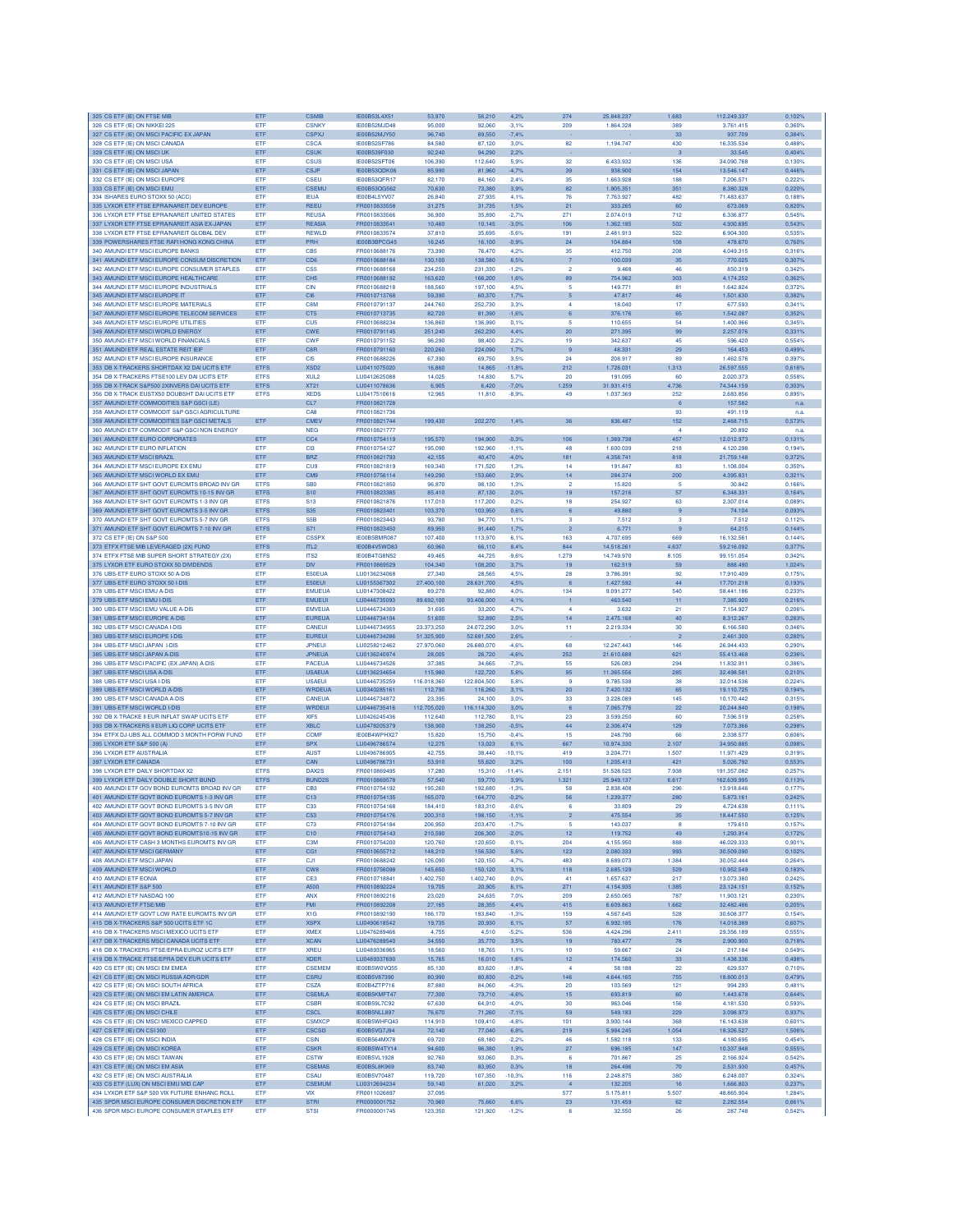| 325 CS ETF (IE) ON FTSE MIB                                                                 | ETF                        | <b>CSMIB</b>                        | IE00B53L4X51                        | 53,970               | 56,210               | 4.2%               | 274                   | 25.848.237              | 1.683                 | 112.249.337              | 0,102%           |
|---------------------------------------------------------------------------------------------|----------------------------|-------------------------------------|-------------------------------------|----------------------|----------------------|--------------------|-----------------------|-------------------------|-----------------------|--------------------------|------------------|
| 326 CS ETF (IE) ON NIKKEI 225                                                               | ETF                        | <b>CSNKY</b>                        | IE00B52MJD48                        | 95,000               | 92.060               | $-3,1%$            | 209                   | 1.864.328               | 389                   | 3.761.415                | 0.360%           |
| 327 CS ETF (IE) ON MSCI PACIFIC EX JAPAN<br>328 CS ETF (IE) ON MSCI CANADA                  | ETF<br>ETF                 | <b>CSPXJ</b><br>CSCA                | IE00B52MJY50<br><b>IE00B52SF786</b> | 96,740<br>84,580     | 89,550<br>87.120     | $-7,4%$<br>3.0%    | 82                    | 1.194.747               | 33<br>430             | 937.709<br>16,335,534    | 0,384%<br>0.488% |
| 329 CS ETF (IE) ON MSCI UK                                                                  | ETF                        | <b>CSUK</b>                         | IE00B539F030                        | 92.240               | 94,290               | 2,2%               |                       |                         | $\overline{3}$        | 33.545                   | 0,404%           |
| 330 CS ETF (IE) ON MSCI USA                                                                 | ETF                        | <b>CSUS</b>                         | IE00B52SFT06                        | 106,390              | 112,640              | 5.9%               | 32                    | 6.433.932               | 136                   | 34.090.768               | 0.130%           |
| 331 CS ETF (IE) ON MSCI JAPAN                                                               | ETF                        | CSJP                                | IE00B53QDK08                        | 85,990               | 81,960               | 4.7%               | 39                    | 938.900                 | 154                   | 13.546.147               | 0,446%           |
| 332 CS ETF (IE) ON MSCI EUROPE                                                              | ETF                        | CSEU                                | IE00B53QFR17                        | 82.170               | 84,160               | 2.4%               | 35                    | 1.663.928               | 188                   | 7.206.571                | 0.222%           |
| 333 CS ETF (IE) ON MSCI EMU<br>334 ISHARES EURO STOXX 50 (ACC)                              | ETF<br>ETF                 | CSEMI<br><b>IEUA</b>                | <b>IE00B53OG562</b><br>IE00B4L5YV07 | 70,630<br>26,840     | 73,380<br>27,935     | 3.9%<br>4.1%       | 82<br>76              | 1.905.351<br>7.763.927  | 351<br>482            | 8.380.328<br>71,483,637  | 0.220%<br>0.188% |
| 335 LYXOR ETF FTSE EPRANAREIT DEV EUROPE                                                    | ETF                        | <b>REEU</b>                         | FR0010833558                        | 31,275               | 31,735               | 1,5%               | 21                    | 333,265                 | 60                    | 673.069                  | 0,820%           |
| 336 LYXOR ETF FTSE EPRANAREIT UNITED STATES                                                 | ETF                        | <b>REUSA</b>                        | FR0010833566                        | 36,900               | 35,890               | $-2,7%$            | 271                   | 2.074.019               | 712                   | 6.336.877                | 0,545%           |
| 337 LYXOR ETF FTSE EPRANAREIT ASIA EX-JAPAN                                                 | ETF                        | <b>REASIA</b>                       | FR0010833541                        | 10,460               | 10,145               | $-3.0%$            | 106                   | 1.362.185               | 502                   | 4.930.695                | 0,543%           |
| 338 LYXOR ETF FTSE EPRANAREIT GLOBAL DEV                                                    | ETF                        | <b>REWLD</b>                        | FR0010833574                        | 37,810               | 35,695               | $-5.6%$            | 191                   | 2.481.913               | 522                   | 6.904.300                | 0,535%           |
| 339 POWERSHARES FTSE RAFI HONG KONG CHINA<br>340 AMUNDI ETF MSCI EUROPE BANKS               | ETF<br>ETF                 | PRH<br>CB <sub>5</sub>              | IE00B3BPCG45<br>FR0010688176        | 16,245<br>73,390     | 16,100<br>76,470     | $-0.9%$<br>4.2%    | 24<br>35              | 104.884<br>412,750      | 108<br>208            | 478.670<br>4.049.315     | 0,760%<br>0.316% |
| 341 AMUNDI ETF MSCI EUROPE CONSUM DISCRETION                                                | ETF                        | C <sub>D6</sub>                     | FR0010688184                        | 130,100              | 138,580              | 6.5%               | $\overline{7}$        | 100.039                 | 35                    | 770.025                  | 0.307%           |
| 342 AMUNDI ETF MSCI EUROPE CONSUMER STAPLES                                                 | ETF                        | CS5                                 | FR0010688168                        | 234,250              | 231,330              | $-1.2%$            | $\overline{a}$        | 9,468                   | 46                    | 850.319                  | 0.342%           |
| 343 AMUNDI ETF MSCI EUROPE HEALTHCARE                                                       | ETF                        | CH <sub>5</sub>                     | FR0010688192                        | 163,620              | 66,200               | 1,6%               | 89                    | 754.962                 | 303                   | 4.174.252                | 0,362%           |
| 344 AMUNDI ETF MSCI EUROPE INDUSTRIALS                                                      | ETF                        | CIN                                 | FR0010688218                        | 188,560              | 197,100              | 4.5%               | 5                     | 149.77                  | 81                    | 1.642.824                | 0,372%           |
| 345 AMUNDI ETF MSCI EUROPE IT<br>346 AMUNDLETE MSCLEUBOPE MATERIALS                         | ETF<br>ETF                 | C <sub>I6</sub><br>C8M              | FR0010713768<br>FR0010791137        | 59,390<br>244,760    | 60,370<br>252,730    | 1,7%<br>3.3%       | 5<br>4                | 47.817<br>18,040        | 46<br>17              | 1.501.630<br>677,593     | 0.382%<br>0.341% |
| 347 AMUNDLETE MSCLEUBOPE TELECOM SERVICES                                                   | ETF                        | CT5                                 | FR0010713735                        | 82,720               | 81,390               | $-1.6%$            | 6                     | 376,176                 | 65                    | 1.542.087                | 0.352%           |
| 348 AMUNDI ETF MSCI EUROPE UTILITIES                                                        | ETF                        | CU <sub>5</sub>                     | FR0010688234                        | 136,860              | 136,990              | 0.1%               | 5                     | 110,655                 | 54                    | 1.400.966                | 0,345%           |
| 349 AMUNDI ETF MSCI WORLD ENERGY                                                            | ETF                        | <b>CWE</b>                          | FR0010791145                        | 251,240              | 262,230              | 4.4%               | 20                    | 271.395                 | 99                    | 2.257.076                | 0,331%           |
| 350 AMUNDI ETF MSCI WORLD FINANCIALS                                                        | ETF                        | <b>CWF</b>                          | FR0010791152                        | 96,290               | 98,400               | 2,2%               | 19                    | 342.637                 | 45                    | 596.420                  | 0,554%           |
| 351 AMUNDI ETF REAL ESTATE REIT IEIF                                                        | ETF                        | C <sub>8</sub> R                    | FR0010791160                        | 220,260              | 224,090              | 1,7%               | $\overline{9}$        | 48.331                  | 29                    | 164.453                  | 0,499%           |
| 352 AMUNDI ETF MSCI EUROPE INSURANCE<br>353 DB X-TRACKERS SHORTDAX X2 DAI UCITS ETF         | ETF<br><b>ETFS</b>         | C <sub>I5</sub><br>XSD <sub>2</sub> | FR0010688226<br>LU0411075020        | 67,390<br>16,860     | 69,750<br>14,865     | 3.5%<br>11,8%      | 24<br>212             | 208.917<br>1.728.031    | 89<br>1,313           | 1.462.576<br>26,597,555  | 0.397%<br>0.616% |
| 354 DB X-TRACKERS FTSE100 LEV DAI UCITS ETF                                                 | <b>ETFS</b>                | XUL <sub>2</sub>                    | LU0412625088                        | 14.025               | 14,830               | 5,7%               | 20                    | 191.095                 | 60                    | 2.020.373                | 0.558%           |
| 355 DB X-TRACK S&P500 2XINVERS DAI UCITS ETF                                                | <b>ETFS</b>                | XT21                                | LU0411078636                        | 6,905                | 6,420                | $-7,0%$            | 1.259                 | 31.931.415              | 4.736                 | 74.344.159               | 0,303%           |
| 356 DB X-TRACK EUSTX50 DOUBSHT DAI UCITS ETF                                                | <b>ETFS</b>                | <b>XEDS</b>                         | LU0417510616                        | 12,965               | 11,810               | $-8.9%$            | 49                    | 1.037.369               | 252                   | 2.683.856                | 0,895%           |
| 357 AMUNDI ETF COMMODITIES S&P GSCI (LE)                                                    |                            | CL7                                 | FR0010821728                        |                      |                      |                    |                       |                         | 6                     | 157,582                  | n.a              |
| 358 AMUNDI ETF COMMODIT S&P GSCI AGRICULTURE                                                |                            | CAR                                 | FR0010821736                        |                      |                      |                    |                       |                         | 93                    | 491.119                  | n.a              |
| 359 AMUNDI ETF COMMODITIES S&P GSCI METALS<br>360 AMUNDI ETF COMMODIT S&P GSCI NON ENERGY   | ETF                        | <b>CMEV</b><br><b>NEG</b>           | FR0010821744<br>FR0010821777        | 199.430              | 202,270              | 1,4%               | 36                    | 836,487                 | 152<br>$\overline{4}$ | 2.468.715<br>20.892      | 0.573%<br>n.a    |
| 361 AMUNDI ETF EURO CORPORATES                                                              | ETF                        | CC4                                 | FR0010754119                        | 195,570              | 194,900              | $-0,3%$            | 106                   | 1.369.738               | 457                   | 12.012.973               | 0,131%           |
| 362 AMUNDI ETF EURO INFLATION                                                               | ETF                        | C <sub>13</sub>                     | FR0010754127                        | 195,090              | 192,960              | $-1,1%$            | 48                    | 1.600.039               | 218                   | 4.120.298                | 0,194%           |
| 363 AMUNDI ETF MSCI BRAZIL                                                                  | ETF                        | <b>BRZ</b>                          | FR0010821793                        | 42,155               | 40,470               | $-4.0%$            | 181                   | 4.358.741               | 818                   | 21.759.148               | 0,372%           |
| 364 AMUNDI ETF MSCI EUROPE EX EMU                                                           | ETF                        | <b>CU9</b>                          | FR0010821819                        | 169,340              | 171,520              | 1,3%               | 14                    | 191.847                 | 83                    | 1.108.004                | 0.350%           |
| 365 AMUNDI ETF MSCI WORLD EX EMU                                                            | ETF                        | CM <sub>9</sub>                     | FR0010756114                        | 149,290              | 153,660              | 2.9%               | 14                    | 284,374                 | 200                   | 4.395.831                | 0.321%           |
| 366 AMUNDLETE SHT GOVT EUROMTS BROAD INVIGR<br>367 AMUNDI ETF SHT GOVT EUROMTS 10-15 INV GR | <b>ETFS</b><br><b>ETFS</b> | SB <sub>0</sub><br><b>S10</b>       | FR0010821850<br>EB0010823385        | 96,870<br>85,410     | 98.130<br>87,130     | 1.3%<br>2,0%       | $\overline{2}$<br>19  | 15,820<br>157,216       | 5<br>57               | 30.842<br>6,348,331      | 0.166%<br>0,164% |
| 368 AMUNDI ETF SHT GOVT EUROMTS 1-3 INV GR                                                  | <b>ETFS</b>                | S <sub>13</sub>                     | FR0010821876                        | 117,010              | 117,200              | 0.2%               | 18                    | 254.927                 | 63                    | 2.307.014                | 0.089%           |
| 369 AMUNDI ETF SHT GOVT EUROMTS 3-5 INV GR                                                  | <b>ETFS</b>                | S <sub>35</sub>                     | FR0010823401                        | 103,370              | 03,950               | 0.6%               |                       | 49,880                  | 9                     | 74.104                   | 0,093%           |
| 370 AMUNDI ETF SHT GOVT EUROMTS 5-7 INV GF                                                  | <b>ETFS</b>                | S <sub>5</sub> R                    | FR0010823443                        | 93,780               | 94,770               | 1.1%               | 3                     | 7.512                   | з                     | 7.512                    | 0,112%           |
| 371 AMUNDI ETF SHT GOVT EUROMTS 7-10 INV GR                                                 | <b>ETFS</b>                | S71                                 | FR0010823450                        | 89,950               | 91,440               | 1,7%               | $\ddot{\textbf{c}}$   | 6.771                   | $\overline{9}$        | 64.215                   | 0.144%           |
| 372 CS ETE (IF) ON S&P 500                                                                  | ETF                        | <b>CSSPX</b>                        | <b>IE00B5BMR087</b>                 | 107,400              | 113,970              | 6.1%               | 163                   | 4.707.695               | 669                   | 16.132.561               | 0.144%           |
| 373 ETFX FTSE MIB LEVERAGED (2X) FUND<br>374 ETFX FTSE MIB SUPER SHORT STRATEGY (2X)        | <b>ETFS</b>                | ITL <sub>2</sub>                    | IE00B4V5WD83<br>IE00B4TG8N52        | 60,960               | 66,110               | 8,4%               | 844                   | 14.518.261              | 4.637                 | 59.216.092               | 0,377%           |
| 375 LYXOR ETF EURO STOXX 50 DIVIDENDS                                                       | <b>ETFS</b><br>ETF         | ITS <sub>2</sub><br><b>DIV</b>      | FR0010869529                        | 49,465<br>104,340    | 44,725<br>108,200    | $-9.6%$<br>3,7%    | 1.279<br>19           | 14.749.970<br>162.519   | 8.105<br>59           | 99.151.054<br>888.490    | 0,342%<br>1,024% |
| 376 UBS-ETF EURO STOXX 50 A-DIS                                                             | <b>FTF</b>                 | E50EUA                              | LU0136234068                        | 27,340               | 28,565               | 4.5%               | 28                    | 3.786.391               | 92                    | 17,910,409               | 0,175%           |
| 377 UBS-ETF EURO STOXX 50 I-DIS                                                             | ETF                        | E50EUI                              | LU0155367302                        | 27.400,100           | 28.631,700           | 4,5%               | 6                     | 1.427.592               | 44                    | 17.701.218               | 0,193%           |
| 378 UBS-ETF MSCI EMU A-DIS                                                                  | ETF                        | <b>EMUEUA</b>                       | LU0147308422                        | 89,270               | 92,880               | 4.0%               | 134                   | 9.091.277               | 540                   | 58,441.186               | 0.233%           |
| 379 UBS-ETF MSCI EMU I-DIS                                                                  | ETF                        | <b>EMUEUI</b>                       | LU0446735093                        | 89.692,100           | 93.406,000           | 4,1%               | 1                     | 463.540                 | 11                    | 7.385.920                | 0,216%           |
| 380 UBS-ETF MSCI EMU VALUE A-DIS                                                            | ETF                        | <b>EMVEUA</b>                       | LU0446734369                        | 31,695               | 33,200               | 4.7%               | 4                     | 3.632                   | 21                    | 7.154.927                | 0.206%           |
| 381 UBS-ETF MSCI EUROPE A-DIS<br>382 UBS-ETF MSCI CANADA I-DIS                              | ETF<br>ETF                 | <b>EUREUA</b><br>CANEUI             | LU0446734104<br>LU0446734955        | 51,600<br>23,373,250 | 52,890<br>24.072,290 | 2,5%<br>3.0%       | 14<br>11              | 2.475.168<br>2.219.334  | 40<br>30              | 8.312.267<br>6.166.580   | 0,283%<br>0.346% |
| 383 UBS-ETF MSCI EUROPE I-DIS                                                               | ETF                        | <b>EUREUI</b>                       | LU0446734286                        | 51.325.900           | 52.681.500           | 2.6%               |                       |                         | $\overline{2}$        | 2.461.300                | 0.280%           |
| 384 UBS-ETF MSCI JAPAN I-DIS                                                                | ETF                        | <b>JPNEUI</b>                       | LU0258212462                        | 27,970,060           | 26,680,070           | $-4.6%$            | 68                    | 12,247,443              | 146                   | 26.944.433               | 0.290%           |
| 385 UBS-ETF MSCI JAPAN A-DIS                                                                | ETF                        | <b>JPNEUA</b>                       | LU0136240974                        | 28,005               | 26,720               | $-4,6%$            | 252                   | 21.610.688              | 621                   | 55.413.468               | 0,236%           |
| 386 UBS-ETF MSCI PACIFIC (EX JAPAN) A-DIS                                                   | ETF                        | <b>PACEUA</b>                       | LU0446734526                        | 37,385               | 34,665               | $-7,3%$            | 55                    | 526.083                 | 294                   | 11.832.911               | 0,386%           |
| 387 UBS-ETF MSCI USA A-DIS                                                                  | ETF                        | <b>USAEUA</b>                       | LU0136234654                        | 115,980              | 122,720              | 5,8%               | 95                    | 11.365.556              | 285                   | 32.498.581               | 0,210%           |
| 388 UBS-ETF MSCI USA I-DIS                                                                  | ETF                        | <b>USAEUI</b>                       | LU0446735259                        | 116.018,360          | 122.804,500          | 5.8%               | 9                     | 9.785.538               | 38                    | 32.014.536               | 0,224%           |
| 389 UBS-ETF MSCI WORLD A-DIS<br>390 UBS-ETF MSCI CANADA A-DIS                               | ETF<br>ETF                 | <b>WRDEUA</b><br>CANEUA             | LU0340285161<br>LU0446734872        | 112,790<br>23,395    | 116,260<br>24.100    | 3,1%<br>3.0%       | 20<br>33              | 7.420.132<br>3.228.089  | 65<br>145             | 19.110.725<br>10.170.442 | 0,194%<br>0.315% |
| 391 UBS-ETF MSCI WORLD I-DIS                                                                | ETF                        | WRDEU                               | LU0446735416                        | 112,705,020          | 116.114.320          | 3.0%               | -6                    | 7.065.776               | 22                    | 20.244.840               | 0.198%           |
| 392 DB X-TRACKE II EUR INFLAT SWAP UCITS ETF                                                | ETF                        | XIF5                                | LU0426245436                        | 112,640              | 112,780              | 0,1%               | 23                    | 3.599.250               | 60                    | 7.596.519                | 0.258%           |
| 393 DB X-TRACKERS II EUR LIQ CORP UCITS ETF                                                 | ETF                        | <b>XBLC</b>                         | LU0478205379                        | 138,900              | 38,250               | $-0.5%$            | 44                    | 2.306.474               | 129                   | 7.073.366                | 0,298%           |
| 394 ETFX DJ-UBS ALL COMMOD 3 MONTH FORW FUND                                                | ETF                        | <b>COMF</b>                         | IE00B4WPHX27                        | 15,820               | 15,750               | $-0.4%$            | 15                    | 248.790                 | 66                    | 2.338.577                | 0,606%           |
| 395 LYXOR ETF S&P 500 (A)                                                                   | ETF                        | <b>SPX</b>                          | LU0496786574                        | 12,275               | 13.023               | 6.1%               | 667                   | 10.974.330              | 2.107                 | 34.950.885               | 0.098%           |
| 396 LYXOR ETF AUSTRALIA                                                                     | <b>ETF</b>                 | <b>AUST</b>                         | LU0496786905                        | 42.755               | 38,440               | $-10.1%$           | 419                   | 3.204.771               | 1.507                 | 11.971.429               | 0.319%           |
| 397 LYXOR ETF CANADA<br>398 LYXOR ETF DAILY SHORTDAX X2                                     | ETF<br><b>ETFS</b>         | CAN<br>DAX2S                        | LU0496786731<br>FR0010869495        | 53,910<br>17,280     | 55,620<br>15,310     | 3.2%<br>$-11.4%$   | 100<br>2.151          | 1.205.413<br>51.528.525 | 421<br>7.938          | 5.026.792<br>191 357 082 | 0.553%<br>0.257% |
| 399 LYXOR ETF DAILY DOUBLE SHORT BUND                                                       | <b>ETFS</b>                | <b>BUND29</b>                       | FR0010869578                        | 57,540               | 59,770               | 3,9%               | 1.321                 | 25.949.137              | 6.617                 | 162.639.995              | 0,113%           |
| 400 AMUNDI ETF GOV BOND EUROMTS BROAD INV GR                                                | ETF                        | CB3                                 | FR0010754192                        | 195,260              | 192,680              | $-1,3%$            | 58                    | 2.838.408               | 296                   | 13.918.646               | 0,177%           |
| 401 AMUNDI ETF GOVT BOND EUROMTS 1-3 INV GR                                                 | ETF                        | C13                                 | FR0010754135                        | 165,070              | 164,770              | $-0.2%$            | 56                    | 1.239.377               | 280                   | 5.873.161                | 0,242%           |
| 402 AMUNDI ETF GOVT BOND EUROMTS 3-5 INV GR                                                 | ETF                        | C33                                 | FR0010754168                        | 184,410              | 183,310              | $-0,6%$            | 6                     | 33.809                  | 29                    | 4.724.638                | 0,111%           |
| 403 AMUNDI ETF GOVT BOND EUROMTS 5-7 INV GR<br>404 AMUNDI ETF GOVT BOND EUROMTS 7-10 INV GR | ETF<br>ETF                 | C <sub>53</sub><br>C73              | FR0010754176<br>FR0010754184        | 200,310<br>206,950   | 198,150<br>203,470   | $-1,1%$<br>$-1,7%$ | $\overline{2}$<br>5   | 475.554<br>143.037      | 35<br>8               | 18,447,550<br>179.610    | 0,125%<br>0,157% |
| 405 AMUNDI ETF GOVT BOND EUROMTS10-15 INV GR                                                | ETF                        | C10                                 | FR0010754143                        | 210,590              | 206,300              | $-2,0%$            | 12                    | 119.752                 | 49                    | 1.293.914                | 0,172%           |
| 406 AMUNDI ETF CASH 3 MONTHS EUROMTS INV GR                                                 | ETF                        | C <sub>3</sub> M                    | FR0010754200                        | 120,760              | 120,650              | $-0.1%$            | 204                   | 4.155.950               | 888                   | 46.029.333               | 0,901%           |
| 407 AMUNDI ETF MSCI GERMANY                                                                 | ETF                        | CG1                                 | FR0010655712                        | 148,210              | 156,530              | 5.6%               | 123                   | 2.080.333               | 993                   | 30.509.090               | 0,102%           |
| 408 AMUNDI ETF MSCI JAPAN                                                                   | ETF                        | CJ1                                 | FR0010688242                        | 126,090              | 120,150              | $-4.7%$            | 483                   | 8.689.073               | 1.384                 | 30.052.444               | 0.264%           |
| 409 AMUNDI ETF MSCI WORLD                                                                   | ETF                        | CW <sub>8</sub>                     | EB0010756098                        | 145,650              | 150,120              | 3.1%               | 118                   | 2.685.129               | 529                   | 10.952.549               | 0.183%           |
| 410 AMUNDI ETF EONIA<br>411 AMUNDI ETF S&P 500                                              | ETF<br>ETF                 | CE3<br>A500                         | FR0010718841<br>FR0010892224        | 1.402,750<br>19,705  | 1.402,740<br>20,905  | 0.0%<br>6.1%       | 41<br>271             | 1.657.637<br>4.154.935  | 217<br>1.385          | 13.073.380<br>23.124.151 | 0,242%<br>0,152% |
| 412 AMUNDI ETF NASDAQ 100                                                                   | ETF                        | ANX                                 | FR0010892216                        | 23,020               | 24,635               | 7.0%               | 209                   | 2.650.065               | 787                   | 11.903.121               | 0,230%           |
| 413 AMUNDI ETF FTSE/MIB                                                                     | ETF                        | FMI                                 | FR0010892208                        | 27,165               | 28,355               | 4.4%               | 415                   | 6.609.863               | 1.662                 | 32.482.486               | 0,205%           |
| 414 AMUNDI FTF GOVT LOW BATE FUROMTS INV GR                                                 | ETF                        | X <sub>1</sub> G                    | FR0010892190                        | 186,170              | 183,840              | $-1,3%$            | 159                   | 4.567.645               | 528                   | 30,608,377               | 0.154%           |
| 415 DB X-TRACKERS S&P 500 LICITS FTE 1C.                                                    | ETF                        | <b>XSPX</b>                         | LU0490618542                        | 19,735               | 20,930               | 6.1%               | 57                    | 6.992.185               | 176                   | 14.018.389               | 0.607%           |
| 416 DB X-TRACKERS MSCI MEXICO UCITS ETF                                                     | ETF                        | <b>XMEX</b>                         | LU0476289466                        | 4.755                | 4.510                | $-5.2%$            | 536                   | 4.424.296               | 2.411                 | 29.356.189               | 0.555%           |
| 417 DB X-TRACKERS MSCI CANADA UCITS ETF<br>418 DB X-TRACKERS FTSE/EPRA EUROZ UCITS ETF      | ETF<br>ETF                 | <b>XCAN</b><br><b>XREU</b>          | LU0476289540<br>LU0489336965        | 34,550<br>18,560     | 35,770<br>18,765     | 3,5%<br>1,1%       | 19<br>10              | 783.477<br>59.667       | 78<br>24              | 2.900.900<br>217.184     | 0,718%<br>0,549% |
| 419 DB X-TRACKE FTSE/EPRA DEV EUR UCITS ETF                                                 | ETF                        | <b>XDER</b>                         | LU0489337690                        | 15,765               | 16,010               | 1.6%               | 12                    | 174.560                 | 33                    | 1.438.336                | 0,498%           |
| 420 CS ETF (IE) ON MSCI EM EMEA                                                             | <b>FTF</b>                 | CSEMEM                              | IE00B5W0VQ55                        | 85.130               | 83.620               | $-1.8%$            | $\overline{A}$        | 58 188                  | 22                    | 629.537                  | 0.710%           |
| 421 CS ETF (IE) ON MSCI RUSSIA ADR/GDR                                                      | ETF                        | <b>CSRU</b>                         | <b>IE00B5V87390</b>                 | 80.990               | 80.830               | $-0.2%$            | 146                   | 4.644.165               | 755                   | 18,800,013               | 0.479%           |
| 422 CS ETE (IF) ON MSCLSOUTH AFRICA                                                         | <b>ETF</b>                 | CSZA                                | <b>IF00B47TP716</b>                 | 87,880               | 84,060               | $-4.3%$            | 20                    | 103,569                 | 121                   | 994.293                  | 0.481%           |
| 423 CS ETF (IE) ON MSCI EM LATIN AMERICA                                                    | ETF                        | CSEMLA                              | IE00B5KMFT47                        | 77,300               | 73,710               | $-4,6%$            | 15                    | 693.819                 | 60                    | 1.443.678                | 0,644%           |
| 424 CS ETF (IE) ON MSCI BRAZIL                                                              | ETF                        | <b>CSBR</b>                         | IE00B59L7C92                        | 67,630               | 64,910               | $-4.0%$            | 30                    | 963.046                 | 156                   | 4.181.530                | 0.593%           |
| 425 CS ETF (IE) ON MSCI CHILE<br>426 CS ETF (IE) ON MSCI MEXICO CAPPED                      | ETF<br>ETF                 | <b>CSCL</b><br>CSMXCF               | IE00B5NLL897<br>IE00B5WHFQ43        | 76,670<br>114,910    | 71,260<br>109,410    | $-7,1%$<br>$-4.8%$ | 59<br>101             | 549.183<br>3.900.144    | 229<br>368            | 3.098.973<br>16.143.638  | 0,937%<br>0.601% |
| 427 CS ETF (IE) ON CSI 300                                                                  | ETF                        | <b>CSCSI3</b>                       | IE00B5VG7J94                        | 72,140               | 77,040               | 6,8%               | 219                   | 5.984.245               | 1.054                 | 18.326.527               | 1,506%           |
| 428 CS ETF (IE) ON MSCHNDIA                                                                 | ETF                        | <b>CSIN</b>                         | <b>IE00B564MX78</b>                 | 69.720               | 68,180               | $-2.2%$            | 46                    | 1.582.118               | 133                   | 4.180.695                | 0.454%           |
| 429 CS ETF (IE) ON MSCI KOREA                                                               | ETF                        | <b>CSKR</b>                         | IE00B5W4TY14                        | 94,600               | 96,380               | 1,9%               | 27                    | 696.185                 | 147                   | 10.337.948               | 0,555%           |
| 430 CS ETF (IE) ON MSCI TAIWAN                                                              | ETF                        | <b>CSTW</b>                         | IE00B5VL1928                        | 92,760               | 93,060               | 0,3%               | 6                     | 701.867                 | 25                    | 2.166.924                | 0,542%           |
| 431 CS ETF (IE) ON MSCI EM ASIA                                                             | ETF                        | <b>CSEMAS</b>                       | IE00B5L8K969                        | 83,740               | 83,950               | 0.3%               | 18                    | 264.496                 | 70                    | 2.531.930                | 0,457%           |
| 432 CS ETF (IE) ON MSCI AUSTRALIA                                                           | ETF                        | CSAU                                | IE00B5V70487                        | 119,720              | 107,350              | $-10.3%$           | 116                   | 2.248.875               | 380                   | 6,248,007                | 0.324%           |
| 433 CS ETF (LUX) ON MSCI EMU MID CAP<br>434 LYXOR ETF S&P 500 VIX FUTURE ENHANC ROLL        | ETF<br><b>ETF</b>          | <b>CSEMUM</b><br><b>VIX</b>         | LU0312694234<br>FR0011026897        | 59,140<br>37.095     | 61,020               | 3.2%               | $\overline{4}$<br>577 | 132,205<br>5.175.811    | 16<br>5.507           | 1,666,803<br>48.865.904  | 0,237%<br>1.284% |
| 435 SPDR MSCI EUROPE CONSUMER DISCRETION ETF                                                | ETF                        | <b>STRI</b>                         | FR0000001752                        | 70,960               | 75,660               | 6,6%               | 23                    | 131.459                 | 62                    | 2.282.554                | 0,661%           |
|                                                                                             |                            |                                     | FR0000001745                        | 123,350              |                      |                    | 6                     | 32,550                  | 26                    |                          |                  |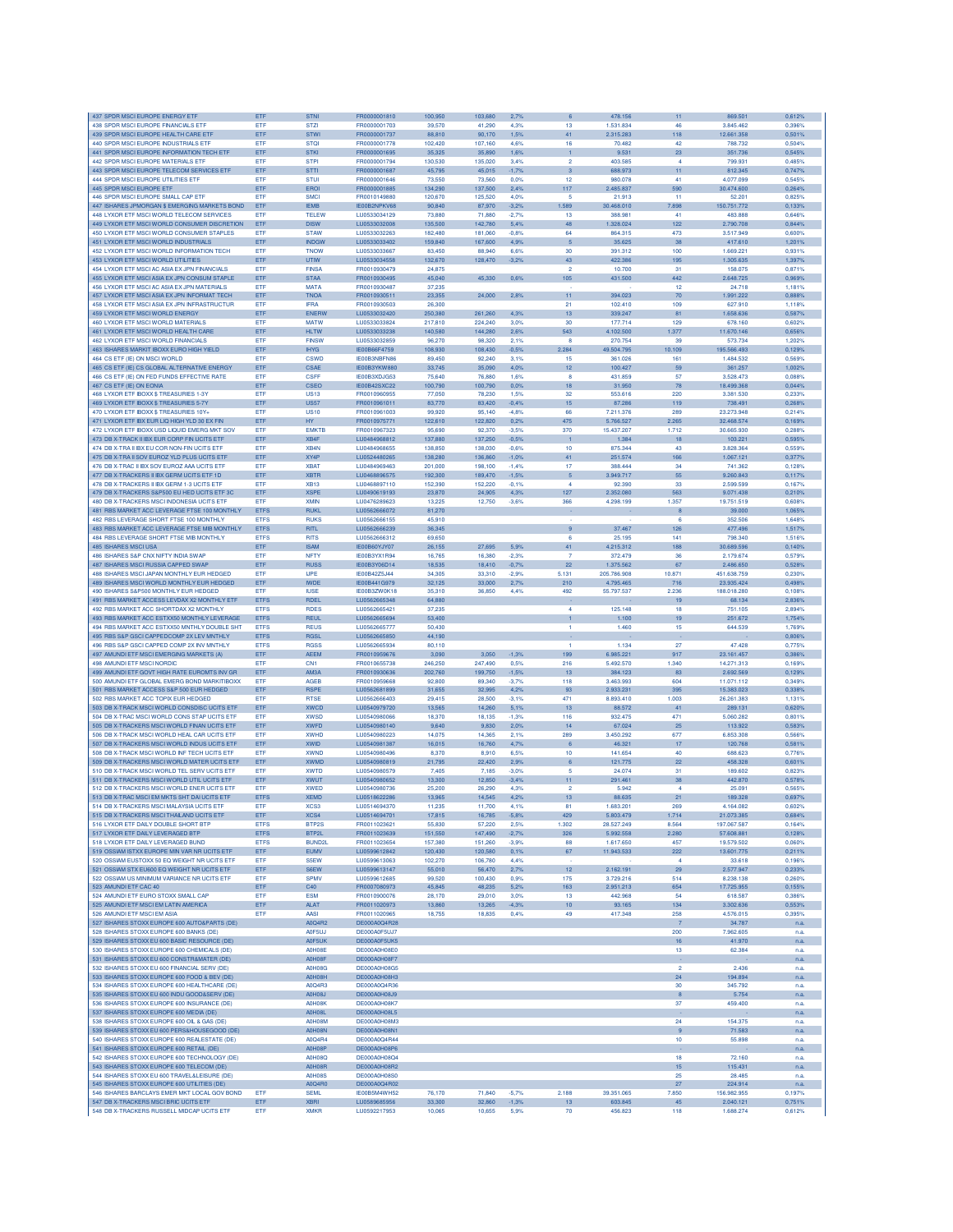| 437 SPDR MSCLEUROPE ENERGY ETE                                                      | ETF         | STNI                       | FR0000001810                 | 100.950          | 103,680          | 2,7%            |                | 478.156            | 11               | 869,501                | 0,612%           |
|-------------------------------------------------------------------------------------|-------------|----------------------------|------------------------------|------------------|------------------|-----------------|----------------|--------------------|------------------|------------------------|------------------|
| 438 SPDR MSCI EUROPE FINANCIALS ETF                                                 | ETF         | <b>STZI</b>                | FR0000001703                 | 39,570           | 41,290           | 4.3%            | 13             | 1.531.834          | 46               | 3.845.462              | 0.396%           |
| 439 SPDR MSCI EUROPE HEALTH CARE ETF                                                | ETF         | <b>STWI</b>                | FR0000001737                 | 88,810           | 90,170           | 1,5%            | 41             | 2.315.283          | 118              | 12.661.358             | 0,501%           |
| 440 SPDR MSCI EUROPE INDUSTRIALS ETF                                                | ETF         | <b>STQI</b>                | FR0000001778                 | 102,420          | 107,160          | 4.6%            | 16             | 70.482             | 42               | 788.732                | 0,504%           |
| 441 SPDR MSCI EUROPE INFORMATION TECH ETF                                           | ETF         | <b>STKI</b>                | FR0000001695                 | 35,325           | 35,890           | 1,6%            | 1              | 9.531              | 23               | 351.736                | 0.545%           |
| 442 SPDR MSCI EUROPE MATERIALS ETF                                                  | ETF         | <b>STPI</b>                | FR0000001794                 | 130,530          | 135,020          | 3.4%            | $\overline{2}$ | 403,585            | $\overline{a}$   | 799.931                | 0.485%           |
| 443 SPDR MSCI EUROPE TELECOM SERVICES ETF                                           | ETF         | <b>STTI</b>                | FR0000001687                 | 45.795           | 45.015           | $-1.7%$         | 3              | 688,973            | 11               | 812.345                | 0.747%           |
| 444 SPDR MSCI EUROPE UTILITIES ETF                                                  | ETF         | <b>STUI</b>                | FR0000001646                 | 73,550           | 73,560           | 0.0%            | 12             | 980.078            | 41               | 4.077.099              | 0,545%           |
| 445 SPDR MSCI EUROPE ETF                                                            | ETF         | EROI                       | FR0000001885                 | 134,290          | 137,500          | 2,4%            | 117            | 2.485.837          | 590              | 30.474.600             | 0,264%           |
| 446 SPDR MSCI EUROPE SMALL CAP ETF                                                  | ETF         | <b>SMCI</b>                | FR0010149880                 | 120,670          | 125,520          | 4.0%            | -5             | 21.913             | 11               | 52.201                 | 0,825%           |
| 447 ISHARES JPMORGAN \$ EMERGING MARKETS BOND                                       | ETF         | <b>IEMB</b>                | IE00B2NPKV68                 | 90,840           | 87,970           | $-3,2%$         | 1.589          | 30.468.010         | 7.898            | 150.751.772            | 0,133%           |
| 448 I YXOR FTE MSCLWORLD TELECOM SERVICES                                           | ETF         | <b>TELEW</b>               | LU0533034129                 | 73,880           | 71,880           | $-2,7%$         | 13             | 388.981            | 41               | 483,888                | 0.646%           |
| 449 LYXOR ETF MSCI WORLD CONSUMER DISCRETION                                        | ETF         | <b>DISW</b>                | LU0533032008                 | 135,500          | 142.780          | 5.4%            | 48             | 1.328.024          | 122              | 2.790.708              | 0.844%           |
| 450 LYXOR ETF MSCI WORLD CONSUMER STAPLES                                           | ETF         | <b>STAW</b>                | LU0533032263                 | 182,480          | 181.060          | $-0.8%$         | 64             | 864,315            | 473              | 3,517,949              | 0.600%           |
| 451 LYXOR ETF MSCI WORLD INDUSTRIALS                                                | ETF         | <b>INDGW</b>               | LU0533033402                 | 159,840          | 167,600          | 4,9%            |                | 35.625             | 38               | 417.610                | 1,201%           |
| 452 LYXOR ETF MSCI WORLD INFORMATION TECH                                           | ETF         | <b>TNOW</b>                | LU0533033667                 | 83,450           | 88,940           | 6.6%            | 30             | 391.312            | 100              | 1.669.221              | 0,931%           |
| 453 LYXOR ETF MSCI WORLD UTILITIES                                                  | ETF         | <b>UTIW</b>                | LU0533034558                 | 132,670          | 128,470          | 3.2%            | 43             | 422.386            | 195              | 1.305.635              | 1,397%           |
| 454 I YXOR FTE MSCLAC ASIA EX JPN FINANCIALS                                        | <b>FTF</b>  | <b>FINSA</b>               | FR0010930479                 | 24.875           |                  |                 | ۰              | 10,700             | 31               | 158,075                | 0.871%           |
| 455 I YXOR ETE MSCLASIA EX JPN CONSUM STAPLE                                        | ETF         | <b>STAA</b>                | FR0010930495                 | 45.040           | 45.330           | 0.6%            | 105            | 431,500            | 442              | 2.648.725              | 0.969%           |
| 456 I YXOR FTE MSCLAC ASIA EX JPN MATERIALS                                         | <b>ETF</b>  | <b>MATA</b>                | FR0010930487                 | 37,235           |                  |                 |                |                    | 12               | 24.718                 | 1.181%           |
|                                                                                     |             |                            |                              |                  |                  |                 |                |                    |                  |                        |                  |
| 457 LYXOR ETF MSCI ASIA EX JPN INFORMAT TECH                                        | ETF         | <b>TNOA</b>                | FR0010930511                 | 23,355           | 24,000           | 2,8%            | 11             | 394.023            | 70               | 1.991.222              | 0,888%           |
| 458 LYXOR ETF MSCI ASIA EX JPN INFRASTRUCTUR                                        | ETF         | <b>IFRA</b>                | FR0010930503                 | 26,300           |                  |                 | 21             | 102.410            | 109              | 627.910                | 1,118%           |
| 459 LYXOR ETF MSCI WORLD ENERGY                                                     | ETF         | ENERV                      | LU0533032420                 | 250,380          | 261,260          | 4.3%            | 13             | 339.247            | 81               | 1.658.636              | 0,587%           |
| 460 LYXOR ETF MSCI WORLD MATERIALS                                                  | ETF         | <b>MATW</b>                | LU0533033824                 | 217,810          | 224,240          | 3.0%            | 30             | 177.714            | 129              | 678.160                | 0.602%           |
| 461 LYXOR ETF MSCI WORLD HEALTH CARE                                                | ETF         | <b>HLTW</b>                | LU0533033238                 | 140,580          | 144,280          | 2,6%            | 543            | 4.102.500          | 1.377            | 11.670.146             | 0.656%           |
| 462 LYXOR ETF MSCI WORLD FINANCIALS                                                 | ETF         | <b>FINSW</b>               | LU0533032859                 | 96,270           | 98,320           | 2.1%            | $\mathbf{R}$   | 270.754            | 39               | 573,734                | 1.202%           |
| 463 ISHARES MARKIT IBOXX EURO HIGH YIELD                                            | ETF         | <b>IHYG</b>                | IE00B66F4759                 | 108,930          | 108,430          | $-0,5%$         | 2.284          | 49.504.795         | 10.109           | 195.566.493            | 0,129%           |
| 464 CS ETF (IE) ON MSCI WORLD                                                       | ETF         | <b>CSWD</b>                | IE00B3NBFN86                 | 89,450           | 92,240           | 3.1%            | 15             | 361.026            | 161              | 1.484.532              | 0.569%           |
| 465 CS ETF (IE) CS GLOBAL ALTERNATIVE ENERGY                                        | ETF         | <b>CSAE</b>                | IE00B3YKW880                 | 33,745           | 35,090           | 4.0%            | 12             | 100.427            | 59               | 361.257                | 1,002%           |
| 466 CS ETF (IE) ON FED FUNDS EFFECTIVE RATE                                         | ETF         | CSEE                       | IE00B3XDJG53                 | 75,640           | 76,880           | 1.6%            | $\mathbf{R}$   | 431,859            | 57               | 3.528.473              | 0.088%           |
| 467 CS ETF (IE) ON EONIA                                                            | ETF         | CSEC                       | <b>IE00B42SXC22</b>          | 100,790          | 100,790          | 0.0%            | 18             | 31.950             | 78               | 18.499.368             | 0.044%           |
| 468 LYXOR ETF IBOXX \$ TREASURIES 1-3Y                                              | ETF         | <b>US13</b>                | FR0010960955                 | 77.050           | 78,230           | 1.5%            | 32             | 553,616            | 220              | 3.381.530              | 0.233%           |
| 469 LYXOR ETF IBOXX \$ TREASURIES 5-7Y                                              | ETF         | <b>US57</b>                | FR0010961011                 | 83,770           | 83,420           | $-0,4%$         | 15             | 87.286             | 119              | 738.491                | 0,268%           |
| 470 LYXOR ETF IBOXX \$ TREASURIES 10Y+                                              | ETF         | <b>US10</b>                | FR0010961003                 | 99,920           | 95,140           | $-4,8%$         | 66             | 7.211.376          | 289              | 23.273.948             | 0.214%           |
| 471 LYXOR ETF IBX EUR LIQ HIGH YLD 30 EX FIN                                        | ETF         | <b>HY</b>                  | FR0010975771                 | 122,610          | 122,820          | 0.2%            | 475            | 5.766.527          | 2.265            | 32.468.574             | 0,169%           |
| 472 LYXOR ETF IBOXX USD LIQUID EMERG MKT SOV                                        | ETF         | <b>EMKTB</b>               | FR0010967323                 | 95,690           | 92,370           | $-3.5%$         | 370            | 15.437.207         | 1.712            | 30.665.930             | 0,288%           |
| 473 DB X-TRACK II IBX EUR CORP FIN UCITS ETF                                        | ETF         | XB4F                       | LU0484968812                 | 137,880          | 137,250          | $-0.5%$         | 1              | 1.384              | 18               | 103.221                | 0,595%           |
| 474 DB X-TRA ILIBX ELLCOR NON-FIN LICITS ETE                                        | ETF         | XB4N                       | LU0484968655                 | 138,850          | 138,030          | $-0.6%$         | 10             | 875,344            | 43               | 3.828.364              | 0.559%           |
|                                                                                     |             |                            |                              |                  |                  |                 |                |                    |                  |                        |                  |
| 475 DB X-TRA II SOV EUROZ YLD PLUS UCITS ETP                                        | ETF         | XY4P                       | LU0524480265                 | 138,280          | 136,860          | $-1.0%$         | 41             | 251.574            | 166              | 1.067.121              | 0.377%           |
| 476 DB X-TRAC II IBX SOV EUROZ AAA UCITS ETF                                        | ETF         | <b>XBAT</b>                | LU0484969463                 | 201,000          | 198,100          | $-1.4%$         | 17             | 388,444            | 34               | 741.362                | 0,128%           |
| 477 DB X-TRACKERS II IBX GERM UCITS ETF 1D                                          | ETF         | <b>XBTR</b>                | LU0468896575                 | 192,300          | 189,470          | $-1,5%$         | 5              | 3.949.717          | 55               | 9.260.843              | 0,117%           |
| 478 DB X-TRACKERS II IBX GERM 1-3 UCITS ETF                                         | ETF         | XB13                       | LU0468897110                 | 152,390          | 152,220          | $-0.1%$         | 4              | 92.390             | 33               | 2.599.599              | 0,167%           |
| 479 DB X-TRACKERS S&P500 EU HED UCITS ETF 3                                         | ETF         | <b>XSPE</b>                | LU0490619193                 | 23,870           | 24,905           | 4.3%            | 127            | 2.352.080          | 563              | 9.071.438              | 0,210%           |
| 480 DB X-TRACKERS MSCI INDONESIA UCITS ETP                                          | ETF         | <b>XMIN</b>                | 1110476289623                | 13,225           | 12.750           | $-3.6%$         | 366            | 4.298.199          | 1.357            | 19,751.519             | 0.608%           |
| 481 BBS MARKET ACC LEVERAGE FTSE 100 MONTHLY                                        | <b>ETFS</b> | <b>RUKL</b>                | LU0562666072                 | 81,270           |                  |                 |                |                    | 8                | 39,000                 | 1.065%           |
| 482 RBS LEVERAGE SHORT FTSE 100 MONTHLY                                             | <b>ETFS</b> | <b>RUKS</b>                | LU0562666155                 | 45,910           |                  |                 |                |                    | 6                | 352,506                | 1.648%           |
| 483 RBS MARKET ACC LEVERAGE FTSE MIB MONTHLY                                        | <b>ETFS</b> | <b>RITL</b>                | LU0562666239                 | 36,345           |                  |                 | 9              | 37.467             | 126              | 477.496                | 1,517%           |
| 484 RBS LEVERAGE SHORT FTSE MIB MONTHLY                                             | <b>ETFS</b> | <b>RITS</b>                | LU0562666312                 | 69,650           |                  |                 | 6              | 25.195             | 141              | 798.340                | 1,516%           |
| 485 ISHARES MSCI USA                                                                | ETF         | <b>ISAM</b>                | IE00B60YJY07                 | 26,155           | 27,695           | 5.9%            | 41             | 4.215.312          | 188              | 30.689.596             | 0,140%           |
| 486 ISHARES S&P CNX NIFTY INDIA SWAP                                                | ETF         | <b>NFTY</b>                | IE00B3YX1R94                 | 16,765           | 16,380           | $-2.3%$         | -7             | 372,479            | 36               | 2.179.674              | 0.579%           |
| 487 ISHARES MSCI RUSSIA CAPPED SWAF                                                 | ETF         | <b>RUSS</b>                | IE00B3Y06D14                 | 18,535           | 18,410           | $-0.7%$         | 22             | 1.375.562          | 67               | 2.486,650              | 0.528%           |
| 488 ISHARES MSCI JAPAN MONTHLY EUR HEDGED                                           | ETF         | <b>IJPE</b>                | IE00B42Z5J44                 | 34.305           | 33,310           | $-2.9%$         | 5.131          | 205.786.908        | 10.871           | 451.638.759            | 0.230%           |
|                                                                                     |             |                            |                              |                  |                  |                 |                |                    |                  |                        |                  |
| 489 ISHARES MSCI WORLD MONTHLY EUR HEDGED                                           | ETF         | <b>IWDE</b>                | IE00B441G979                 | 32,125           | 33,000           | 2,7%            | 210            | 4.795.465          | 716              | 23.935.424             | 0.498%           |
| 490 ISHARES S&P500 MONTHLY EUR HEDGED                                               | ETF         | <b>IUSE</b>                | IE00B3ZW0K18                 | 35,310           | 36,850           | 4.4%            | 492            | 55.797.537         | 2.236            | 188.018.280            | 0,1089           |
| 491 RBS MARKET ACCESS LEVDAX X2 MONTHLY ETF                                         | <b>ETFS</b> | <b>RDEI</b>                | LU0562665348                 | 64,880           |                  |                 |                |                    | 19               | 68,134                 | 2.836%           |
| 492 RBS MARKET ACC SHORTDAX X2 MONTHLY                                              | <b>FTES</b> | <b>RDES</b>                | LU0562665421                 | 37,235           |                  |                 | $\overline{A}$ | 125.148            | 18               | 751.105                | 2.894%           |
| 493 RBS MARKET ACC ESTXX50 MONTHLY LEVERAGE                                         | <b>ETFS</b> | <b>REUL</b>                | LU0562665694                 | 53,400           |                  |                 |                | 1.100              | 19               | 251.672                | 1.754%           |
| 494 RBS MARKET ACC ESTXX50 MNTHLY DOUBLE SHT                                        | <b>ETFS</b> | <b>REUS</b>                | LU0562665777                 | 50,430           |                  |                 | $\mathbf{1}$   | 1.460              | 15               | 644.539                | 1,769%           |
| 495 RBS S&P GSCI CAPPEDCOMP 2X LEV MNTHLY                                           | <b>ETFS</b> | <b>RGSL</b>                | LU0562665850                 | 44,190           |                  |                 |                |                    |                  |                        | 0,806%           |
| 496 RBS S&P GSCI CAPPED COMP 2X INV MNTHLY                                          | <b>ETFS</b> | <b>RGSS</b>                | LU0562665934                 | 80,110           |                  |                 | $\overline{1}$ | 1.134              | 27               | 47.428                 | 0,775%           |
| 497 AMUNDI ETF MSCI EMERGING MARKETS (A)                                            | ETF         | <b>AEEM</b>                | FR0010959676                 | 3,090            | 3,050            | $-1,3%$         | 199            | 6.985.221          | 917              | 23.161.457             | 0.386%           |
| 498 AMUNDI ETF MSCI NORDIC                                                          | ETF         | CN <sub>1</sub>            | FR0010655738                 | 246.250          | 247,490          | 0.5%            | 216            | 5.492.570          | 1.340            | 14.271.313             | 0.169%           |
| 499 AMUNDI ETF GOVT HIGH RATE EUROMTS INV GR                                        | ETF         | AM3A                       | FR0010930636                 | 202.760          | 199,750          | $-1,5%$         | 13             | 384.123            | 83               | 2.692.569              | 0.129%           |
| 500 AMUNDI ETF GLOBAL EMERG BOND MARKITIBOXX                                        | ETF         | AGEB                       | FR0010959668                 | 92,800           | 89,340           | $-3.7%$         | 118            | 3.463.993          | 604              | 11.071.112             | 0.349%           |
| 501 RBS MARKET ACCESS S&P 500 EUR HEDGED                                            | ETF         | <b>RSPE</b>                | LU0562681899                 | 31.655           | 32,995           | 4,2%            | 93             | 2.933.231          | 395              | 15.383.023             | 0,338%           |
| 502 RBS MARKET ACC TOPIX EUR HEDGED                                                 | ETF         | <b>RTSE</b>                | LU0562666403                 | 29,415           | 28,500           | $-3,1%$         | 471            | 8.893.410          | 1.003            | 26.261.383             | 1,131%           |
| 503 DB X-TRACK MSCI WORLD CONSDISC UCITS ETF                                        | ETF         | <b>XWCD</b>                | LU0540979720                 | 13,565           | 14,260           | 5,1%            | 13             | 88.572             | 41               | 289.131                | 0.620%           |
| 504 DB X-TRAC MSCI WORLD CONS STAP UCITS ETP                                        | <b>FTF</b>  | <b>XWSD</b>                | 1110540980066                | 18,370           | 18.135           | $-1.3%$         | 116            | 932 475            | 471              | 5.060.282              | 0.801%           |
| 505 DB X-TRACKERS MSCI WORLD FINAN UCITS ETF                                        | ETF         | <b>XWFD</b>                | LU0540980140                 | 9,640            | 9.830            | 2.0%            | 14             | 67.024             | 25               | 113,922                | 0.583%           |
| 506 DB X-TRACK MSCI WORLD HEAL CAR UCITS ETF                                        |             |                            |                              | 14.075           |                  |                 |                | 3.450.292          |                  |                        |                  |
|                                                                                     | ETF         | <b>XWHD</b>                | LU0540980223                 |                  | 14.365           | 2.1%            | 289            |                    | 677              | 6,853,308              | 0.566%           |
| 507 DB X-TRACKERS MSCI WORLD INDUS UCITS ETF                                        | ETF         | XWID                       | LU0540981387                 | 16,015           | 16,760           | 4,7%            | 6              | 46.321             | 17               | 120.768                | 0,581%           |
| 508 DB X-TRACK MSCI WORLD INF TECH UCITS ETP                                        | ETF         | <b>XWND</b>                | LU0540980496                 | 8,370            | 8,910            | 6.5%            | 10             | 141.654            | 40               | 688.623                | 0,776%           |
| 509 DB X-TRACKERS MSCI WORLD MATER UCITS ET                                         | ETF         | <b>XWMD</b>                | LU0540980819                 | 21,795           | 22,420           | 2,9%            | 6              | 121.775            | 22               | 458.328                | 0,601%           |
| 510 DB X-TRACK MSCI WORLD TEL SERV UCITS ETF                                        | ETF         | <b>XWTD</b>                | LU0540980579                 | 7,405            | 7,185            | $-3.0%$         | -5             | 24.074             | 31               | 189,602                | 0.823%           |
| 511 DB X-TRACKERS MSCI WORLD UTIL UCITS ETF                                         | ETF         | <b>XWUT</b>                | LU0540980652                 | 13,300           | 12,850           | $-3.4%$         | 11             | 291.461            | 38               | 442.870                | 0,578%           |
| 512 DB X-TRACKERS MSCI WORLD ENER UCITS ETF                                         | ETF         | <b>XWED</b>                | LU0540980736                 | 25,200           | 26,290           | 4.3%            | $\overline{2}$ | 5.942              | 4                | 25.091                 | 0.565%           |
| 513 DB X-TRAC MSCI EM MKTS SHT DAI UCITS ETF                                        | <b>ETFS</b> | <b>XEMD</b>                | 1110518622286                | 13,965           | 14.545           | 4,2%            | 13             | 88.635             | 21               | 189,328                | 0.697%           |
| 514 DB X-TRACKERS MSCI MALAYSIA UCITS ETF                                           | ETF         | XCS3                       | LU0514694370                 | 11,235           | 11,700           | 4,1%            | 81             | 1.683.201          | 269              | 4.164.082              | 0.602%           |
| 515 DB X-TRACKERS MSCI THAILAND UCITS ETF                                           | ETF         | XCS4                       | LU0514694701                 | 17,815           | 16,785           | $-5.8%$         | 429            | 5.803.479          | 1.714            | 21.073.385             | 0,684%           |
| 516 LYXOR ETF DAILY DOUBLE SHORT BTF                                                | <b>ETFS</b> | BTP2S                      | FR0011023621                 | 55,830           | 57,220           | 2.5%            | 1.302          | 28.527.249         | 8.564            | 197.067.587            | 0,164%           |
| 517 LYXOR ETF DAILY LEVERAGED BTP                                                   | <b>ETFS</b> | BTP2L                      | FR0011023639                 | 151,550          | 147,490          | $-2.7%$         | 326            | 5.992.558          | 2.280            | 57.608.881             | 0.128%           |
| 518 LYXOR FTF DAILY LEVERAGED BUND                                                  | <b>ETFS</b> | BUND <sub>2</sub> L        | FR0011023654                 | 157,380          | 151,260          | $-3.9%$         | 88             | 1.617.650          | 457              | 19,579,502             | 0.060%           |
| 519 OSSIAM ISTXX EUROPE MIN VAR NR UCITS ETF                                        | ETF         | EUMV                       | LU0599612842                 | 120,430          | 120,580          | 0.1%            | 67             | 11.943.533         | 222              | 13.601.775             | 0,211%           |
| 520 OSSIAM EUSTOXX 50 EQ WEIGHT NR UCITS ETF                                        | ETF         | S5EW                       | LU0599613063                 | 102,270          | 106,780          | 4.4%            |                |                    | $\overline{4}$   | 33.618                 | 0,196%           |
| 521 OSSIAM STX EU600 EQ WEIGHT NR UCITS ETF                                         | ETF         | S6EW                       | LU0599613147                 | 55,010           | 56,470           | 2,7%            | 12             | 2.162.191          | 29               | 2.577.947              | 0,233%           |
| 522 OSSIAM US MINIMUM VARIANCE NR UCITS ETF                                         | ETF         | <b>SPMV</b>                | LU0599612685                 | 99,520           | 100,430          | 0.9%            | 175            | 3.729.216          | 514              | 8.238.138              | 0,260%           |
| 523 AMUNDI ETF CAC 40                                                               | ETF         | C40                        | FR0007080973                 | 45,845           | 48,235           | 5,2%            | 163            | 2.951.213          | 654              | 17.725.955             | 0,155%           |
| 524 AMUNDI ETF EURO STOXX SMALL CAP                                                 | ETF         | <b>ESM</b>                 | FR0010900076                 | 28.170           | 29,010           | 3.0%            | 13             | 442.968            | 54               | 618,587                | 0.386%           |
| 525 AMUNDI ETF MSCI EM LATIN AMERICA                                                | ETF         | <b>ALAT</b>                | EB0011020973                 | 13,860           | 13.265           | $-4.3%$         | 10             | 93.165             | 134              | 3.302.636              | 0.553%           |
| 526 AMUNDLETE MSCLEM ASIA                                                           | ETF         | AASI                       | FR0011020965                 | 18,755           | 18,835           | 0,4%            | 49             | 417.348            | 258              | 4.576.015              | 0,395%           |
| 527 ISHARES STOXX EUROPE 600 AUTO&PARTS (DE)                                        |             | A0Q4R2                     | DE000A0Q4R28                 |                  |                  |                 |                |                    | $\overline{7}$   | 34.787                 | n.a.             |
| 528 ISHARES STOXX EUROPE 600 BANKS (DE)                                             |             | A0F5U.                     | DE000A0F5UJ7                 |                  |                  |                 |                |                    | 200              | 7.962.605              |                  |
|                                                                                     |             |                            |                              |                  |                  |                 |                |                    |                  |                        | n.a              |
| 529 ISHARES STOXX EU 600 BASIC RESOURCE (DE)                                        |             | A0F5UK                     | DE000A0F5UK5<br>DE000A0H08E0 |                  |                  |                 |                |                    | 16               | 41.970                 | n.a.             |
| 530 ISHARES STOXX EUROPE 600 CHEMICALS (DE)                                         |             | A0H08E                     |                              |                  |                  |                 |                |                    | 13               | 62,384                 | n.a.             |
| 531 ISHARES STOXX EU 600 CONSTR&MATER (DE)                                          |             | A0H08F                     | DE000A0H08F7                 |                  |                  |                 |                |                    |                  |                        | n.a.             |
| 532 ISHARES STOXX EU 600 FINANCIAL SERV (DE)                                        |             | <b>A0H08G</b>              | DE000A0H08G5                 |                  |                  |                 |                |                    | $\overline{2}$   | 2.436                  | n.a.             |
| 533 ISHARES STOXX EUROPE 600 FOOD & BEV (DE)                                        |             | A0H08H                     | DE000A0H08H3                 |                  |                  |                 |                |                    | 24               | 194.894                | n.a.             |
| 534 ISHARES STOXX EUROPE 600 HEALTHCARE (DE)                                        |             | A0Q4R3                     | DE000A0Q4R36                 |                  |                  |                 |                |                    | 30               | 345.792                | n.a.             |
| 535 ISHARES STOXX EU 600 INDU GOOD&SERV (DE)                                        |             | A0H08J                     | DE000A0H08J9                 |                  |                  |                 |                |                    | $\bf8$           | 5.754                  | n.a.             |
| 536 ISHARES STOXX EUROPE 600 INSURANCE (DE)                                         |             | A0H08K                     | DE000A0H08K7                 |                  |                  |                 |                |                    | 37               | 459,400                | n.a.             |
| 537 ISHARES STOXX EUROPE 600 MEDIA (DE)                                             |             | A0H08L                     | DE000A0H08L5                 |                  |                  |                 |                |                    |                  |                        | n.a.             |
| 538 ISHARES STOXX EUROPE 600 OIL & GAS (DE)                                         |             | <b>A0H08M</b>              | DE000A0H08M3                 |                  |                  |                 |                |                    | 24               | 154.375                | n.a.             |
| 539 ISHARES STOXX EU 600 PERS&HOUSEGOOD (DE)                                        |             | <b>A0H08N</b>              | DE000A0H08N1                 |                  |                  |                 |                |                    | $\boldsymbol{9}$ | 71.583                 | n.a.             |
| 540 ISHARES STOXX EUROPE 600 REALESTATE (DE)                                        |             | A0Q4R4                     | DE000A0Q4R44                 |                  |                  |                 |                |                    | 10               | 55.898                 | n.a.             |
| 541 ISHARES STOXX EUROPE 600 RETAIL (DE)                                            |             | A0H08P                     | DE000A0H08P6                 |                  |                  |                 |                |                    |                  |                        | n.a.             |
| 542 ISHARES STOXX EUROPE 600 TECHNOLOGY (DE)                                        |             | <b>A0H08Q</b>              | DE000A0H08Q4                 |                  |                  |                 |                |                    | 18               | 72.160                 |                  |
| 543 ISHARES STOXX EUROPE 600 TELECOM (DE)                                           |             |                            | DE000A0H08R2                 |                  |                  |                 |                |                    | 15               | 115,431                | n.a              |
|                                                                                     |             | A0H08R                     |                              |                  |                  |                 |                |                    |                  |                        | n.a.             |
| 544 ISHARES STOXX EU 600 TRAVEL&LEISURE (DE)                                        |             |                            |                              |                  |                  |                 |                |                    |                  |                        |                  |
|                                                                                     |             | <b>A0H08S</b>              | DE000A0H08S0                 |                  |                  |                 |                |                    | 25               | 28.485                 | n.a.             |
| 545 ISHARES STOXX EUROPE 600 UTILITIES (DE)                                         |             | A0Q4R0                     | DE000A0Q4R02                 |                  |                  |                 |                |                    | 27               | 224.914                | n.a.             |
| 546 ISHARES BARCLAYS EMER MKT LOCAL GOV BOND                                        | ETF         | <b>SEML</b>                | IE00B5M4WH52                 | 76,170           | 71,840           | $-5.7%$         | 2.188          | 39.351.065         | 7.850            | 156.982.955            | 0,197%           |
| 547 DB X-TRACKERS MSCI BRIC UCITS ETF<br>548 DB X-TRACKERS RUSSELL MIDCAP UCITS ETF | ETF<br>ETF  | <b>XBRI</b><br><b>XMKF</b> | LU0589685956<br>LU0592217953 | 33,300<br>10,065 | 32,860<br>10,655 | $-1,3%$<br>5.9% | 13<br>70       | 603.845<br>456.823 | 45<br>118        | 2.040.121<br>1.688.274 | 0,751%<br>0,612% |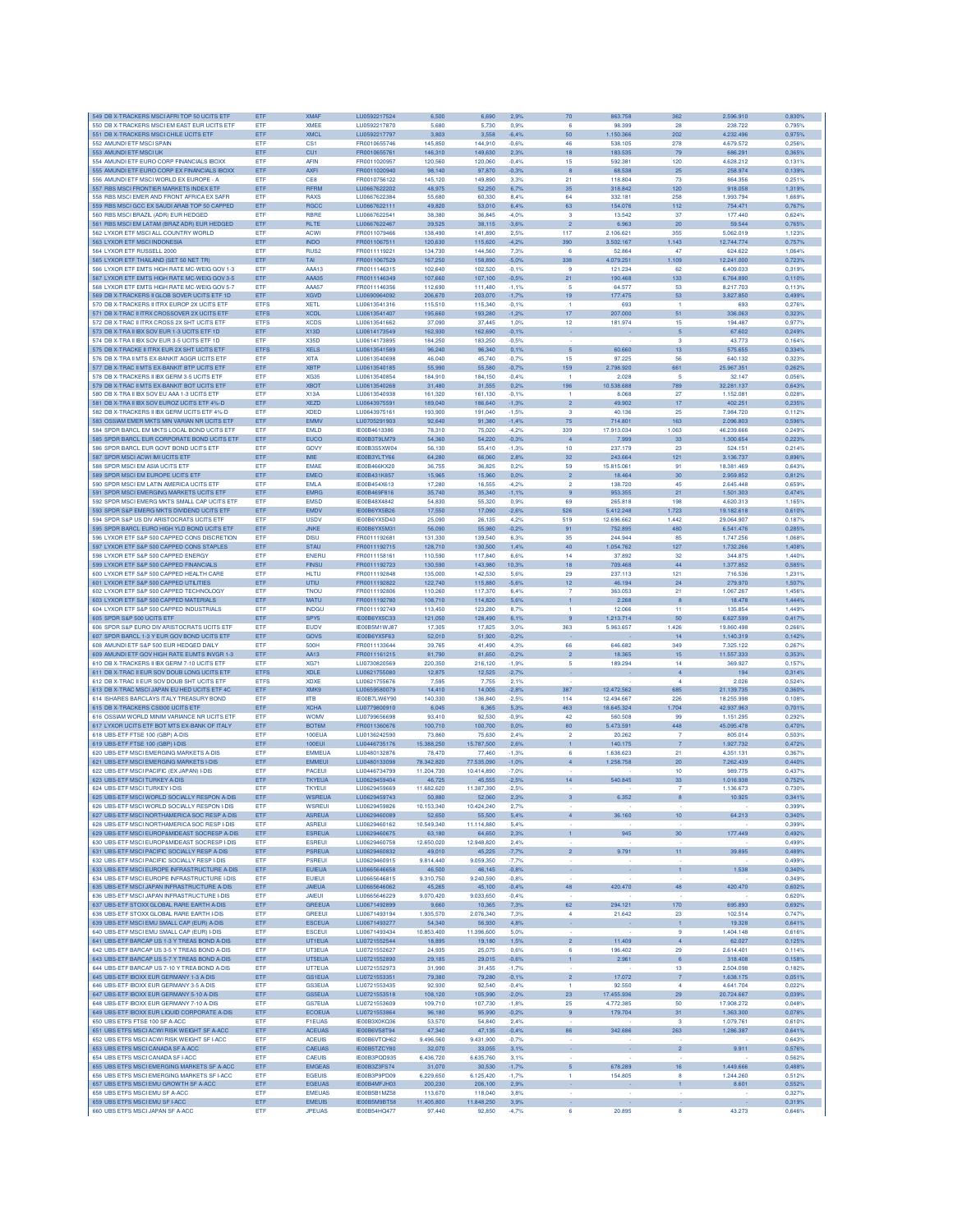| 549 DB X-TRACKERS MSCI AFRI TOP 50 UCITS ETF                                                 | ETF               | <b>XMAF</b>                    | LU0592217524        | 6,500                | 6,690      | 2,9%         | 70                      | 863.758    | 362                       | 2.596.910  | 0,830%           |
|----------------------------------------------------------------------------------------------|-------------------|--------------------------------|---------------------|----------------------|------------|--------------|-------------------------|------------|---------------------------|------------|------------------|
| 550 DB X-TRACKERS MSCI EM EAST EUR UCITS ETF                                                 | ETF               | <b>XMEE</b>                    | LU0592217870        | 5,680                | 5.730      | 0.9%         | -6                      | 98.399     | 28                        | 238,722    | 0.795%           |
| 551 DB X-TRACKERS MSCI CHILE UCITS ETF                                                       | ETF               | <b>XMCL</b>                    | LU0592217797        | 3.803                | 3.558      | $-6.4%$      | 50                      | 1.150.366  | 202                       | 4.232.496  | 0.975%           |
| 552 AMUNDI ETF MSCI SPAIN                                                                    | ETF               | CS1                            | FR0010655746        | 145,850              | 144.910    | $-0.6%$      | 46                      | 538.105    | 278                       | 4.679.572  | 0.256%           |
| 553 AMUNDI ETF MSCI UK                                                                       | ETF               | CU <sub>1</sub>                | FR0010655761        | 146,310              | 149,630    | 2,3%         | 18                      | 183.535    | 79                        | 686.291    | 0,365%           |
| 554 AMUNDI ETF EURO CORP FINANCIALS IBOXX                                                    | ETF               | <b>AFIN</b>                    | FR0011020957        | 120,560              | 120,060    | $-0.4%$      | 15                      | 592.381    | 120                       | 4.628.212  | 0,131%           |
| 555 AMUNDI ETF EURO CORP EX FINANCIALS IBOXX                                                 | ETF               | <b>AXFI</b>                    | FR0011020940        | 98,140               | 97,870     | $-0.3%$      | 8                       | 68,538     | 25                        | 258.974    | 0.139%           |
| 556 AMUNDI ETF MSCI WORLD EX EUROPE - A                                                      | ETF               | CE8                            | FR0010756122        | 145.120              | 149,890    | 3.3%         | 21                      | 118,804    | 73                        | 864,356    | 0.251%           |
| 557 RBS MSCI FRONTIER MARKETS INDEX ETF                                                      | ETF               | RFRM                           | LU0667622202        | 48.975               | 52,250     | 6.7%         | 35                      | 318,842    | 120                       | 918,058    | 1.319%           |
| 558 RBS MSCI EMER AND FRONT AFRICA EX SAFR                                                   | ETF               | RAXS                           | LU0667622384        | 55,680               | 60,330     | 8,4%         | 64                      | 332.181    | 258                       | 1.993.794  | 1,669%           |
| 559 RBS MSCI GCC EX SAUDI ARAB TOP 50 CAPPED                                                 | ETF               | <b>RGCC</b>                    | LU0667622111        | 49,820               | 53,010     | 6.4%         | 63                      | 154.076    | 112                       | 754.471    | 0,767%           |
| 560 RBS MSCI BRAZIL (ADR) EUR HEDGED                                                         | ETF               | RBRE                           | LU0667622541        | 38,380               | 36,845     | $-4.0%$      | 3                       | 13.542     | 37                        | 177,440    | 0,624%           |
| 561 RBS MSCI EM LATAM (BRAZ ADR) EUR HEDGED                                                  | ETF               | <b>RLTE</b>                    | LU0667622467        | 39,525               | 38,115     | $-3.6%$      | $\overline{2}$          | 6.963      | 20                        | 59.544     | 0,765%           |
| 562 LYXOR ETF MSCI ALL COUNTRY WORLD                                                         | ETF               | <b>ACWI</b>                    | FR0011079466        | 138,490              | 141,890    | 2.5%         | 117                     | 2.106.621  | 355                       | 5.062.019  | 1,123%           |
| 563 LYXOR ETF MSCI INDONESIA                                                                 | ETF               | <b>INDO</b>                    | FR0011067511        | 120,630              | 115,620    | $-4.2%$      | 390                     | 3.502.167  | 1.143                     | 12.744.774 | 0,757%           |
| 564 LYXOR ETF RUSSELL 2000                                                                   | ETF               | RUS <sub>2</sub>               | FR0011119221        | 134,730              | 144,560    | 7.3%         | 6                       | 52,864     | 47                        | 624.622    | 1.064%           |
| 565 LYXOR ETF THAILAND (SET 50 NET TR)                                                       | ETF               | <b>TAI</b>                     | FR0011067529        | 167,250              | 158,890    | $-5.0%$      | 338                     | 4.079.251  | 1.109                     | 12.241.000 | 0,723%           |
| 566 LYXOR ETF EMTS HIGH RATE MC-WEIG GOV 1-3                                                 | ETF               | AAA13                          | FR0011146315        | 102,640              | 102,520    | $-0.1%$      | ٩                       | 121.234    | 62                        | 6.409.033  | 0,319%           |
| 567 LYXOR ETF EMTS HIGH RATE MC-WEIG GOV 3-5                                                 | ETF               | AAA35                          | FR0011146349        | 107,660              | 107,100    | $-0.5%$      | 21                      | 190.468    | 133                       | 6,764,890  | 0,110%           |
| 568 I YXOR FTF EMTS HIGH RATE MC-WEIG GOV 5-7                                                | ETF               | AAA57                          | FR0011146356        | 112,690              | 111,480    | $-1.1%$      | 5                       | 64.577     | 53                        | 8.217.703  | 0.113%           |
| 569 DB X-TRACKERS II GLOB SOVER LICITS ETE 1D                                                | ETF               | <b>XGVD</b>                    | 1110690964092       | 206,670              | 203,070    | $-1,7%$      | 19                      | 177.475    | 53                        | 3,827,850  | 0.499%           |
| 570 DB X-TRACKERS II ITRX EUROP 2X UCITS ETF                                                 | <b>ETFS</b>       | <b>XETL</b>                    | LU0613541316        | 115,510              | 115,340    | $-0.1%$      |                         | 693        |                           | 693        | 0,276%           |
| 571 DB X-TRAC II ITRX CROSSOVER 2X UCITS ETF                                                 | <b>ETFS</b>       | <b>XCDL</b>                    | LU0613541407        | 195,660              | 193,280    | $-1,2%$      | 17                      | 207.000    | 51                        | 336.063    | 0,323%           |
| 572 DB X-TRAC II ITRX CROSS 2X SHT UCITS ETP                                                 | <b>ETFS</b>       | <b>XCDS</b>                    | LU0613541662        | 37,090               | 37,445     | 1.0%         | 12                      | 181.974    | 15                        | 194.487    | 0,977%           |
| 573 DB X-TRA II IBX SOV EUR 1-3 UCITS ETF 1D                                                 | ETF               | <b>X13D</b>                    | LU0614173549        | 162,930              | 162,690    | $-0,1%$      |                         |            | $\sqrt{5}$                | 67.602     | 0,249%           |
| 574 DB X-TRA II IBX SOV EUR 3-5 UCITS ETF 1D                                                 | <b>FTF</b>        | X35D                           | LU0614173895        | 184,250              | 183,250    | $-0.5%$      |                         |            | 3                         | 43.773     | 0.164%           |
| 575 DB X-TRACKE II ITRX EUR 2X SHT UCITS ETF                                                 | <b>ETFS</b>       | <b>XELS</b>                    | LU0613541589        | 96,240               | 96,340     | 0.1%         | $5\phantom{1}$          | 60,660     | 13                        | 575.655    | 0.334%           |
|                                                                                              |                   |                                |                     |                      |            |              |                         |            |                           |            |                  |
| 576 DB X-TRA II MTS EX-BANKIT AGGR UCITS ETP                                                 | ETF               | <b>XITA</b>                    | LU0613540698        | 46,040               | 45.740     | $-0.7%$      | 15                      | 97.225     | 56                        | 640.132    | 0.323%           |
| 577 DB X-TRAC II MTS EX-BANKIT BTP UCITS ETF                                                 | ETF               | <b>XBTP</b>                    | LU0613540185        | 55,990               | 55,580     | $-0.7%$      | 159                     | 2.798.920  | 661                       | 25.967.351 | 0,262%           |
| 578 DB X-TRACKERS II IBX GERM 3-5 UCITS ETP                                                  | ETF               | XG35                           | LU0613540854        | 184,910              | 184,150    | $-0.4%$      | $\overline{1}$          | 2.028      | 5                         | 32.147     | 0,056%           |
| 579 DB X-TRAC II MTS EX-BANKIT BOT UCITS ETF                                                 | ETF               | <b>XBOT</b>                    | LU0613540268        | 31,480               | 31,555     | 0.2%         | 196                     | 10.538.688 | 789                       | 32.281.137 | 0,643%           |
| 580 DB X-TRA II IBX SOV EU AAA 1-3 UCITS ETF                                                 | ETF               | X13A                           | LU0613540938        | 161,320              | 161.130    | $-0.1%$      | $\overline{1}$          | 8.068      | 27                        | 1.152.081  | 0.028%           |
| 581 DB X-TRA II IBX SOV EUROZ UCITS ETF 4%-D                                                 | ETF               | <b>XEZD</b>                    | LU0643975591        | 189,040              | 186,640    | $-1.3%$      | $\overline{2}$          | 49,902     | 17                        | 402.251    | 0.235%           |
| 582 DB X-TRACKERS II IBX GERM UCITS ETF 4%-D                                                 | ETF               | <b>XDED</b>                    | LU0643975161        | 193,900              | 191.040    | $-1.5%$      | $\overline{\mathbf{3}}$ | 40.136     | 25                        | 7.984.720  | 0.112%           |
| 583 OSSIAM EMER MKTS MIN VARIAN NR UCITS ETF                                                 | ETF               | <b>EMMV</b>                    | LU0705291903        | 92,640               | 91,380     | $-1,4%$      | $75\,$                  | 714.801    | 163                       | 2.096.803  | 0,596%           |
| 584 SPDR BARCL EM MKTS LOCAL BOND UCITS ETF                                                  | ETF               | <b>EMLD</b>                    | IE00B4613386        | 78,310               | 75,020     | $-4.2%$      | 339                     | 17.913.034 | 1.063                     | 46,239,666 | 0,249%           |
| 585 SPDR BARCL EUR CORPORATE BOND UCITS ETF                                                  | ETF               | <b>EUCO</b>                    | IE00B3T9LM79        | 54,360               | 54,220     | $-0.3%$      | 4                       | 7.999      | 33                        | 1.300.654  | 0,223%           |
| 586 SPDR BARCL EUR GOVT BOND UCITS ETF                                                       | ETF               | GOVY                           | IE00B3S5XW04        | 56,130               | 55,410     | $-1,3%$      | 10                      | 237.179    | 23                        | 524.151    | 0.214%           |
| 587 SPDR MSCI ACWI IMI UCITS ETP                                                             | ETF               | <b>IMF</b>                     | IE00B3YLTY66        | 64,280               | 66,060     | 2,8%         | 32                      | 243.664    | 121                       | 3.136.737  | 0,896%           |
| 588 SPDR MSCI EM ASIA UCITS ETF                                                              | ETF               | <b>EMAE</b>                    | IE00B466KX20        | 36,755               | 36.825     | 0.2%         | 59                      | 15,815,061 | 91                        | 18,381,469 | 0.643%           |
| 589 SPDR MSCI EM EUROPE UCITS ETF                                                            | ETF               | <b>EMEO</b>                    | IE00B431K857        | 15,965               | 15,960     | 0,0%         | $\overline{2}$          | 18,464     | 30                        | 2.959.852  | 0,812%           |
| 590 SPDR MSCI EM LATIN AMERICA UCITS ETF                                                     | ETF               | <b>EMLA</b>                    | IE00B454X613        | 17,280               | 16,555     | $-4.2%$      | $\overline{a}$          | 138,720    | 45                        | 2.645,448  | 0.659%           |
| 591 SPDR MSCI EMERGING MARKETS UCITS ETF                                                     | ETF               | <b>EMRG</b>                    | IE00B469F816        | 35,740               | 35,340     | $-1.1%$      |                         | 953.355    | 21                        | 1.501.303  | 0,474%           |
| 592 SPDR MSCLEMERG MKTS SMALL CAP LICITS ETE                                                 | <b>FTF</b>        | <b>EMSD</b>                    | IE00B48X4842        | 54.830               | 55,320     | 0.9%         | 69                      | 265,818    | 198                       | 4.620.313  | 1.165%           |
| 593 SPDR S&P EMERG MKTS DIVIDEND UCITS ETF                                                   | ETF               | <b>EMDV</b>                    | IE00B6YX5B26        | 17,550               | 17,090     | $-2.6%$      | 526                     | 5.412.248  | 1.723                     | 19.182.618 | 0,610%           |
| 594 SPDR S&P US DIV ARISTOCRATS UCITS ETP                                                    | <b>ETF</b>        | <b>USDV</b>                    | IF00B6YX5D40        | 25,090               | 26.135     | 4.2%         | 519                     | 12,696,662 | 1.442                     | 29.064.907 | 0.187%           |
|                                                                                              |                   |                                |                     |                      |            |              |                         |            |                           |            |                  |
| 595 SPDR BARCL EURO HIGH YLD BOND UCITS ETF<br>596 I YXOR FTE S&P 500 CAPPED CONS DISCRETION | ETF               | JNKE                           | IE00B6YX5M31        | 56,090               | 55,980     | $-0,2%$      | 91                      | 752.895    | 480                       | 6.541.476  | 0,285%           |
|                                                                                              | ETF               | <b>DISU</b>                    | FR0011192681        | 131,330              | 139,540    | 6.3%         | 35                      | 244,944    | 85                        | 1.747.256  | 1.068%           |
| 597 LYXOR ETF S&P 500 CAPPED CONS STAPLES                                                    | ETF               | <b>STAU</b>                    | FR0011192715        | 128,710              | 130,500    | 1,4%         | 40                      | 1.054.762  | 127                       | 1.732.266  | 1,408%           |
| 598 LYXOR ETF S&P 500 CAPPED ENERGY                                                          | ETF               | <b>ENERU</b>                   | FR0011158161        | 110,590              | 117,840    | 6.6%         | 14                      | 37.892     | 32                        | 344.875    | 1.440%           |
| 599 LYXOR ETF S&P 500 CAPPED FINANCIALS                                                      | ETF               | <b>FINSU</b>                   | FR0011192723        | 130,590              | 143,980    | 10,3%        | 18                      | 709.468    | 44                        | 1.377.852  | 0,585%           |
| 600 LYXOR ETF S&P 500 CAPPED HEALTH CARE                                                     | ETF               | <b>HLTU</b>                    | FR0011192848        | 135,000              | 142,530    | 5.6%         | 29                      | 237.113    | 121                       | 716,536    | 1.231%           |
| 601 LYXOR ETF S&P 500 CAPPED UTILITIES                                                       | ETF               | UTIU                           | FR0011192822        | 122,740              | 115,880    | $-5.6%$      | 12                      | 46.194     | 24                        | 279.970    | 1.507%           |
| 602 LYXOR ETF S&P 500 CAPPED TECHNOLOGY                                                      | ETF               | <b>TNOU</b>                    | FR0011192806        | 110,260              | 117,370    | 6.4%         | 7                       | 363.053    | 21                        | 1.067.267  | 1.456%           |
| 603 LYXOR ETF S&P 500 CAPPED MATERIALS                                                       | ETF               | <b>MATU</b>                    | FR0011192780        | 108,710              | 114,820    | 5.6%         |                         | 2.268      | 8                         | 18.478     | 1,444%           |
| 604 LYXOR ETF S&P 500 CAPPED INDUSTRIALS                                                     | ETF               | <b>INDGU</b>                   | FR0011192749        | 113,450              | 123,280    | 8,7%         | ٠                       | 12.066     | 11                        | 135.854    | 1,449%           |
| 605 SPDR S&P 500 UCITS ETF                                                                   | ETF               | SPY <sub>5</sub>               | IE00B6YX5C33        | 121.050              | 128,490    | 6.1%         |                         | 1.213.714  | 50                        | 6.627.599  | 0.417%           |
| 606 SPDR S&P EURO DIV ARISTOCRATS UCITS ETF                                                  | <b>ETF</b>        | EUDV                           | IE00B5M1WJ87        | 17,305               | 17,825     | 3.0%         | 363                     | 5.963.657  | 1.426                     | 19,860,498 | 0.266%           |
| 607 SPDR BARCL 1-3 Y EUR GOV BOND UCITS ETF                                                  | ETF               | GOVS                           | IE00B6YX5F63        | 52,010               | 51,920     | $-0.2%$      |                         |            | 14                        | 1.140.319  | 0.142%           |
| 608 AMUNDI ETF S&P 500 EUR HEDGED DAILY                                                      | ETF               | 500H                           | FR0011133644        | 39,765               | 41,490     | 4.3%         | 66                      | 646.682    | 349                       | 7.325.122  | 0.267%           |
| 609 AMUNDI ETF GOV HIGH RATE EUMTS INVGR 1-3                                                 | ETF               | AA13                           | FR0011161215        | 81,790               | 81,650     | $-0.2%$      | $\overline{c}$          | 18.365     | 15                        | 11.557.333 | 0,353%           |
| 610 DB X-TRACKERS II IBX GERM 7-10 UCITS ETF                                                 | ETF               | <b>XG71</b>                    | LU0730820569        | 220,350              | 216,120    | $-1,9%$      | 5                       | 189.294    | 14                        | 369.927    | 0,157%           |
| 611 DB X-TRAC II EUR SOV DOUB LONG UCITS ETF                                                 | <b>ETFS</b>       | <b>XDLE</b>                    | LU0621755080        | 12,875               | 12,525     |              |                         |            | $\overline{4}$            |            | 0,314%           |
|                                                                                              |                   |                                |                     |                      |            | $-2,7%$      |                         |            |                           | 194        |                  |
| 612 DB X-TRAC II EUR SOV DOUB SHT UCITS ETF                                                  | <b>ETFS</b>       | <b>XDXE</b>                    | LU0621755676        | 7.595                | 7,755      | 2.1%         |                         |            | 4                         | 2.026      | 0.524%           |
| 613 DB X-TRAC MSCI JAPAN EU HED UCITS ETF 4C                                                 | ETF               | <b>XMK9</b>                    | LU0659580079        | 14,410               | 14,005     | $-2.8%$      | 387                     | 12.472.562 | 685                       | 21.139.735 | 0.360%           |
| 614 ISHARES BARCLAYS ITALY TREASURY BOND                                                     | ETF               | <b>IITB</b>                    | IE00B7LW6Y90        | 140,330              | 136,840    | $-2,5%$      | 114                     | 12.494.667 | 226                       | 18,255,998 | 0,108%           |
| 615 DB X-TRACKERS CSI300 UCITS ETF                                                           | ETF               | <b>XCHA</b>                    | LU0779800910        | 6.045                | 6,365      | 5.3%         | 463                     | 18.645.324 | 1.704                     | 42.937.963 | 0,701%           |
| 616 OSSIAM WORLD MINIM VARIANCE NR UCITS ETF                                                 | ETF               | <b>WOMV</b>                    | LU0799656698        | 93,410               | 92,530     | $-0.9%$      | 42                      | 560.508    | 99                        | 1.151.295  | 0,292%           |
| 617 LYXOR UCITS ETF BOT MTS EX-BANK OF ITALY                                                 | ETF               | <b>BOT6M</b>                   | FR0011360676        | 100.710              | 100,700    | 0.0%         | 80                      | 5.473.591  | 448                       | 45.095.478 | 0,470%           |
| 618 UBS-ETF FTSE 100 (GBP) A-DIS                                                             | <b>FTF</b>        | 100EUA                         | LU0136242590        | 73,860               | 75,630     | 2.4%         | ٥                       | 20.262     |                           | 805.014    | 0.503%           |
| 619 UBS-ETF FTSE 100 (GBP) I-DIS                                                             | ETF               | <b>100EUI</b>                  | LU0446735176        | 15.388.250           | 15,787,500 | 2.6%         | 1                       | 140.175    | $\overline{7}$            | 1.927.732  | 0,472%           |
| 620 UBS-ETF MSCI EMERGING MARKETS A-DIS                                                      | ETF               | <b>EMMEUA</b>                  | LU0480132876        | 78,470               | 77,460     | $-1.3%$      | 6                       | 1.638.623  | 21                        | 4.351.131  | 0.367%           |
| 621 UBS-ETF MSCI EMERGING MARKETS I-DIS                                                      | ETF               | <b>EMMEUI</b>                  | LU0480133098        | 78.342,820           | 77.535,090 | $-1,0%$      | $\overline{4}$          | 1.258.758  | 20                        | 7.262.439  | 0,440%           |
| 622 UBS-ETF MSCI PACIFIC (EX JAPAN) I-DIS                                                    | ETF               | PACEUI                         | LU0446734799        | 11.204,730           | 10.414,890 | $-7.0%$      |                         |            | 10                        | 989.775    | 0,437%           |
| 623 UBS-ETF MSCI TURKEY A-DIS                                                                | ETF               | <b>TKYEUA</b>                  | LU0629459404        | 46,725               | 45,555     | $-2,5%$      | 14 <sub>1</sub>         | 540.845    | 33                        | 1.016.938  | 0,752%           |
| 624 LIBS-FTF MSCLTURKEY LDIS                                                                 | ETF               | <b>TKYEUI</b>                  | LU0629459669        | 11,682,620           | 11.387,390 | $-2.5%$      |                         |            | $\overline{7}$            | 1.136.673  | 0.730%           |
| 625 UBS-ETF MSCI WORLD SOCIALLY RESPON A-DIS                                                 | ETF               | <b>WSREUA</b>                  | 1110629459743       | 50,880               | 52,060     | 2.3%         | 3                       | 6.352      | 8                         | 10.925     | 0.341%           |
| 626 UBS-ETF MSCI WORLD SOCIALLY RESPON I-DIS                                                 | ETF               | <b>WSREUI</b>                  | 1110629459826       | 10.153.340           | 10.424.240 | 2,7%         |                         |            |                           |            | 0.399%           |
| 627 UBS-ETF MSCI NORTHAMERICA SOC RESP A-DIS                                                 | <b>ETF</b>        | <b>ASREUA</b>                  | LU0629460089        | 52,650               | 55,500     | 5,4%         | 4                       | 36.160     | 10                        | 64.213     | 0,340%           |
| 628 UBS-ETF MSCI NORTHAMERICA SOC RESP I-DIS                                                 | ETF               | <b>ASREUI</b>                  | LU0629460162        | 10.549,340           | 11.114,880 | 5.4%         |                         |            |                           |            | 0.399%           |
|                                                                                              |                   |                                | LU0629460675        |                      |            |              | ĭ.                      |            |                           |            |                  |
| 629 UBS-ETF MSCI EUROP&MIDEAST SOCRESP A-DIS<br>630 UBS-ETF MSCI EUROP&MIDEAST SOCRESP I-DIS | ETF<br><b>FTF</b> | <b>ESREUA</b><br><b>ESREUI</b> | LU0629460758        | 63,180<br>12,650,020 | 64,650     | 2,3%<br>2.4% |                         | 945        | 30 <sub>o</sub>           | 177.449    | 0,492%<br>0.499% |
|                                                                                              |                   |                                |                     |                      | 12.948,820 |              | $\overline{2}$          | 9.791      |                           | 39,895     |                  |
| 631 UBS-ETF MSCI PACIFIC SOCIALLY RESP A-DIS                                                 | ETF               | <b>PSREUA</b>                  | LU0629460832        | 49,010               | 45.225     | $-7.7%$      |                         |            | 11                        |            | 0.489%           |
| 632 UBS-ETF MSCI PACIFIC SOCIALLY RESP I-DIS                                                 | <b>ETF</b>        | <b>PSREUI</b>                  | 1110629460915       | 9.814.440            | 9.059.350  | $-7.7%$      |                         |            |                           |            | 0.499%           |
| 633 UBS-ETF MSCI EUROPE INFRASTRUCTURE A-DIS                                                 | ETF               | <b>EUIEUA</b>                  | LU0665646658        | 46,500               | 46,145     | $-0.8%$      | ÷.                      |            | $\mathbf{1}$              | 1.538      | 0,340%           |
| 634 UBS-ETF MSCI EUROPE INFRASTRUCTURE I-DIS                                                 | ETF               |                                | LU0665646815        |                      |            | $-0.8%$      |                         |            |                           |            | 0.349%           |
| 635 UBS-ETF MSCI JAPAN INFRASTRUCTURE A-DIS                                                  |                   | <b>EUIEUI</b>                  |                     | 9.310,750            | 9.240,590  |              |                         |            |                           |            |                  |
| 636 UBS-ETF MSCI JAPAN INFRASTRUCTURE I-DIS                                                  | ETF               | <b>JAIEUA</b>                  | LU0665646062        | 45,265               | 45,100     | $-0.4%$      | 48                      | 420.470    | 48                        | 420.470    | 0,602%           |
| 637 UBS-ETF STOXX GLOBAL RARE EARTH A-DIS                                                    | ETF               | <b>JAIEUI</b>                  | LU0665646229        | 9.070,420            | 9.033,650  | $-0.4%$      |                         |            | ÷.                        |            | 0,620%           |
|                                                                                              | ETF               | <b>GREEUA</b>                  | LU0671492899        | 9,660                | 10,365     | 7,3%         | 62                      | 294.121    | 170                       | 695.893    | 0,692%           |
| 638 UBS-ETF STOXX GLOBAL RARE EARTH I-DIS                                                    | ETF               | <b>GREEUI</b>                  | LU0671493194        | 1.935.570            | 2.076.340  | 7.3%         | -4                      | 21,642     | 23                        | 102.514    | 0.747%           |
| 639 UBS-ETF MSCI EMU SMALL CAP (EUR) A-DIS                                                   | ETF               | <b>ESCEUA</b>                  | LU0671493277        | 54,340               | 56,930     | 4,8%         | ٠                       |            | $\mathbf 1$               | 19.328     | 0,641%           |
| 640 UBS-ETF MSCI EMU SMALL CAP (EUR) I-DIS                                                   | ETF               | <b>ESCEUI</b>                  | LU0671493434        | 10.853,400           | 11.396,600 | 5.0%         |                         |            | $\overline{9}$            | 1,404.148  | 0,616%           |
| 641 UBS-ETF BARCAP US 1-3 Y TREAS BOND A-DIS                                                 | ETF               | UT1EUA                         | LU0721552544        | 18,895               | 19,180     | 1,5%         | $\overline{2}$          | 11.409     | $\overline{4}$            | 62.027     | 0,125%           |
| 642 URS-FTE BARCAP US 3-5 Y TREAS BOND A-DIS                                                 | ETF               | UT3EUA                         | LU0721552627        | 24.935               | 25,075     | 0.6%         | 6                       | 196,402    | 29                        | 2.614.401  | 0.114%           |
| 643 UBS-ETF BARCAP US 5-7 Y TREAS BOND A-DIS                                                 |                   | UT5EUA                         |                     |                      |            |              |                         |            |                           |            |                  |
|                                                                                              | ETF               |                                | LU0721552890        | 29,185               | 29,015     | $-0.6%$      | 1                       | 2.961      | 6                         | 318.408    | 0,158%           |
| 644 UBS-ETF BARCAP US 7-10 Y TREA BOND A-DIS                                                 | ETF               | UT7EUA                         | LU0721552973        | 31,990               | 31.455     | $-1.7%$      |                         |            | 13                        | 2.504.098  | 0.182%           |
| 645 UBS-ETF IBOXX EUR GERMANY 1-3 A-DIS                                                      | ETF               | GS1EUA                         | LU0721553351        | 79,380               | 79,280     | $-0,1%$      | $\overline{2}$          | 17.072     | $\overline{\mathfrak{z}}$ | 1.638.175  | 0,051%           |
| 646 UBS-ETF IBOXX EUR GERMANY 3-5 A-DIS                                                      | ETF               | <b>GS3EUA</b>                  | LU0721553435        | 92,930               | 92.540     | $-0.4%$      | 1                       | 92,550     | $\overline{4}$            | 4.641.704  | 0,022%           |
| 647 UBS-ETF IBOXX EUR GERMANY 5-10 A-DIS                                                     | ETF               | <b>GS5EUA</b>                  | LU0721553518        | 108,120              | 105,990    | $-2,0%$      | 23                      | 17.455.936 | 29                        | 20.724.667 | 0,039%           |
| 648 UBS-ETF IBOXX EUR GERMANY 7-10 A-DIS                                                     | ETF               | <b>GS7EUA</b>                  | LU0721553609        | 109,710              | 107,730    | $-1,8%$      | 25                      | 4.772.385  | 50                        | 17.908.272 | 0.048%           |
| 649 UBS-ETF IBOXX EUR LIQUID CORPORATE A-DIS                                                 | ETF               | <b>ECOEUA</b>                  | LU0721553864        | 96,180               | 95,990     | $-0,2%$      | $\overline{9}$          | 179.704    | 31                        | 1.363.300  | 0,078%           |
| 650 UBS ETFS FTSE 100 SF A-ACC                                                               | ETF               | <b>F1EUAS</b>                  | IE00B3X0KQ36        | 53,570               | 54,840     | 2.4%         |                         |            | -3                        | 1.079.761  | 0.610%           |
| 651 UBS ETFS MSCI ACWI RISK WEIGHT SF A-ACC                                                  | ETF               | <b>ACEUAS</b>                  | IE00B6VS8T94        | 47.340               | 47,135     | $-0.4%$      | 86                      | 342,686    | 263                       | 1.286.387  | 0,641%           |
| 652 UBS ETFS MSCI ACWI RISK WEIGHT SF I-ACC                                                  | ETF               | <b>ACEUIS</b>                  | IE00B6VTQH62        | 9.496.560            | 9.431,900  | $-0,7%$      |                         |            |                           |            | 0,643%           |
| 653 UBS ETFS MSCI CANADA SF A-ACC                                                            | ETF               | CAEUAS                         | IE00B5TZCY80        | 32,070               | 33,055     | 3,1%         |                         |            | $\overline{c}$            | 9.911      | 0,576%           |
| 654 UBS ETFS MSCI CANADA SF I-ACC                                                            | ETF               | <b>CAEUIS</b>                  | IE00B3PQD935        | 6.436,720            | 6.635,760  | 3,1%         |                         |            |                           |            | 0,562%           |
| 655 UBS ETFS MSCI EMERGING MARKETS SF A-ACC                                                  | ETF               | <b>EMGEAS</b>                  | IE00B3Z3FS74        | 31,070               | 30,530     | $-1,7%$      | 5 <sup>5</sup>          | 678,289    | 16                        | 1.449.666  | 0,488%           |
| 656 UBS ETFS MSCI EMERGING MARKETS SF I-ACC                                                  | ETF               | <b>EGEUIS</b>                  | IE00B3P9PD09        | 6.229.650            | 6.125.420  | $-1.7%$      | $\mathbf{1}$            | 154,805    | 8                         | 1.244.260  | 0.512%           |
| 657 UBS ETFS MSCI EMU GROWTH SF A-ACC                                                        | ETF               | <b>EGEUAS</b>                  | IE00B4MFJH03        | 200.230              | 206,100    | 2.9%         |                         |            | $\mathbf{1}$              | 8.601      | 0.552%           |
| 658 UBS ETFS MSCI EMU SF A-ACC                                                               | ETF               | <b>EMEUAS</b>                  | <b>IE00B5B1MZ58</b> | 113,670              | 118,040    | 3,8%         | à.                      |            | $\sim$                    |            | 0,327%           |
| 659 UBS ETFS MSCI EMU SF I-ACC                                                               | ETF               | <b>EMEUIS</b>                  | IE00B5M9BT58        | 11.405,800           | 11.848,250 | 3,9%         |                         |            | ×                         |            | 0,319%           |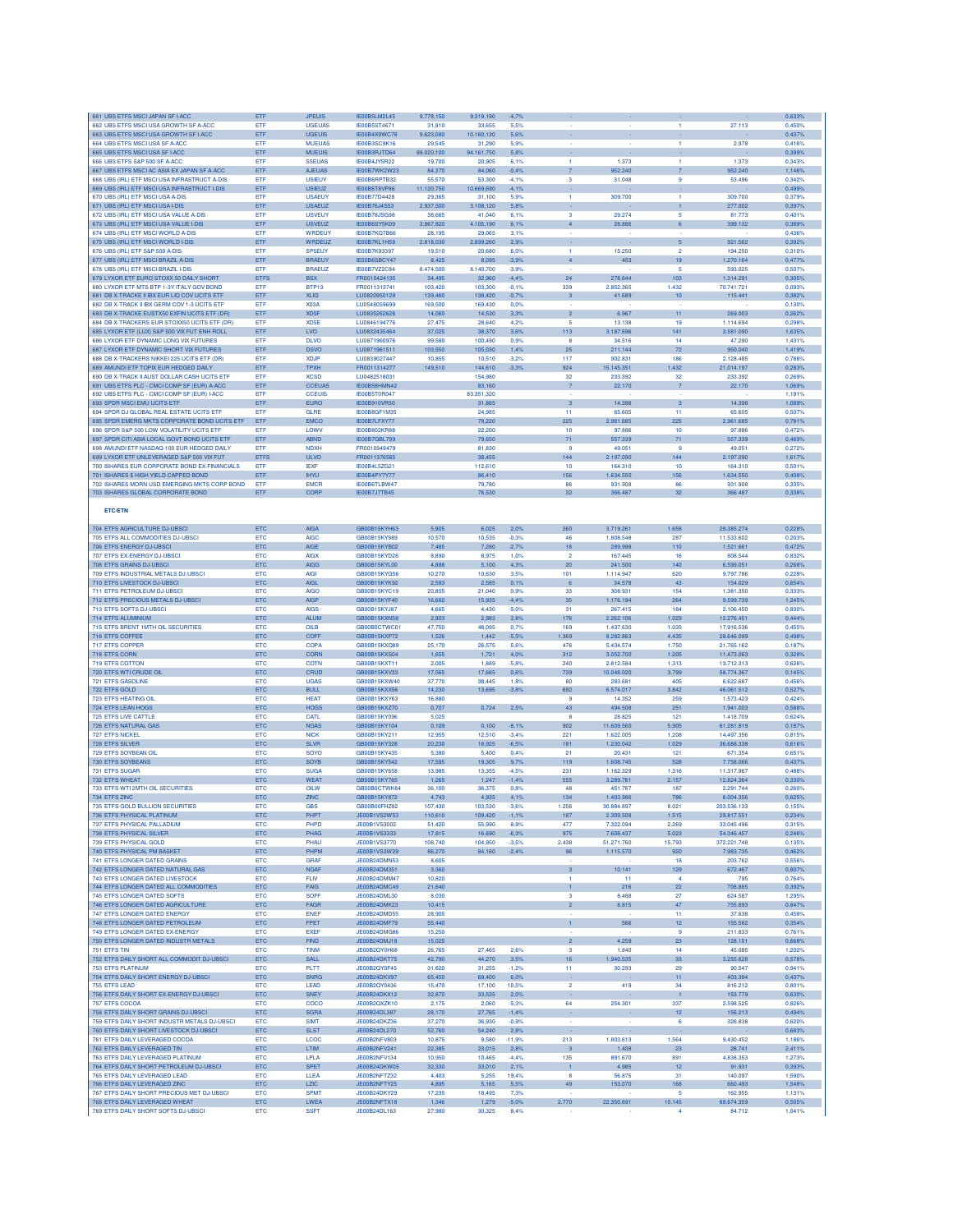| 661 UBS ETFS MSCI JAPAN SF I-ACC                                                             | ETF               | <b>JPEUIS</b>                  | IE00B5LM2L45                        | 9.778,150            | 9.319,190            | 4.7%               |                         |                        |                        |                          | 0,633%           |
|----------------------------------------------------------------------------------------------|-------------------|--------------------------------|-------------------------------------|----------------------|----------------------|--------------------|-------------------------|------------------------|------------------------|--------------------------|------------------|
| 662 UBS ETFS MSCI USA GROWTH SF A-ACC                                                        | <b>FTF</b>        | LIGEUAS                        | IE00B5ST4671                        | 31,910               | 33.655               | 5.5%               |                         |                        |                        | 27.113                   | 0.450%           |
| 663 UBS ETFS MSCI USA GROWTH SF I-ACC                                                        | ETF               | <b>UGEUIS</b>                  | IE00B4X9WC78                        | 9.623.080            | 10.160,130           | 5.6%               |                         |                        |                        |                          | 0.437%           |
| 664 UBS ETFS MSCI USA SF A-ACC<br>665 UBS ETFS MSCI USA SF I-ACC                             | ETF<br>ETF        | <b>MUEUAS</b><br><b>MUEUIS</b> | IE00B3SC9K16<br>IE00B3RJTD64        | 29.545<br>89.020,100 | 31,290<br>94.161,750 | 5.9%<br>5,8%       |                         |                        | п.                     | 2.978                    | 0.416%<br>0,399% |
| 666 UBS ETFS S&P 500 SF A-ACC                                                                | ETF               | <b>S5EUAS</b>                  | IE00B4JY5R22                        | 19,700               | 20,905               | 6.1%               | 1                       | 1.373                  | $\mathbf{1}$           | 1.373                    | 0.343%           |
| 667 UBS ETFS MSCI AC ASIA EX JAPAN SF A-ACC                                                  | ETF               | <b>AJEUAS</b>                  | IE00B7WK2W23                        | 84,370               | 84,060               | $-0.4%$            | $\overline{7}$          | 952.240                | $\overline{7}$         | 952.240                  | 1,146%           |
| 668 UBS (IRL) ETF MSCI USA INFRASTRUCT A-DIS                                                 | ETF               | <b>USIEUY</b>                  | IE00B6RPTB32                        | 55,570               | 53,300               | $-4.1%$            | 3                       | 31.048                 | 9                      | 53.496                   | 0.342%           |
| 669 UBS (IRL) ETF MSCI USA INFRASTRUCT I-DIS                                                 | ETF               | <b>USIEUZ</b>                  | IE00B6T8VP86                        | 11.120,750           | 10.669,690           | $-4,1%$            |                         |                        |                        |                          | 0,499%           |
| 670 UBS (IRL) ETF MSCI USA A-DIS<br>671 UBS (IRL) ETF MSCI USA I-DIS                         | ETF<br>ETF        | <b>USAEUY</b><br><b>USAEUZ</b> | IE00B77D4428<br>IE00B76J4S53        | 29,365<br>2.937,500  | 31.100<br>3.108,120  | 5.9%<br>5,8%       | $\blacksquare$          | 309.700                | -1                     | 309.700<br>277.002       | 0.379%<br>0,397% |
| 672 UBS (IRL) ETF MSCI USA VALUE A-DIS                                                       | ETF               | <b>USVEUY</b>                  | IE00B78JSG98                        | 38,665               | 41,040               | 6.1%               | 3                       | 29.274                 | 5                      | 81.773                   | 0,401%           |
| 673 UBS (IRL) ETF MSCI USA VALUE I-DIS                                                       | ETF               | <b>USVEUZ</b>                  | IE00B6SY5K09                        | 3.867,820            | 4.105,190            | 6,1%               |                         | 28.886                 |                        | 399.132                  | 0,389%           |
| 674 UBS (IRL) ETF MSCI WORLD A-DIS                                                           | ETF               | WRDEUY                         | <b>IE00B7KQ7B66</b>                 | 28,195               | 29,065               | 3,1%               |                         |                        |                        |                          | 0,4369           |
| 675 UBS (IRL) ETF MSCI WORLD I-DIS                                                           | ETF               | WRDEUZ                         | IE00B7KL1H59                        | 2.818,030            | 2.899,260            | 2.9%               | $\overline{1}$          | 15.250                 | $5\overline{5}$        | 921.562                  | 0.392%           |
| 676 UBS (IRL) ETF S&P 500 A-DIS<br>677 UBS (IRL) ETF MSCI BRAZIL A-DIS                       | ETF<br>ETF        | <b>SP5EUY</b><br><b>BRAEUY</b> | IE00B7K93397<br>IE00B6SBCY47        | 19.510<br>8.425      | 20,680<br>8.095      | 6.0%<br>3.9%       | $\overline{4}$          | 403                    | $\overline{2}$<br>19   | 194,250<br>1.270.164     | 0.310%<br>0.477% |
| 678 UBS (IRL) ETF MSCI BRAZIL I-DIS                                                          | ETF               | <b>BRAEUZ</b>                  | <b>IE00B7VZ2C84</b>                 | 8.474,500            | 8.140,700            | $-3.9%$            |                         |                        | 5                      | 593.025                  | 0,507%           |
| 679 LYXOR ETF EURO STOXX 50 DAILY SHORT                                                      | ETF.              | <b>BSX</b>                     | FR0010424135                        | 34,495               | 32,960               | $-4.4%$            | 24                      | 278.644                | 103                    | 1.314.291                | 0,305%           |
| 680 LYXOR ETF MTS BTP 1-3Y ITALY GOV BOND                                                    | ETF               | BTP13                          | FR0011313741                        | 103,420              | 103,300              | $-0.1%$            | 339                     | 2.852.365              | 1.432                  | 70.741.721               | 0,093%           |
| 681 DB X-TRACKE II IBX EUR LIQ COV UCITS ETF                                                 | ETF               | <b>XLIQ</b>                    | LU0820950128                        | 139,460              | 138,420              | $-0,7%$            | $\overline{\mathbf{3}}$ | 41.689                 | 10                     | 115.441                  | 0,382%           |
| 682 DB X-TRACK II IBX GERM COV 1-3 UCITS ETF<br>683 DB X-TRACKE EUSTX50 EXFIN UCITS ETF (DR) | ETF<br>ETF        | X03A<br>XD <sub>5F</sub>       | LU0548059699<br>LU0835262626        | 169,500<br>14,060    | 169,430<br>14,530    | 0.0%<br>3.3%       | $\overline{2}$          | 6.967                  | 11                     | 269,003                  | 0.130%<br>0.262% |
| 684 DB X-TRACKERS EUR STOXX50 UCITS ETF (DR)                                                 | ETF               | XD5E                           | LU0846194776                        | 27,475               | 28,640               | 4,2%               | 5                       | 13.138                 | 19                     | 1.114.694                | 0.298%           |
| 685 LYXOR ETF (LUX) S&P 500 VIX FUT ENH ROLL                                                 | ETF               | LVO                            | LU0832435464                        | 37,025               | 38,370               | 3.6%               | 113                     | 3.187.696              | 141                    | 3.581.090                | 1,635%           |
| 686 LYXOR ETF DYNAMIC LONG VIX FUTURES                                                       | ETF               | <b>DLVO</b>                    | LU0871960976                        | 99,580               | 100,490              | 0.9%               | 8                       | 34.516                 | 14                     | 47.290                   | 1,431%           |
| 687 LYXOR ETF DYNAMIC SHORT VIX FUTURES                                                      | ETF               | <b>DSVO</b>                    | LU0871961511                        | 103.550              | 105,030              | 1,4%               | 25                      | 211.144                | 72                     | 950.040                  | 1,419%           |
| 688 DB X-TRACKERS NIKKEI 225 UCITS ETF (DR)<br>689 AMUNDI ETF TOPIX EUR HEDGED DAILY         | <b>FTF</b><br>ETF | XD.IF<br><b>TPXH</b>           | LU0839027447<br>FR0011314277        | 10.855<br>149,510    | 10,510<br>144,610    | $-3.2%$<br>$-3.3%$ | 117<br>924              | 902831<br>15.145.351   | 186<br>1.432           | 2.128.485<br>21.014.197  | 0.788%<br>0.283% |
| 690 DB X-TRACK II AUST DOLLAR CASH UCITS ETF                                                 | ETF               | <b>XCSD</b>                    | LU0482518031                        |                      | 154,980              |                    | 32                      | 233.392                | 32                     | 233,392                  | 0.269%           |
| 691 UBS ETFS PLC - CMCI COMP SF (EUR) A-ACC                                                  | ETF               | <b>CCEUAS</b>                  | IE00B58HMN42                        |                      | 83,160               |                    | $\overline{7}$          | 22.170                 | $\overline{7}$         | 22.170                   | 1,069%           |
| 692 UBS ETFS PLC - CMCI COMP SF (EUR) I-ACC                                                  | ETF               | <b>CCEUIS</b>                  | IE00B5T0R047                        |                      | 83.351,320           |                    |                         |                        |                        |                          | 1,191%           |
| 693 SPDR MSCI EMU UCITS ETF                                                                  | ETF               | <b>EURO</b>                    | IE00B910VR50                        |                      | 31,865               |                    | $\mathbf{3}$            | 14.398                 | $\mathbf{3}$           | 14.398                   | 1,089%           |
| 694 SPDR DJ GLOBAL REAL ESTATE UCITS ETF<br>695 SPDR EMERG MKTS CORPORATE BOND UCITS ETF     | ETF<br>ETF        | <b>GLRE</b><br><b>EMCO</b>     | IE00B8GF1M35<br>IE00B7LFXY77        |                      | 24.985<br>78,220     |                    | 11<br>225               | 65,605<br>2.961.685    | 11<br>225              | 65,605<br>2.961.685      | 0.507%<br>0,781% |
| 696 SPDR S&P 500 LOW VOLATILITY UCITS ETF                                                    | ETF               | <b>LOWV</b>                    | IE00B802KR88                        |                      | 22,200               |                    | 10                      | 97,886                 | 10                     | 97.886                   | 0,472%           |
| 697 SPDR CITI ASIA LOCAL GOVT BOND UCITS ETF                                                 | ETF               | ABND                           | IE00B7GBL799                        |                      | 79,650               |                    | 71                      | 557.339                | 71                     | 557.339                  | 0,469%           |
| 698 AMUNDI ETF NASDAQ-100 EUR HEDGED DAILY                                                   | ETF               | <b>NDXH</b>                    | FR0010949479                        |                      | 81,830               |                    | -9                      | 49.05                  | 9                      | 49.051                   | 0,2729           |
| 699 LYXOR ETF UNLEVERAGED S&P 500 VIX FUT                                                    | ETFS              | <b>ULVO</b>                    | FR0011376565                        |                      | 38,455               |                    | 144                     | 2.197.090              | 144                    | 2.197.090                | 1,617%           |
| 700 ISHARES EUR CORPORATE BOND EX-FINANCIALS                                                 | ETF               | <b>IEXF</b><br><b>IHYU</b>     | IE00B4L5ZG21                        |                      | 112,610              |                    | 10<br>156               | 164.310<br>1.634.550   | 10<br>156              | 164.310<br>1.634.550     | 0.501%<br>0.408% |
| 701 ISHARES \$ HIGH YIELD CAPPED BOND<br>702 ISHARES MORN LISD EMERGING MKTS CORP BOND       | ETF<br>ETF        | <b>EMCR</b>                    | IE00B4PY7Y77<br><b>IF00B6TLBW47</b> |                      | 86,410<br>79.780     |                    | 86                      | 931,908                | 86                     | 931,908                  | 0.335%           |
| 703 ISHARES GLOBAL CORPORATE BOND                                                            | ETF               | CORP                           | IE00B7J7TB45                        |                      | 76,530               |                    | 32                      | 366.487                | 32                     | 366.487                  | 0,338%           |
|                                                                                              |                   |                                |                                     |                      |                      |                    |                         |                        |                        |                          |                  |
| <b>ETC/ETN</b>                                                                               |                   |                                |                                     |                      |                      |                    |                         |                        |                        |                          |                  |
| 704 ETFS AGRICULTURE DJ-UBSCI                                                                | <b>ETC</b>        | <b>AIGA</b>                    | GB00B15KYH63                        | 5.905                | 6.025                | 2.0%               | 260                     | 3.719.261              | 1.658                  | 29,385,274               | 0.228%           |
| 705 ETFS ALL COMMODITIES DJ-UBSCI                                                            | ETC               | <b>AIGC</b>                    | GB00B15KY989                        | 10.570               | 10.535               | $-0.3%$            | 46                      | 1.808.548              | 287                    | 11.533.602               | 0.203%           |
| 706 ETFS ENERGY DJ-UBSCI                                                                     | ETC               | AIGE                           | GB00B15KYB02                        | 7,485                | 7,280                | $-2.7%$            | 18                      | 289.998                | 110                    | 1.521.661                | 0,472%           |
| 707 ETFS EX-ENERGY DJ-UBSCI                                                                  | ETC               | <b>AIGX</b>                    | GB00B15KYD26                        | 8,890                | 8,975                | 1.0%               | $\overline{2}$          | 167.445                | 16                     | 808.544                  | 0,8329           |
| 708 ETFS GRAINS DJ-UBSCI                                                                     | ETC               | <b>AIGG</b><br><b>AIGI</b>     | GB00B15KYL00                        | 4.888                | 5,100                | 4.3%<br>3.5%       | 20                      | 241.500                | 140                    | 6.599.051                | 0,268%<br>0.228% |
| 709 ETFS INDUSTRIAL METALS DJ-UBSCI<br>710 ETFS LIVESTOCK DJ-UBSCI                           | <b>ETC</b><br>ETC | <b>AIGI</b>                    | GB00B15KYG56<br>GB00B15KYK92        | 10.270<br>2.583      | 10,630<br>2.585      | 0.1%               | 101<br>6                | 1.114.947<br>34.578    | 620<br>43              | 9.797.786<br>154.029     | 0.654%           |
| 711 ETFS PETROLEUM DJ-UBSCI                                                                  | <b>ETC</b>        | <b>AIGO</b>                    | GB00B15KYC19                        | 20,855               | 21.040               | 0.9%               | 33                      | 308.931                | 154                    | 1.381.350                | 0.333%           |
| 712 ETFS PRECIOUS METALS DJ-UBSCI                                                            | ETC               | <b>AIGP</b>                    | GB00B15KYF40                        | 16,660               | 15,935               | $-4,4%$            | 35                      | 1.176.194              | 264                    | 9.599.739                | 1,245%           |
| 713 ETFS SOFTS DJ-UBSCI                                                                      | ETC               | <b>AIGS</b>                    | GB00B15KYJ87                        | 4.665                | 4,430                | $-5.0%$            | 31                      | 267.415                | 184                    | 2.106.450                | 0.830%           |
| 714 ETFS ALUMINIUM                                                                           | ETC               | <b>ALUM</b>                    | GB00B15KXN58                        | 2,903                | 2,983                | 2,8%               | 178                     | 2.262.106              | 1.029                  | 12.276.451               | 0,444%           |
| 715 ETFS BRENT 1MTH OIL SECURITIES                                                           | <b>ETC</b>        | OILB                           | GB00B0CTWC01                        | 47.750<br>1,526      | 48,095               | 0.7%               | 169<br>1.369            | 1.437.630              | 1.035<br>4.435         | 17.916.536               | 0.455%           |
| 716 ETFS COFFEE<br>717 ETFS COPPER                                                           | ETC<br>ETC        | COFF<br>COPA                   | GB00B15KXP72<br>GB00B15KXQ89        | 25.170               | 1,442<br>26.575      | $-5,5%$<br>5.6%    | 476                     | 8.282.863<br>5.434.574 | 1.750                  | 28.646.099<br>21.765.162 | 0,498%<br>0.187% |
| 718 ETFS CORN                                                                                | ETC               | CORN                           | GB00B15KXS04                        | 1,655                | 1,721                | 4,0%               | 312                     | 3.052.700              | 1.205                  | 11.473.063               | 0,328%           |
| 719 ETFS COTTON                                                                              | ETC               | COTN                           | GB00B15KXT11                        | 2.005                | 1,889                | -5.8%              | 240                     | 2.812.584              | 1,313                  | 13.712.313               | 0.626%           |
| 720 ETFS WTI CRUDE OIL                                                                       | ETC               | CRUD                           | GB00B15KXV33                        | 17,565               | 17,665               | 0.6%               | 739                     | 10.048.020             | 3.799                  | 58.774.367               | 0,145%           |
| 721 ETFS GASOLINE                                                                            | ETC               | <b>UGAS</b><br><b>BULL</b>     | GB00B15KXW40<br>GB00B15KXX56        | 37,770<br>14.230     | 38,445               | 1,8%               | 80                      | 283.681                | 405<br>3.842           | 6.622.687                | 0,4569<br>0.5279 |
| 722 ETFS GOLD<br>723 ETFS HEATING OIL                                                        | ETC<br><b>ETC</b> | <b>HEAT</b>                    | GB00B15KXY63                        | 16,880               | 13,695               | 3.8%               | 692<br>-9               | 6.574.017<br>14.352    | 259                    | 46.061.512<br>1.573.423  | 0.424%           |
| 724 ETFS LEAN HOGS                                                                           | ETC               | <b>HOGS</b>                    | GB00B15KXZ70                        | 0.707                | 0,724                | 2.5%               | 43                      | 494.508                | 251                    | 1.941.003                | 0.588%           |
| <b>725 ETFS LIVE CATTLE</b>                                                                  | ETC               | CATL                           | GB00B15KY096                        | 5,025                |                      |                    | 8                       | 28.825                 | 121                    | 1,418.709                | 0,624%           |
| 726 ETFS NATURAL GAS                                                                         | ETC               | <b>NGAS</b>                    | GB00B15KY104                        | 0,109                | 0,100                | $-8,1%$            | 902                     | 11.609.560             | 5.905                  | 61.281.819               | 0,187%           |
| 727 ETFS NICKEL                                                                              | ETC               | <b>NICK</b>                    | GB00B15KY211                        | 12,955               | 12,510               | $-3.4%$            | 221                     | 1.622.005              | 1.208                  | 14.497.356               | 0,815%           |
| 728 ETFS SILVER<br>729 ETFS SOYBEAN OIL                                                      | ETC<br>ETC        | <b>SLVR</b><br>SOYO            | GB00B15KY328<br>GB00B15KY435        | 20,230<br>5,380      | 18,925<br>5.400      | $-6.5%$<br>0.4%    | 181<br>21               | 1.230.042<br>20.431    | 1.029<br>121           | 36.688.338<br>671.354    | 0,616%<br>0.651% |
| 730 ETES SOYBEANS                                                                            | ETC               | SOYB                           | GB00B15KY542                        | 17,595               | 19,305               | 9.7%               | 119                     | 1.608.745              | 528                    | 7.758.066                | 0.437%           |
| 731 ETFS SUGAR                                                                               | ETC               | <b>SUGA</b>                    | GB00B15KY658                        | 13,985               | 13,355               | $-4.5%$            | 231                     | 1.162.329              | 1,316                  | 11.317.967               | 0,488%           |
| 732 ETFS WHEAT                                                                               | ETC               | WEAT                           | GB00B15KY765                        | 1,265                | 1,247                | $-1.4%$            | 555                     | 3.289.761              | 2.157                  | 12.824.364               | 0,330%           |
| 733 ETFS WTI 2MTH OIL SECURITIES                                                             | ETC               | OILW                           | GB00B0CTWK84                        | 36.100               | 36,375               | 0.8%               | 48                      | 451.767                | 187                    | 2.291.744                | 0,260%           |
| 734 ETFS ZINC<br>OLD BULLION SECURITIE                                                       | ETC               | <b>ZINC</b>                    | GB00B15KY872                        | 4.743                | 4.935                | 4,1%               | 134                     | 1.403.986              | 786                    | 6.004.356                | 0,625%           |
| 736 ETFS PHYSICAL PLATINUM                                                                   | ETC               | PHPT                           | JE00B1VS2W53                        | 110,610              | 109,420              | $-1,1%$            | 187                     | 2.309,508              | 1.515                  | 29.817.551               | 0.234%           |
| 737 ETFS PHYSICAL PALLADIUM                                                                  | ETC               | PHPD                           | JE00B1VS3002                        | 51,420               | 55,990               | 8.9%               | 477                     | 7.322.094              | 2.269                  | 33.045.496               | 0.315%           |
| 738 ETFS PHYSICAL SILVER                                                                     | ETC               | PHAG                           | JE00B1VS3333                        | 17,815               | 16,690               | $-6,3%$            | 975                     | 7.608.437              | 5.023                  | 54.346.457               | 0,246%           |
| 739 ETFS PHYSICAL GOLD                                                                       | <b>ETC</b>        | PHAU                           | JE00B1VS3770                        | 108,740              | 104,950              | $-3.5%$            | 2.438                   | 51.271.760             | 15.793                 | 372.221.748              | 0.135%           |
| 740 ETFS PHYSICAL PM BASKET<br>741 ETFS LONGER DATED GRAINS                                  | ETC<br><b>ETC</b> | PHPM<br><b>GRAF</b>            | JE00B1VS3W29<br>JE00B24DMN53        | 86,270<br>8.605      | 84,160               | $-2,4%$            | 96                      | 1.115.570              | 920<br>18              | 7.983.735<br>203.762     | 0,462%<br>0.556% |
| 742 ETFS LONGER DATED NATURAL GAS                                                            | ETC               | <b>NGAF</b>                    | JE00B24DM351                        | 3.360                |                      |                    | $\mathbf{3}$            | 10.141                 | 129                    | 672.467                  | 0,807%           |
| 743 ETFS LONGER DATED LIVESTOCK                                                              | ETC               | <b>FLM</b>                     | JE00B24DMM47                        | 10,820               |                      |                    | $\overline{1}$          | 11                     | $\overline{4}$         | 795                      | 0,764%           |
| 744 ETFS LONGER DATED ALL COMMODITIES                                                        | ETC               | FAIG                           | JE00B24DMC49                        | 21,640               |                      |                    | $\mathbf{1}$            | 216                    | 22                     | 708.885                  | 0,392%           |
| 745 ETFS LONGER DATED SOFTS                                                                  | ETC               | <b>SOFF</b>                    | JE00B24DML30                        | 8,030                |                      |                    | 3                       | 8.488                  | 27                     | 624.587                  | 1,295%           |
| 746 ETFS LONGER DATED AGRICULTURE<br>747 FTES LONGER DATED ENERGY                            | ETC<br><b>ETC</b> | FAGR<br><b>ENER</b>            | JE00B24DMK23<br>JE00B24DMD55        | 10,415<br>28,905     |                      |                    | $\overline{2}$          | 8.815                  | 47<br>11               | 755.893<br>37.638        | 0,847%<br>0,458% |
| 748 ETFS LONGER DATED PETROLEUM                                                              | ETC               | FPET                           | JE00B24DMF79                        | 55,440               |                      |                    | $\mathbf{1}$            | 566                    | 12 <sub>12</sub>       | 155,582                  | 0.354%           |
| 749 ETFS LONGER DATED EX-ENERGY                                                              | ETC               | <b>EXEF</b>                    | JE00B24DMG86                        | 15,250               |                      |                    |                         |                        | 9                      | 211.833                  | 0.761%           |
| 750 ETFS LONGER DATED INDUSTR METALS                                                         | ETC               | FIND                           | JE00B24DMJ18                        | 15,025               |                      |                    | $\overline{2}$          | 4.259                  | 23                     | 128.151                  | 0,668%           |
| 751 ETFS TIN                                                                                 | <b>ETC</b>        | <b>TINM</b>                    | JE00B2QY0H68                        | 26,765               | 27,465               | 2,6%               | 3                       | 1.840                  | 14                     | 45.085                   | 1,202%           |
| 752 ETFS DAILY SHORT ALL COMMODIT DJ-UBSCI<br><b>753 ETFS PLATINUM</b>                       | ETC<br><b>ETC</b> | SALL<br>PLTT                   | JE00B24DKT75<br>JE00B2OY0E45        | 42,790<br>31,620     | 44,270<br>31,255     | 3,5%<br>$-1,2%$    | 16<br>11                | 1.940.535<br>30.293    | 33<br>29               | 3.255.628<br>90.547      | 0,578%<br>0,941% |
| 754 ETFS DAILY SHORT ENERGY DJ-UBSCI                                                         | ETC               | <b>SNRG</b>                    | JE00B24DKV97                        | 65,450               | 69,400               | 6.0%               |                         |                        | 11                     | 403.384                  | 0.437%           |
| 755 ETFS LEAD                                                                                | ETC               | LEAD                           | JE00B2OY0436                        | 15,470               | 17.100               | 10.5%              | $\overline{2}$          | 419                    | 34                     | 816.212                  | 0.801%           |
| 756 ETFS DAILY SHORT EX-ENERGY DJ-UBSCI                                                      | ETC               | <b>SNEY</b>                    | JE00B24DKX12                        | 32,870               | 33,535               | 2,0%               |                         |                        | $\overline{1}$         | 153.779                  | 0,630%           |
| 757 ETFS COCOA                                                                               | <b>ETC</b>        | COCO                           | JE00B2QXZK10                        | 2,175                | 2,060                | $-5.3%$            | 64                      | 254.301                | 337                    | 2.598.525                | 0,826%           |
| 758 ETFS DAILY SHORT GRAINS DJ-UBSCI<br>759 ETFS DAILY SHORT INDUSTR METALS DJ-UBSCI         | ETC<br>ETC        | <b>SGRA</b><br><b>SIMT</b>     | JE00B24DL387<br>JE00B24DKZ36        | 28,170<br>37,270     | 27,765<br>36,930     | $-1.4%$<br>$-0.9%$ |                         |                        | $12 \overline{ }$<br>6 | 156.213                  | 0,494%<br>0.620% |
| 760 ETFS DAILY SHORT LIVESTOCK DJ-UBSCI                                                      | ETC               | <b>SLST</b>                    | JE00B24DL270                        | 52,760               | 54,240               | 2,8%               |                         |                        |                        | 326.838                  | 0,683%           |
| 761 ETFS DAILY LEVERAGED COCOA                                                               | <b>ETC</b>        | LCOC                           | JE00B2NFV803                        | 10.875               | 9,580                | $-11.9%$           | 213                     | 1,803,613              | 1.564                  | 9.430.452                | 1.186%           |
| 762 ETFS DAILY LEVERAGED TIN                                                                 | ETC               | <b>LTIM</b>                    | JE00B2NFV241                        | 22,385               | 23,015               | 2,8%               | $\overline{\mathbf{3}}$ | 1.408                  | 23                     | 28.741                   | 2,411%           |
| 763 ETFS DAILY LEVERAGED PLATINUM                                                            | ETC               | LPLA                           | JE00B2NFV134                        | 10,950               | 10,465               | $-4.4%$            | 135                     | 891.670                | 891                    | 4.838.353                | 1,273%           |
| 764 ETFS DAILY SHORT PETROLEUM DJ-UBSCI                                                      | ETC               | <b>SPET</b>                    | JE00B24DKW05                        | 32,330               | 33,010               | 2,1%               | $\vert$                 | 4.985                  | 12                     | 91.931                   | 0,393%           |
| 765 ETFS DAILY LEVERAGED LEAD<br>766 ETFS DAILY LEVERAGED ZINC                               | ETC<br>ETC        | LLEA<br><b>LZIC</b>            | JE00B2NFTZ32<br>JE00B2NFTY25        | 4,403<br>4,895       | 5,255<br>5,165       | 19,4%<br>5,5%      | 8<br>49                 | 56.875<br>153.070      | 31<br>168              | 140.097<br>660.493       | 1,590%<br>1,548% |
| 767 ETFS DAILY SHORT PRECIOUS MET DJ-UBSCI                                                   | <b>ETC</b>        | <b>SPMT</b>                    | JE00B24DKY29                        | 17,235               | 18,495               | 7.3%               |                         |                        | -5                     | 162.955                  | 1.131%           |
| 768 ETFS DAILY LEVERAGED WHEAT                                                               | ETC               | LWEA                           | JE00B2NFTX18                        | 1,346                | 1,279                | $-5,0%$            | 2.770                   | 22.350.691             | 10.145                 | 68.674.359               | 0,505%           |
| 769 ETFS DAILY SHORT SOFTS DJ-UBSCI                                                          | ETC               | <b>SSFT</b>                    | JE00B24DL163                        | 27,980               | 30,325               | 8,4%               |                         |                        | $\overline{4}$         | 84.712                   | 1,041%           |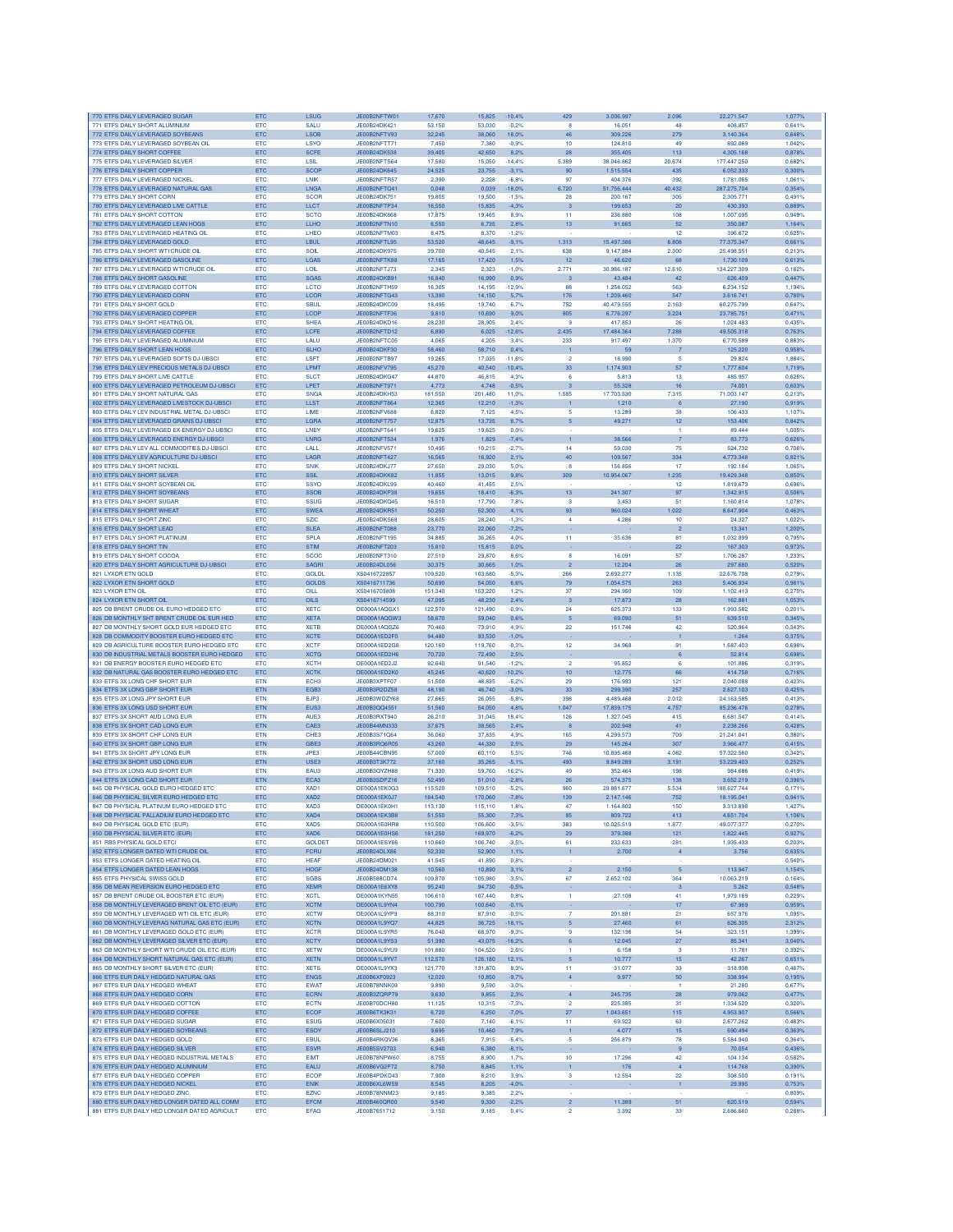| 771 ETFS DAILY SHORT ALUMINIUM                                                               | <b>ETC</b><br><b>ETC</b> | <b>LSUG</b><br><b>SALU</b> | JE00B2NFTW01<br>JE00B24DK421        | 17,670<br>53.150   | 15,825<br>53,030   | $-10,4%$<br>$-0.2%$ | 429<br>$\mathbf{R}$              | 3.006.997<br>16.051     | 2.096<br>48                   | 22.271.547<br>408.857    | 1,077%<br>0.641% |
|----------------------------------------------------------------------------------------------|--------------------------|----------------------------|-------------------------------------|--------------------|--------------------|---------------------|----------------------------------|-------------------------|-------------------------------|--------------------------|------------------|
| 772 ETFS DAILY LEVERAGED SOYBEANS                                                            | <b>ETC</b>               | <b>LSOB</b>                | JE00B2NFTV93                        | 32.245             | 38,060             | 18.0%               | 46                               | 309,226                 | 279                           | 3.140.364                | 0.648%           |
| 773 ETFS DAILY LEVERAGED SOYBEAN OIL<br>774 ETFS DAILY SHORT COFFEE                          | ETC<br>ETC               | LSYO<br><b>SCFE</b>        | JE00B2NFTT71<br>JE00B24DK538        | 7,450<br>39,405    | 7,380<br>42,650    | $-0.9%$<br>8.2%     | 10<br>28                         | 124,810<br>355.405      | 49<br>113                     | 892.069<br>4.305.168     | 1,042%<br>0,878% |
| 775 ETFS DAILY LEVERAGED SILVER                                                              | <b>ETC</b>               | LSIL                       | JE00B2NFTS64                        | 17,580             | 15,050             | $-14,4%$            | 5.389                            | 38.046.862              | 20.674                        | 177.447.250              | 0,6829           |
| 776 ETFS DAILY SHORT COPPER<br>777 ETFS DAILY LEVERAGED NICKEL                               | <b>ETC</b><br><b>ETC</b> | SCOP<br>LNIK               | JE00B24DK645<br>JE00B2NFTR57        | 24.525<br>2,390    | 23.755<br>2.228    | $-3.1%$<br>$-6.8%$  | 90<br>97                         | 1.515.554<br>404.376    | 435<br>392                    | 6.052.333<br>1.781.065   | 0.300%<br>1.061% |
| 778 ETFS DAILY LEVERAGED NATURAL GAS                                                         | <b>ETC</b>               | LNGA                       | JE00B2NETO41                        | 0.048              | 0.039              | 18.0%               | 6.720                            | 51.756.444              | 40.432                        | 287, 275, 704            | 0.354%           |
| 779 ETFS DAILY SHORT CORN<br>780 ETFS DAILY LEVERAGED LIVE CATTLE                            | ETC<br><b>ETC</b>        | SCOR<br>LLCT               | JE00B24DK751<br>JE00B2NFTP34        | 19,805<br>16,550   | 19,500<br>15,835   | $-1.5%$<br>$-4.3%$  | 28<br>3                          | 200.167<br>199.653      | 305<br>20                     | 2.305.771<br>430.393     | 0.491%<br>0,889% |
| 781 ETFS DAILY SHORT COTTON                                                                  | <b>ETC</b>               | <b>SCTO</b>                | JE00B24DK868                        | 17,875             | 19,465             | 8.9%                | 11                               | 236.880                 | 108                           | 1.007.095                | 0,949%           |
| 782 ETFS DAILY LEVERAGED LEAN HOGS<br>783 ETFS DAILY LEVERAGED HEATING OIL                   | <b>ETC</b><br><b>ETC</b> | <b>LLHO</b><br>LHEO        | JE00B2NFTN10<br>JE00B2NFTM03        | 6,550<br>8.475     | 6,735<br>8,370     | 2,8%<br>$-1.2%$     | 13                               | 91.665                  | 52<br>12                      | 350.087<br>396.672       | 1,164%<br>0.625% |
| 784 ETFS DAILY LEVERAGED GOLD                                                                | <b>ETC</b>               | LBUL                       | JE00B2NFTL95                        | 53,520             | 48.645             | $-9.1%$             | 1.313                            | 15,497,386              | 6.808                         | 77.375.347               | 0.661%           |
| 785 ETFS DAILY SHORT WTI CRUDE OIL<br>786 ETFS DAILY LEVERAGED GASOLINE                      | <b>ETC</b><br><b>ETC</b> | SOIL<br>LGAS               | JE00B24DK975<br>JE00B2NFTK88        | 39,700<br>17,165   | 40.545<br>17,420   | 2,1%<br>1.5%        | 638<br>12                        | 9.147.884<br>46.620     | 2.300<br>68                   | 25.498.551<br>1.730.109  | 0,213%<br>0,613% |
| 787 ETFS DAILY LEVERAGED WTI CRUDE OIL                                                       | ETC                      | LOIL                       | JE00B2NFTJ73                        | 2,345              | 2,323              | $-1,0%$             | 2.771                            | 30.986.187              | 12.610                        | 134.227.309              | 0,1829           |
| 788 ETFS DAILY SHORT GASOLINE<br>789 ETFS DAILY LEVERAGED COTTON                             | <b>ETC</b><br><b>ETC</b> | SGAS<br><b>LCTO</b>        | JE00B24DKB91<br>JE00B2NFTH59        | 16,840<br>16.305   | 16,990<br>14 195   | 0.9%<br>$-12.9%$    | $\mathbf{B}$<br>88               | 43,484<br>1.258.052     | 42<br>563                     | 626.409<br>6.234.152     | 0,447%<br>1.194% |
| 790 ETFS DAILY LEVERAGED CORN                                                                | <b>ETC</b>               | LCOR                       | JE00B2NFTG43                        | 13,390             | 14.150             | 5.7%                | 176                              | 1.209.460               | 547                           | 3.616.741                | 0.780%           |
| 791 ETFS DAILY SHORT GOLD                                                                    | <b>ETC</b>               | <b>SBUL</b>                | JE00B24DKC09<br>JE00B2NFTF36        | 18,495             | 19.740             | 6.7%                | 752                              | 40.479.555              | 2.163                         | 60.275.799               | 0.647%           |
| 792 ETFS DAILY LEVERAGED COPPER<br>793 ETFS DAILY SHORT HEATING OIL                          | ETC<br><b>ETC</b>        | LCOP<br><b>SHEA</b>        | JE00B24DKD16                        | 9,810<br>28,230    | 10,690<br>28,905   | 9,0%<br>2,4%        | 905<br>9                         | 6.776.297<br>417.853    | 3.224<br>26                   | 23.785.751<br>1.024.483  | 0,471%<br>0,435% |
| 794 ETFS DAILY LEVERAGED COFFEE                                                              | ETC                      | LCFE<br>LALU               | JE00B2NFTD12<br>JE00B2NFTC05        | 6,890<br>4.065     | 6,025<br>4.205     | 12,6%<br>3.4%       | 2.435<br>233                     | 17.484.364              | 7.288                         | 49.505.318               | 0,763%<br>0.883% |
| 795 ETFS DAILY LEVERAGED ALUMINIUM<br>796 ETFS DAILY SHORT LEAN HOGS                         | <b>ETC</b><br>ETC        | <b>SLHO</b>                | JE00B24DKF30                        | 58,460             | 58,710             | 0.4%                | $\vert$ 1                        | 917.497<br>59           | 1.370<br>$\overline{7}$       | 6.770.589<br>125.220     | 0,958%           |
| 797 ETFS DAILY LEVERAGED SOFTS DJ-UBSCI                                                      | <b>ETC</b>               | LSFT                       | JE00B2NFTB97                        | 19,265             | 17.035             | $-11.6%$            | $\overline{2}$                   | 18,990                  | -5                            | 29,824                   | 1.884%           |
| 798 ETFS DAILY LEV PRECIOUS METALS DJ-UBSCI<br>799 ETFS DAILY SHORT LIVE CATTLE              | ETC<br><b>ETC</b>        | LPMT<br><b>SLCT</b>        | JE00B2NFV795<br>JE00B24DKG47        | 45,270<br>44,870   | 40,540<br>46,815   | $-10,4%$<br>4.3%    | 33<br>6                          | 1.174.903<br>5.813      | 57<br>13                      | 1.777.604<br>485.957     | 1,719%<br>0,626% |
| 800 ETFS DAILY LEVERAGED PETROLEUM DJ-UBSCI                                                  | ETC                      | LPET                       | JE00B2NFT971                        | 4,773              | 4,748              | $-0.5%$             | 3                                | 55.328                  | 16                            | 74.001                   | 0,603%           |
| 801 ETFS DAILY SHORT NATURAL GAS<br>802 ETFS DAILY LEVERAGED LIVESTOCK DJ-UBSCI              | <b>ETC</b><br><b>ETC</b> | SNGA<br>LLST               | JE00B24DKH53<br><b>JE00B2NFT864</b> | 181,550<br>12.365  | 201.480<br>12.210  | 11.0%<br>$-1.3%$    | 1.585                            | 17,703,530<br>1.210     | 7,315<br>6                    | 71.003.147<br>27,190     | 0.213%<br>0.919% |
| 803 ETFS DAILY LEV INDUSTRIAL METAL DJ-UBSCI                                                 | <b>ETC</b>               | LIME                       | JE00B2NFV688                        | 6,820              | 7.125              | 4.5%                | 5                                | 13,289                  | 38                            | 106,433                  | 1.107%           |
| 804 ETFS DAILY LEVERAGED GRAINS DJ-UBSCI<br>805 ETFS DAILY LEVERAGED EX-ENERGY DJ-UBSCI      | ETC<br><b>ETC</b>        | LGRA<br>LNEY               | JE00B2NFT757<br>JE00B2NFT641        | 12,875<br>19,625   | 13,735<br>19,625   | 6,7%<br>0.0%        | 5                                | 49.271                  | 12<br>1                       | 153.406<br>89.444        | 0,842%<br>1,005% |
| 806 ETFS DAILY LEVERAGED ENERGY DJ-UBSCI                                                     | <b>ETC</b>               | LNRG                       | JE00B2NFT534                        | 1,976              | 1,829              | $-7.4%$             | $\overline{1}$                   | 38.566                  | $\overline{7}$                | 83.773                   | 0,626%           |
| 807 ETFS DAILY LEV ALL COMMODITIES DJ-UBSCI<br>808 ETFS DAILY LEV AGRICULTURE DJ-UBSCI       | <b>ETC</b><br><b>ETC</b> | LALL<br>LAGR               | JE00B2NFV571<br>JE00B2NFT427        | 10,495<br>16,565   | 10,215<br>16,920   | $-2.7%$<br>2,1%     | 14<br>40                         | 59.030<br>109.567       | 75<br>334                     | 524.732<br>4.773.348     | 0,706%<br>0,821% |
| 809 FTES DAILY SHORT NICKEL                                                                  | <b>ETC</b>               | <b>SNIK</b>                | JE00B24DKJ77                        | 27,650             | 29.030             | 5.0%                | 8                                | 156,856                 | -17                           | 192.184                  | 1.065%           |
| 810 ETFS DAILY SHORT SILVER<br>811 ETFS DAILY SHORT SOYBEAN OIL                              | <b>ETC</b><br><b>ETC</b> | <b>SSIL</b><br><b>SSYO</b> | JE00B24DKK82<br>JE00B24DKL99        | 11,855<br>40,460   | 13.015<br>41,455   | 9.8%<br>2.5%        | 309                              | 10.954.067              | 1.235<br>12                   | 19.429.348<br>1.819.673  | 0.850%<br>0.696% |
| 812 ETFS DAILY SHORT SOYBEANS                                                                | <b>ETC</b>               | <b>SSOB</b>                | JE00B24DKP38                        | 19,655             | 18,410             | 6,3%                | 13                               | 241.307                 | 97                            | 1.342.915                | 0,506%           |
| 813 ETFS DAILY SHORT SUGAR<br>814 ETFS DAILY SHORT WHEAT                                     | <b>ETC</b><br><b>ETC</b> | SSUG<br><b>SWEA</b>        | JE00B24DKQ45<br>JE00B24DKR51        | 16,510<br>50.250   | 17790<br>52,300    | 7.8%<br>4,1%        | $\mathbf{B}$<br>93               | 3.453<br>960.024        | 51<br>1.022                   | 1.160.814<br>8.647.904   | 1.078%<br>0,463% |
| 815 ETFS DAILY SHORT ZINC                                                                    | <b>ETC</b>               | <b>SZIC</b>                | <b>JE00B24DKS68</b>                 | 28,605             | 28,240             | $-1.3%$             | $\boldsymbol{A}$                 | 4.286                   | 10                            | 24,327                   | 1.022%           |
| 816 ETFS DAILY SHORT LEAD<br>817 ETFS DAILY SHORT PLATINUM                                   | ETC<br>ETC               | <b>SLEA</b><br><b>SPLA</b> | <b>JE00B2NFT088</b><br>JE00B2NFT195 | 23,770<br>34,885   | 22.060<br>36.265   | $-7,2%$<br>4.0%     | 11                               | 35.636                  | $\overline{2}$<br>81          | 13.341<br>1.032.899      | 1,200%<br>0.795% |
| 818 ETFS DAILY SHORT TIN                                                                     | <b>ETC</b>               | <b>STIM</b>                | JE00B2NFT203                        | 15,810             | 15,815             | 0.0%                |                                  |                         | 22                            | 167.303                  | 0,973%           |
| 819 ETFS DAILY SHORT COCOA<br>820 ETFS DAILY SHORT AGRICULTURE DJ-UBSCI                      | <b>ETC</b><br>ETC        | SCOC<br>SAGRI              | JE00B2NET310<br>JE00B24DL056        | 27,510<br>30,375   | 29,870<br>30,665   | 8.6%<br>1.0%        | $\mathbf{R}$<br>$\overline{2}$   | 16.091<br>12.204        | 57<br>26                      | 1.706.287<br>297.680     | 1,233%<br>0,520% |
| 821 LYXOR ETN GOLD                                                                           | <b>ETC</b>               | <b>GOLDL</b>               | XS0416722857                        | 109,520            | 103,680            | $-5.3%$             | 266                              | 2.692.277               | 1.135                         | 22.676.708               | 0.279%           |
| 822 LYXOR ETN SHORT GOLD<br>823 LYXOR ETN OIL                                                | <b>ETC</b><br><b>ETC</b> | GOLDS<br>OILL              | XS0416711736<br>XS0416703808        | 50,690<br>151,340  | 54,050<br>153,220  | 6.6%<br>1.2%        | 79<br>37                         | 1.054.575<br>294,950    | 263<br>109                    | 5.406.934<br>1.102.413   | 0.981%<br>0,270% |
| 824 LYXOR ETN SHORT OIL                                                                      | ETC                      | OILS                       | XS0416714599                        | 47,095             | 48,230             | 2,4%                | $\overline{\mathbf{3}}$          | 17.873                  | 28                            | 162.881                  | 1,053%           |
| 825 DB BRENT CRUDE OIL EURO HEDGED ETC<br>826 DB MONTHLY SHT BRENT CRUDE OIL EUR HED         | ETC<br><b>ETC</b>        | <b>XETC</b><br><b>XETA</b> | DE000A1AQGX1<br>DE000A1AQGW3        | 122,570<br>58,670  | 121,490<br>59,040  | $-0.9%$<br>0.6%     | 24<br>5                          | 625.373<br>69,090       | 133<br>51                     | 1.993.562<br>639.510     | 0,2019<br>0.345% |
| 827 DB MONTHLY SHORT GOLD EUR HEDGED ETC                                                     | <b>ETC</b>               | <b>XETB</b>                | DE000A1AQGZ6                        | 70,460             | 73,910             | 4.9%                | 22                               | 151.746                 | 42                            | 520.964                  | 0.343%           |
| 828 DB COMMODITY BOOSTER EURO HEDGED ETC<br>829 DB AGRICULTURE BOOSTER EURO HEDGED ETC       | <b>ETC</b><br><b>ETC</b> | <b>XCTE</b><br><b>XCTF</b> | DE000A1ED2F0<br>DE000A1ED2G8        | 94,480<br>120,160  | 93,530<br>119,760  | $-1.0%$<br>$-0.3%$  | 12                               | 34.968                  | 91                            | 1.264<br>1.687.403       | 0.375%<br>0,698% |
| 830 DB INDUSTRIAL METALS BOOSTER EURO HEDGED                                                 | <b>ETC</b>               | <b>XCTG</b>                | DE000A1ED2H6                        | 70,720             | 72,490             | 2,5%                |                                  |                         | 6                             | 52.814                   | 0,698%           |
| 831 DB ENERGY BOOSTER EURO HEDGED ETC                                                        | <b>ETC</b>               | <b>XCTH</b><br><b>XCTK</b> | DE000A1ED2J2                        | 92,640             | 91,540             | $-1,2%$<br>10,2%    | $\overline{2}$<br>10             | 95.852<br>12.775        | 6<br>66                       | 101.886                  | 0,319%           |
|                                                                                              |                          |                            |                                     |                    |                    |                     |                                  |                         |                               |                          |                  |
| 832 DB NATURAL GAS BOOSTER EURO HEDGED ETC<br>833 ETFS 3X LONG CHF SHORT EUR                 | <b>ETC</b><br><b>ETN</b> | ECH <sub>3</sub>           | DE000A1ED2K0<br>JE00B3XPTF07        | 45,245<br>51,500   | 40,620<br>48 835   | $-5.2%$             | 29                               | 176,993                 | 121                           | 414.758<br>2.040.088     | 0,716%<br>0.423% |
| 834 ETFS 3X LONG GBP SHORT EUR                                                               | <b>ETN</b>               | EGB <sub>3</sub>           | JE00B3R2DZ58                        | 48.190             | 46.740             | $-3.0%$             | 33                               | 299,390                 | 257                           | 2.627.103                | 0.425%           |
| 835 ETFS 3X LONG JPY SHORT EUR<br>836 ETFS 3X LONG USD SHORT EUR                             | ETN<br>ETN               | EJP3<br>EUS3               | JE00B3WDZY68<br>JE00B3QQ4551        | 27,665<br>51,560   | 26.055<br>54,050   | $-5.8%$<br>4.8%     | 398<br>1.047                     | 4,489.468<br>17.839.175 | 2.012<br>4.757                | 24.163.585<br>85.236.476 | 0.413%<br>0,278% |
| 837 ETFS 3X SHORT AUD LONG EUR                                                               | <b>ETN</b>               | AUE3                       | JE00B3RXT940                        | 26,210             | 31,045             | 18,4%               | 126                              | 1.327.045               | 415                           | 6.681.547                | 0,414%           |
| 838 ETFS 3X SHORT CAD LONG EUR<br>839 ETFS 3X SHORT CHF LONG EUR                             | <b>ETN</b><br><b>ETN</b> | CAE3<br>CHE3               | JE00B44MN333<br>JE00B3S71Q64        | 37,675<br>36,060   | 38.565<br>37835    | 2.4%<br>4.9%        | $\mathbf{R}$<br>165              | 202.948<br>4.299.573    | 41<br>709                     | 2.238.266<br>21.241.041  | 0,428%<br>0.380% |
| 840 ETFS 3X SHORT GBP LONG EUR                                                               | <b>ETN</b>               | GBE3                       | JE00B3RQ6R05                        | 43.260             | 44,330             | 2.5%                | 29                               | 145,264                 | 307                           | 3.966.477                | 0.415%           |
| 841 ETFS 3X SHORT JPY LONG EUR<br>842 ETFS 3X SHORT USD LONG EUR                             | ETN<br>ETN               | JPE3<br>USE3               | <b>JE00B44CBN95</b><br>JE00B3T3K772 | 57,000<br>37,160   | 60.110<br>35,265   | 5.5%<br>$-5,1%$     | 746<br>493                       | 10.895.468<br>9.849.289 | 4.082<br>3.191                | 57.322.560<br>53.229.403 | 0.342%<br>0,252% |
| 843 ETFS 3X LONG AUD SHORT EUR                                                               | ETN                      | EAU3                       | JE00B3QYZH88                        | 71,330             | 59,760             | $-16,2%$            | 49                               | 352.464                 | 198                           | 984.686                  | 0,419%           |
| 844 ETFS 3X LONG CAD SHORT EUR<br>845 DB PHYSICAL GOLD EURO HEDGED ETC                       | ETN<br><b>ETC</b>        | ECA3<br>XAD1               | JE00B3SDPZ16<br>DE000A1EK0G3        | 52,490<br>115.520  | 51,010<br>109.510  | $-2,8%$<br>$-5.2%$  | 26<br>960                        | 574.375<br>29.881.677   | 138<br>5.534                  | 3.652.219<br>188 627 744 | 0,396%<br>0.171% |
| 846 DB PHYSICAL SILVER EURO HEDGED ETC                                                       | ETC                      | XAD <sub>2</sub>           | DE000A1EK0J7                        | 184,540            | 170,060            | $-7,8%$             | 139                              | 2.147.146               | 752                           | 18 195 041               | 0,941%           |
| 847 DB PHYSICAL PLATINUM FURO HEDGED ETC.<br>848 DB PHYSICAL PALLADIUM EURO HEDGED ETC       | <b>ETC</b>               | XAD3                       | DE000A1EK0H1<br>DE000A1EK3B8        | 113.130            | 115.110            | 1.8%                | 47                               | 1.164.802               | 150                           | 3.313.898                | 1,427%           |
| 849 DB PHYSICAL GOLD ETC (EUR)                                                               | <b>ETC</b><br>ETC        | XAD4<br>XAD5               | DE000A1E0HR8                        | 51,550<br>110,500  | 55,300<br>106,600  | 7,3%<br>$-3.5%$     | 85<br>383                        | 809.722<br>10.025.519   | 413<br>1.877                  | 4.651.704<br>49.077.377  | 1,106%<br>0,270% |
| 850 DB PHYSICAL SILVER ETC (EUR)<br>851 RRS PHYSICAL GOLD FTCL                               | <b>ETC</b>               | XAD6<br><b>GOLDET</b>      | DE000A1E0HS6<br>DE000A1ESY66        | 181,250<br>110,660 | 169,970            | 6,2%<br>$-3.5%$     | 29                               | 379.388                 | 121                           | 1.822.445<br>1.935.433   | 0,927%           |
| 852 ETFS LONGER DATED WTI CRUDE OIL                                                          | <b>ETC</b><br><b>ETC</b> | <b>FCRU</b>                | JE00B24DLX86                        | 52,330             | 106,740<br>52,900  | 1,1%                | 61<br>$\mathbf{1}$               | 233.633<br>2.700        | 281<br>$\overline{4}$         | 3.756                    | 0,203%<br>0.635% |
| 853 ETFS LONGER DATED HEATING OIL                                                            | <b>ETC</b>               | <b>HEAF</b>                | JE00B24DM021                        | 41.545             | 41.890             | 0.8%                |                                  |                         | 5                             |                          | 0.540%           |
| 854 ETFS LONGER DATED LEAN HOGS<br>855 ETFS PHYSICAL SWISS GOLD                              | ETC<br><b>ETC</b>        | <b>HOGF</b><br><b>SGBS</b> | JE00B24DM138<br>JE00B588CD74        | 10,560<br>109,870  | 10,890<br>105,980  | 3.1%<br>$-3.5%$     | $\overline{2}$<br>67             | 2.150<br>2.652.102      | 364                           | 113.947<br>10.063.219    | 1,154%<br>0,164% |
| 856 DB MEAN REVERSION EURO HEDGED ETC<br>857 DB BRENT CRUDE OIL BOOSTER ETC (EUR)            | <b>ETC</b>               | <b>XEMR</b>                | DE000A1E6XY8<br>DE000A1KYN55        | 95,240             | 94,730             | $-0.5%$             | $\blacksquare$                   | 27,108                  | $\overline{\mathbf{3}}$<br>41 | 5.262                    | 0,548%<br>0.229% |
| 858 DB MONTHLY LEVERAGED BRENT OIL ETC (EUR)                                                 | <b>ETC</b><br><b>ETC</b> | <b>XCTL</b><br><b>XCTM</b> | DE000A1L9YN4                        | 106,610<br>100,790 | 107,440<br>100,640 | 0.8%<br>$-0,1%$     |                                  |                         | 17                            | 1.979.169<br>67.969      | 0,959%           |
| 859 DB MONTHLY LEVERAGED WTI OIL ETC (EUR)                                                   | <b>ETC</b>               | <b>XCTW</b>                | DE000A1L9YP9                        | 88,310             | 87,910             | $-0.5%$             | $\overline{7}$                   | 201.881                 | 21                            | 657.976                  | 1.095%           |
| 860 DB MONTHLY LEVERAG NATURAL GAS ETC (EUR)<br>861 DB MONTHLY LEVERAGED GOLD ETC (EUR)      | ETC<br><b>ETC</b>        | <b>XCTN</b><br><b>XCTR</b> | DE000A1L9YQ7<br>DE000A1L9YR5        | 44.825<br>76,040   | 36,725<br>68,970   | $-18,1%$<br>$-9.3%$ | $\sqrt{5}$<br>$\overline{9}$     | 27.460<br>132.136       | 61<br>54                      | 626.305<br>323.151       | 2,312%<br>1,399% |
| 862 DB MONTHLY LEVERAGED SILVER ETC (EUR)<br>863 DB MONTHLY SHORT WTI CRUDE OIL ETC (EUR)    | <b>ETC</b>               | <b>XCTY</b><br><b>XETW</b> | DE000A1L9YS3                        | 51,390<br>101.880  | 43,075<br>104.520  | 16,2%<br>2.6%       | 6<br>$\mathbf{1}$                | 12.045<br>6.158         | 27<br>$\mathbf{B}$            | 85.341                   | 3,040%<br>0.392% |
| 864 DB MONTHLY SHORT NATURAL GAS ETC (EUR)                                                   | ETC<br><b>ETC</b>        | <b>XETN</b>                | DE000A1L9YU9<br>DE000A1L9YV7        | 112,570            | 126,180            | 12,1%               | 5                                | 10.777                  | 15                            | 11.781<br>42.267         | 0,651%           |
| 865 DB MONTHLY SHORT SILVER ETC (EUR)                                                        | <b>ETC</b>               | <b>XETS</b>                | DE000A1L9YX3                        | 121.770            | 131,870            | 8.3%                | 11                               | 31,077                  | 33                            | 318,938                  | 0.467%           |
| 866 ETFS EUR DAILY HEDGED NATURAL GAS<br>867 FTES FUR DAILY HEDGED WHEAT                     | ETC<br>ETC               | <b>ENGS</b><br>EWAT        | JE00B6XF0923<br>JE00B78NNK09        | 12,020<br>9,890    | 10,850<br>9,590    | $-9,7%$<br>$-3.0%$  | $\sqrt{4}$                       | 9.977                   | $50\,$<br>$\mathbf{1}$        | 338.994<br>21,280        | 0,195%<br>0.677% |
| 868 ETFS EUR DAILY HEDGED CORN                                                               | <b>ETC</b>               | <b>ECRN</b>                | JE00B3ZQRP79                        | 9,630              | 9,855              | 2,3%                | $\sim$                           | 245.735                 | 28                            | 979.062                  | 0,477%           |
| 869 ETFS EUR DAILY HEDGED COTTON<br>870 ETFS EUR DAILY HEDGED COFFEE                         | <b>ETC</b><br>ETC        | <b>ECTN</b><br><b>ECOF</b> | JE00B70DCH80<br>JE00B6TK3K31        | 11,125<br>6,720    | 10,315<br>6,250    | $-7,3%$<br>$-7,0%$  | $\overline{2}$<br>$27\,$         | 225,385<br>1.043.651    | 31<br>115                     | 1.334.520<br>4.953.907   | 0.320%<br>0,566% |
| 871 ETFS EUR DAILY HEDGED SUGAR                                                              | <b>ETC</b>               | <b>ESUG</b>                | JE00B6X05031                        | 7,600              | 7.140              | $-6.1%$             | 11                               | 69.922                  | 63                            | 2.677.262                | 0.483%           |
| 872 ETFS EUR DAILY HEDGED SOYBEANS<br>873 ETFS EUR DAILY HEDGED GOLD                         | <b>ETC</b><br>ETC        | ESOY<br>EBUL               | JE00B6SLJ210<br>JE00B4RKQV36        | 9.695<br>8,365     | 10,460<br>7,915    | 7,9%<br>$-5,4%$     | $\vert$ 1<br>5                   | 4.077<br>256.879        | 15<br>78                      | 690,494<br>5.584.940     | 0.363%<br>0,364% |
| 874 ETFS EUR DAILY HEDGED SILVER                                                             | ETC                      | <b>ESVR</b>                | JE00B5SV2703                        | 6,940              | 6,380              | $-8,1%$             |                                  |                         | $\overline{9}$                | 70.054                   | 0,436%           |
| 875 ETFS EUR DAILY HEDGED INDUSTRIAL METALS<br>876 ETFS EUR DAILY HEDGED ALUMINIUM           | <b>ETC</b><br><b>ETC</b> | EIMT<br><b>EALU</b>        | JE00B78NPW60<br>JE00B6VG2P72        | 8,755<br>8,750     | 8,900<br>8,845     | 1,7%<br>1,1%        | $10$<br>$\mathbf{1}$             | 17.296<br>176           | 42<br>$\overline{A}$          | 104.134<br>114.768       | 0,582%<br>0,390% |
| 877 ETFS EUR DAILY HEDGED COPPER                                                             | <b>ETC</b>               | <b>ECOP</b>                | JE00B4PDKD43                        | 7,900              | 8.210              | 3.9%                | 3                                | 12.554                  | 22                            | 308,500                  | 0.191%           |
| 878 ETFS EUR DAILY HEDGED NICKEL<br>879 ETFS EUR DAILY HEDGED ZINC                           | <b>ETC</b><br><b>ETC</b> | <b>ENK</b><br>EZNC         | JE00B6XL6W59<br>JE00B78NNM23        | 8.545<br>9,185     | 8.205<br>9,385     | $-4.0%$<br>2.2%     |                                  |                         | $\mathbf{1}$                  | 29.995                   | 0.753%<br>0,809% |
| 880 ETFS EUR DAILY HED LONGER DATED ALL COMM<br>881 ETFS EUR DAILY HED LONGER DATED AGRICULT | <b>ETC</b><br><b>ETC</b> | <b>EFCM</b><br><b>EFAG</b> | JE00B460QR00<br>JE00B7651712        | 9,540<br>9,150     | 9,330<br>9,185     | $-2,2%$<br>0.4%     | $\overline{2}$<br>$\overline{2}$ | 11.389<br>3.392         | 51<br>33                      | 620.519<br>2.686.660     | 0,594%<br>0,288% |